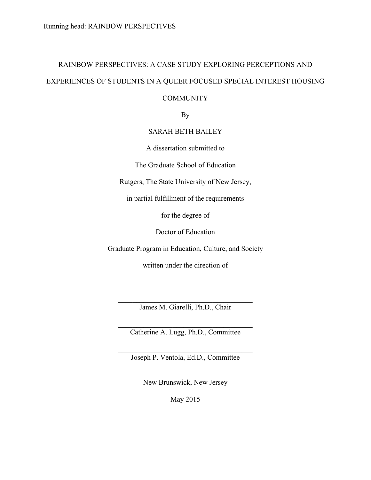# RAINBOW PERSPECTIVES: A CASE STUDY EXPLORING PERCEPTIONS AND EXPERIENCES OF STUDENTS IN A QUEER FOCUSED SPECIAL INTEREST HOUSING **COMMUNITY**

## By

#### SARAH BETH BAILEY

A dissertation submitted to

The Graduate School of Education

Rutgers, The State University of New Jersey,

in partial fulfillment of the requirements

for the degree of

Doctor of Education

Graduate Program in Education, Culture, and Society

written under the direction of

 $\mathcal{L}_\text{max}$  , and the set of the set of the set of the set of the set of the set of the set of the set of the set of the set of the set of the set of the set of the set of the set of the set of the set of the set of the James M. Giarelli, Ph.D., Chair

 $\mathcal{L}_\text{max}$ Catherine A. Lugg, Ph.D., Committee

 $\mathcal{L}_\text{max}$  , and the set of the set of the set of the set of the set of the set of the set of the set of the set of the set of the set of the set of the set of the set of the set of the set of the set of the set of the Joseph P. Ventola, Ed.D., Committee

New Brunswick, New Jersey

May 2015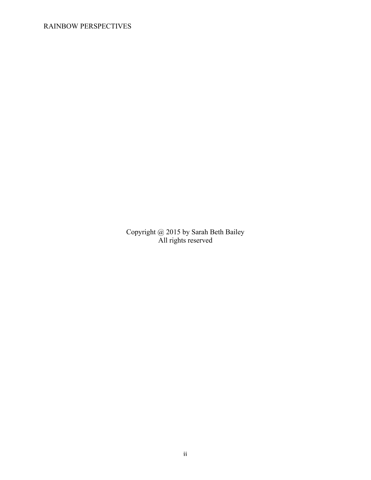## RAINBOW PERSPECTIVES

Copyright @ 2015 by Sarah Beth Bailey All rights reserved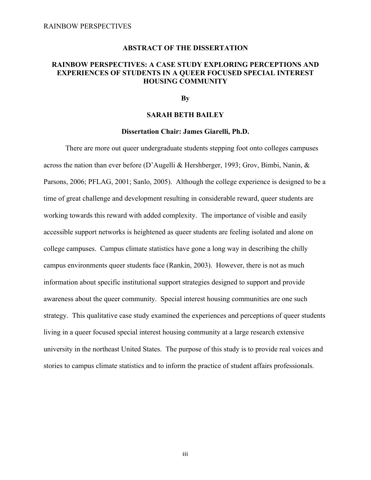#### **ABSTRACT OF THE DISSERTATION**

#### **RAINBOW PERSPECTIVES: A CASE STUDY EXPLORING PERCEPTIONS AND EXPERIENCES OF STUDENTS IN A QUEER FOCUSED SPECIAL INTEREST HOUSING COMMUNITY**

#### **By**

#### **SARAH BETH BAILEY**

#### **Dissertation Chair: James Giarelli, Ph.D.**

There are more out queer undergraduate students stepping foot onto colleges campuses across the nation than ever before (D'Augelli & Hershberger, 1993; Grov, Bimbi, Nanin, & Parsons, 2006; PFLAG, 2001; Sanlo, 2005). Although the college experience is designed to be a time of great challenge and development resulting in considerable reward, queer students are working towards this reward with added complexity. The importance of visible and easily accessible support networks is heightened as queer students are feeling isolated and alone on college campuses. Campus climate statistics have gone a long way in describing the chilly campus environments queer students face (Rankin, 2003). However, there is not as much information about specific institutional support strategies designed to support and provide awareness about the queer community. Special interest housing communities are one such strategy. This qualitative case study examined the experiences and perceptions of queer students living in a queer focused special interest housing community at a large research extensive university in the northeast United States. The purpose of this study is to provide real voices and stories to campus climate statistics and to inform the practice of student affairs professionals.

iii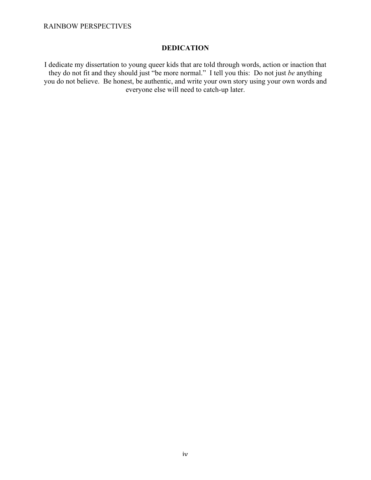RAINBOW PERSPECTIVES

## **DEDICATION**

I dedicate my dissertation to young queer kids that are told through words, action or inaction that they do not fit and they should just "be more normal." I tell you this: Do not just *be* anything you do not believe. Be honest, be authentic, and write your own story using your own words and everyone else will need to catch-up later.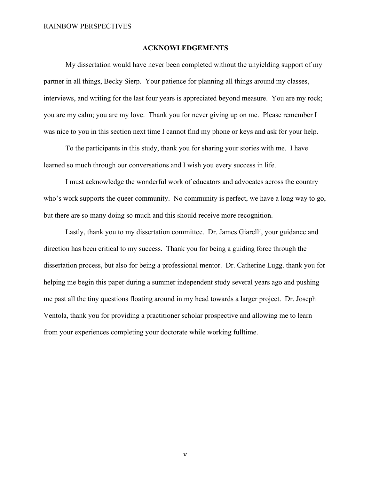#### **ACKNOWLEDGEMENTS**

My dissertation would have never been completed without the unyielding support of my partner in all things, Becky Sierp. Your patience for planning all things around my classes, interviews, and writing for the last four years is appreciated beyond measure. You are my rock; you are my calm; you are my love. Thank you for never giving up on me. Please remember I was nice to you in this section next time I cannot find my phone or keys and ask for your help.

To the participants in this study, thank you for sharing your stories with me. I have learned so much through our conversations and I wish you every success in life.

I must acknowledge the wonderful work of educators and advocates across the country who's work supports the queer community. No community is perfect, we have a long way to go, but there are so many doing so much and this should receive more recognition.

Lastly, thank you to my dissertation committee. Dr. James Giarelli, your guidance and direction has been critical to my success. Thank you for being a guiding force through the dissertation process, but also for being a professional mentor. Dr. Catherine Lugg. thank you for helping me begin this paper during a summer independent study several years ago and pushing me past all the tiny questions floating around in my head towards a larger project. Dr. Joseph Ventola, thank you for providing a practitioner scholar prospective and allowing me to learn from your experiences completing your doctorate while working fulltime.

v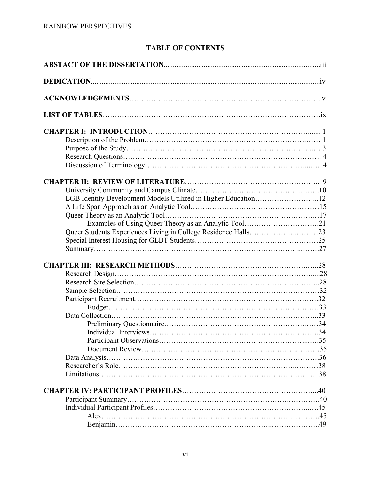## **TABLE OF CONTENTS**

| LGB Identity Development Models Utilized in Higher Education12 |  |  |
|----------------------------------------------------------------|--|--|
|                                                                |  |  |
|                                                                |  |  |
| Examples of Using Queer Theory as an Analytic Tool21           |  |  |
|                                                                |  |  |
|                                                                |  |  |
|                                                                |  |  |
|                                                                |  |  |
|                                                                |  |  |
|                                                                |  |  |
|                                                                |  |  |
|                                                                |  |  |
|                                                                |  |  |
|                                                                |  |  |
|                                                                |  |  |
|                                                                |  |  |
|                                                                |  |  |
|                                                                |  |  |
|                                                                |  |  |
|                                                                |  |  |
|                                                                |  |  |
|                                                                |  |  |
|                                                                |  |  |
|                                                                |  |  |
|                                                                |  |  |
|                                                                |  |  |
|                                                                |  |  |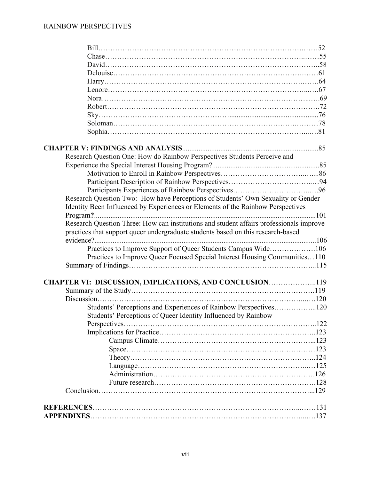| Research Question One: How do Rainbow Perspectives Students Perceive and                                                                                                    |  |
|-----------------------------------------------------------------------------------------------------------------------------------------------------------------------------|--|
|                                                                                                                                                                             |  |
|                                                                                                                                                                             |  |
|                                                                                                                                                                             |  |
|                                                                                                                                                                             |  |
| Research Question Two: How have Perceptions of Students' Own Sexuality or Gender                                                                                            |  |
| Identity Been Influenced by Experiences or Elements of the Rainbow Perspectives                                                                                             |  |
|                                                                                                                                                                             |  |
| Research Question Three: How can institutions and student affairs professionals improve<br>practices that support queer undergraduate students based on this research-based |  |
| Practices to Improve Support of Queer Students Campus Wide106                                                                                                               |  |
| Practices to Improve Queer Focused Special Interest Housing Communities110                                                                                                  |  |
|                                                                                                                                                                             |  |
|                                                                                                                                                                             |  |
| CHAPTER VI: DISCUSSION, IMPLICATIONS, AND CONCLUSION119                                                                                                                     |  |
|                                                                                                                                                                             |  |
|                                                                                                                                                                             |  |
| Students' Perceptions and Experiences of Rainbow Perspectives120                                                                                                            |  |
| Students' Perceptions of Queer Identity Influenced by Rainbow                                                                                                               |  |
|                                                                                                                                                                             |  |
|                                                                                                                                                                             |  |
|                                                                                                                                                                             |  |
|                                                                                                                                                                             |  |
|                                                                                                                                                                             |  |
|                                                                                                                                                                             |  |
|                                                                                                                                                                             |  |
|                                                                                                                                                                             |  |
|                                                                                                                                                                             |  |
|                                                                                                                                                                             |  |
|                                                                                                                                                                             |  |
|                                                                                                                                                                             |  |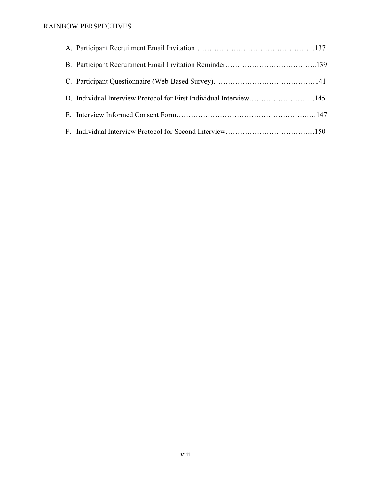## RAINBOW PERSPECTIVES

| D. Individual Interview Protocol for First Individual Interview145 |  |
|--------------------------------------------------------------------|--|
|                                                                    |  |
|                                                                    |  |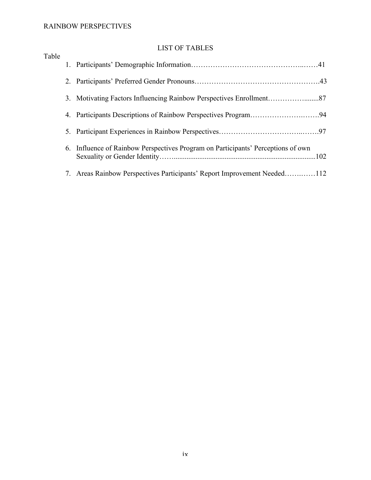## RAINBOW PERSPECTIVES

## LIST OF TABLES

| Table |                                                                                  |
|-------|----------------------------------------------------------------------------------|
|       |                                                                                  |
|       |                                                                                  |
|       |                                                                                  |
|       |                                                                                  |
|       |                                                                                  |
|       | 6. Influence of Rainbow Perspectives Program on Participants' Perceptions of own |
|       | 7. Areas Rainbow Perspectives Participants' Report Improvement Needed112         |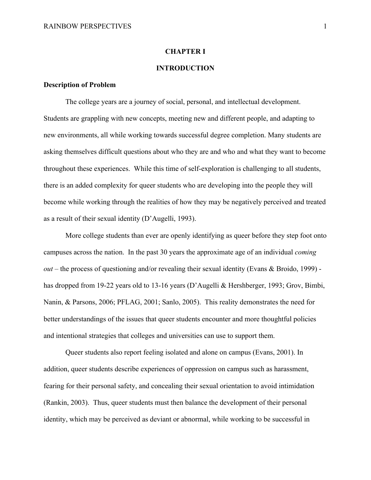#### **CHAPTER I**

#### **INTRODUCTION**

#### **Description of Problem**

The college years are a journey of social, personal, and intellectual development. Students are grappling with new concepts, meeting new and different people, and adapting to new environments, all while working towards successful degree completion. Many students are asking themselves difficult questions about who they are and who and what they want to become throughout these experiences. While this time of self-exploration is challenging to all students, there is an added complexity for queer students who are developing into the people they will become while working through the realities of how they may be negatively perceived and treated as a result of their sexual identity (D'Augelli, 1993).

More college students than ever are openly identifying as queer before they step foot onto campuses across the nation. In the past 30 years the approximate age of an individual *coming out* – the process of questioning and/or revealing their sexual identity (Evans & Broido, 1999) has dropped from 19-22 years old to 13-16 years (D'Augelli & Hershberger, 1993; Grov, Bimbi, Nanin, & Parsons, 2006; PFLAG, 2001; Sanlo, 2005). This reality demonstrates the need for better understandings of the issues that queer students encounter and more thoughtful policies and intentional strategies that colleges and universities can use to support them.

Queer students also report feeling isolated and alone on campus (Evans, 2001). In addition, queer students describe experiences of oppression on campus such as harassment, fearing for their personal safety, and concealing their sexual orientation to avoid intimidation (Rankin, 2003). Thus, queer students must then balance the development of their personal identity, which may be perceived as deviant or abnormal, while working to be successful in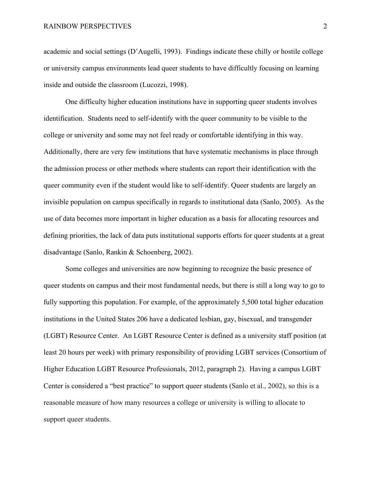academic and social settings (D'Augelli, 1993). Findings indicate these chilly or hostile college or university campus environments lead queer students to have difficultly focusing on learning inside and outside the classroom (Lucozzi, 1998).

One difficulty higher education institutions have in supporting queer students involves identification. Students need to self-identify with the queer community to be visible to the college or university and some may not feel ready or comfortable identifying in this way. Additionally, there are very few institutions that have systematic mechanisms in place through the admission process or other methods where students can report their identification with the queer community even if the student would like to self-identify. Queer students are largely an invisible population on campus specifically in regards to institutional data (Sanlo, 2005). As the use of data becomes more important in higher education as a basis for allocating resources and defining priorities, the lack of data puts institutional supports efforts for queer students at a great disadvantage (Sanlo, Rankin & Schoenberg, 2002).

Some colleges and universities are now beginning to recognize the basic presence of queer students on campus and their most fundamental needs, but there is still a long way to go to fully supporting this population. For example, of the approximately 5,500 total higher education institutions in the United States 206 have a dedicated lesbian, gay, bisexual, and transgender (LGBT) Resource Center. An LGBT Resource Center is defined as a university staff position (at least 20 hours per week) with primary responsibility of providing LGBT services (Consortium of Higher Education LGBT Resource Professionals, 2012, paragraph 2). Having a campus LGBT Center is considered a "best practice" to support queer students (Sanlo et al., 2002), so this is a reasonable measure of how many resources a college or university is willing to allocate to support queer students.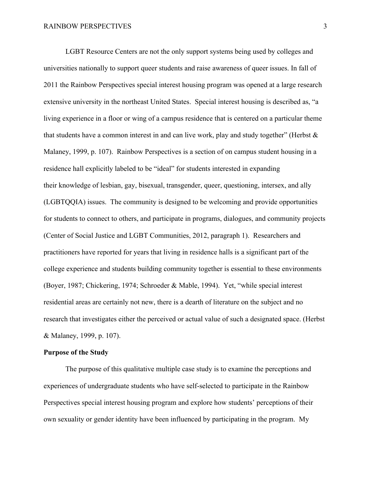LGBT Resource Centers are not the only support systems being used by colleges and universities nationally to support queer students and raise awareness of queer issues. In fall of 2011 the Rainbow Perspectives special interest housing program was opened at a large research extensive university in the northeast United States. Special interest housing is described as, "a living experience in a floor or wing of a campus residence that is centered on a particular theme that students have a common interest in and can live work, play and study together" (Herbst  $\&$ Malaney, 1999, p. 107). Rainbow Perspectives is a section of on campus student housing in a residence hall explicitly labeled to be "ideal" for students interested in expanding their knowledge of lesbian, gay, bisexual, transgender, queer, questioning, intersex, and ally (LGBTQQIA) issues. The community is designed to be welcoming and provide opportunities for students to connect to others, and participate in programs, dialogues, and community projects (Center of Social Justice and LGBT Communities, 2012, paragraph 1). Researchers and practitioners have reported for years that living in residence halls is a significant part of the college experience and students building community together is essential to these environments (Boyer, 1987; Chickering, 1974; Schroeder & Mable, 1994). Yet, "while special interest residential areas are certainly not new, there is a dearth of literature on the subject and no research that investigates either the perceived or actual value of such a designated space. (Herbst & Malaney, 1999, p. 107).

#### **Purpose of the Study**

The purpose of this qualitative multiple case study is to examine the perceptions and experiences of undergraduate students who have self-selected to participate in the Rainbow Perspectives special interest housing program and explore how students' perceptions of their own sexuality or gender identity have been influenced by participating in the program. My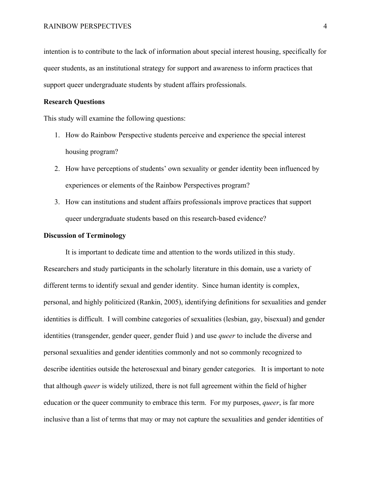intention is to contribute to the lack of information about special interest housing, specifically for queer students, as an institutional strategy for support and awareness to inform practices that support queer undergraduate students by student affairs professionals.

#### **Research Questions**

This study will examine the following questions:

- 1. How do Rainbow Perspective students perceive and experience the special interest housing program?
- 2. How have perceptions of students' own sexuality or gender identity been influenced by experiences or elements of the Rainbow Perspectives program?
- 3. How can institutions and student affairs professionals improve practices that support queer undergraduate students based on this research-based evidence?

#### **Discussion of Terminology**

It is important to dedicate time and attention to the words utilized in this study. Researchers and study participants in the scholarly literature in this domain, use a variety of different terms to identify sexual and gender identity. Since human identity is complex, personal, and highly politicized (Rankin, 2005), identifying definitions for sexualities and gender identities is difficult. I will combine categories of sexualities (lesbian, gay, bisexual) and gender identities (transgender, gender queer, gender fluid ) and use *queer* to include the diverse and personal sexualities and gender identities commonly and not so commonly recognized to describe identities outside the heterosexual and binary gender categories. It is important to note that although *queer* is widely utilized, there is not full agreement within the field of higher education or the queer community to embrace this term. For my purposes, *queer*, is far more inclusive than a list of terms that may or may not capture the sexualities and gender identities of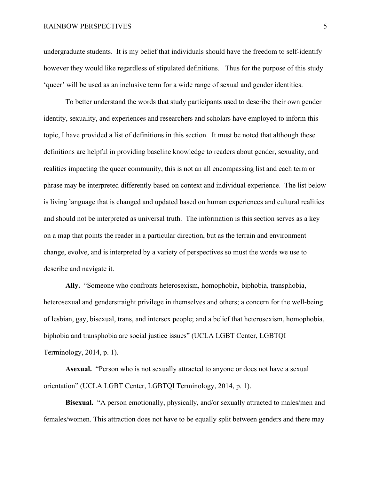undergraduate students. It is my belief that individuals should have the freedom to self-identify however they would like regardless of stipulated definitions. Thus for the purpose of this study 'queer' will be used as an inclusive term for a wide range of sexual and gender identities.

To better understand the words that study participants used to describe their own gender identity, sexuality, and experiences and researchers and scholars have employed to inform this topic, I have provided a list of definitions in this section. It must be noted that although these definitions are helpful in providing baseline knowledge to readers about gender, sexuality, and realities impacting the queer community, this is not an all encompassing list and each term or phrase may be interpreted differently based on context and individual experience. The list below is living language that is changed and updated based on human experiences and cultural realities and should not be interpreted as universal truth. The information is this section serves as a key on a map that points the reader in a particular direction, but as the terrain and environment change, evolve, and is interpreted by a variety of perspectives so must the words we use to describe and navigate it.

**Ally.** "Someone who confronts heterosexism, homophobia, biphobia, transphobia, heterosexual and genderstraight privilege in themselves and others; a concern for the well-being of lesbian, gay, bisexual, trans, and intersex people; and a belief that heterosexism, homophobia, biphobia and transphobia are social justice issues" (UCLA LGBT Center, LGBTQI Terminology, 2014, p. 1).

**Asexual.** "Person who is not sexually attracted to anyone or does not have a sexual orientation" (UCLA LGBT Center, LGBTQI Terminology, 2014, p. 1).

**Bisexual.** "A person emotionally, physically, and/or sexually attracted to males/men and females/women. This attraction does not have to be equally split between genders and there may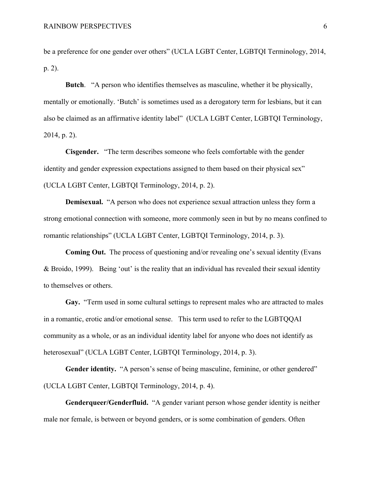be a preference for one gender over others" (UCLA LGBT Center, LGBTQI Terminology, 2014, p. 2).

**Butch**. "A person who identifies themselves as masculine, whether it be physically, mentally or emotionally. 'Butch' is sometimes used as a derogatory term for lesbians, but it can also be claimed as an affirmative identity label" (UCLA LGBT Center, LGBTQI Terminology, 2014, p. 2).

**Cisgender.** "The term describes someone who feels comfortable with the gender identity and gender expression expectations assigned to them based on their physical sex" (UCLA LGBT Center, LGBTQI Terminology, 2014, p. 2).

**Demisexual.** "A person who does not experience sexual attraction unless they form a strong emotional connection with someone, more commonly seen in but by no means confined to romantic relationships" (UCLA LGBT Center, LGBTQI Terminology, 2014, p. 3).

**Coming Out.**The process of questioning and/or revealing one's sexual identity (Evans & Broido, 1999). Being 'out' is the reality that an individual has revealed their sexual identity to themselves or others.

**Gay.** "Term used in some cultural settings to represent males who are attracted to males in a romantic, erotic and/or emotional sense. This term used to refer to the LGBTQQAI community as a whole, or as an individual identity label for anyone who does not identify as heterosexual" (UCLA LGBT Center, LGBTQI Terminology, 2014, p. 3).

Gender identity. "A person's sense of being masculine, feminine, or other gendered" (UCLA LGBT Center, LGBTQI Terminology, 2014, p. 4).

**Genderqueer/Genderfluid.** "A gender variant person whose gender identity is neither male nor female, is between or beyond genders, or is some combination of genders. Often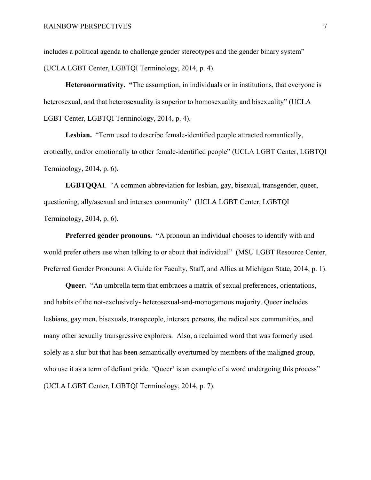includes a political agenda to challenge gender stereotypes and the gender binary system" (UCLA LGBT Center, LGBTQI Terminology, 2014, p. 4).

**Heteronormativity. "**The assumption, in individuals or in institutions, that everyone is heterosexual, and that heterosexuality is superior to homosexuality and bisexuality" (UCLA LGBT Center, LGBTQI Terminology, 2014, p. 4).

**Lesbian.** "Term used to describe female-identified people attracted romantically, erotically, and/or emotionally to other female-identified people" (UCLA LGBT Center, LGBTQI Terminology, 2014, p. 6).

**LGBTQQAI**. "A common abbreviation for lesbian, gay, bisexual, transgender, queer, questioning, ally/asexual and intersex community" (UCLA LGBT Center, LGBTQI Terminology, 2014, p. 6).

**Preferred gender pronouns.** "A pronoun an individual chooses to identify with and would prefer others use when talking to or about that individual" (MSU LGBT Resource Center, Preferred Gender Pronouns: A Guide for Faculty, Staff, and Allies at Michigan State, 2014, p. 1).

**Queer.** "An umbrella term that embraces a matrix of sexual preferences, orientations, and habits of the not-exclusively- heterosexual-and-monogamous majority. Queer includes lesbians, gay men, bisexuals, transpeople, intersex persons, the radical sex communities, and many other sexually transgressive explorers. Also, a reclaimed word that was formerly used solely as a slur but that has been semantically overturned by members of the maligned group, who use it as a term of defiant pride. 'Queer' is an example of a word undergoing this process'' (UCLA LGBT Center, LGBTQI Terminology, 2014, p. 7).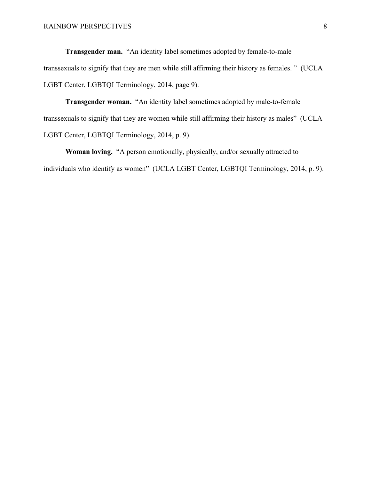**Transgender man.** "An identity label sometimes adopted by female-to-male transsexuals to signify that they are men while still affirming their history as females. " (UCLA LGBT Center, LGBTQI Terminology, 2014, page 9).

**Transgender woman.** "An identity label sometimes adopted by male-to-female transsexuals to signify that they are women while still affirming their history as males" (UCLA LGBT Center, LGBTQI Terminology, 2014, p. 9).

**Woman loving.** "A person emotionally, physically, and/or sexually attracted to individuals who identify as women" (UCLA LGBT Center, LGBTQI Terminology, 2014, p. 9).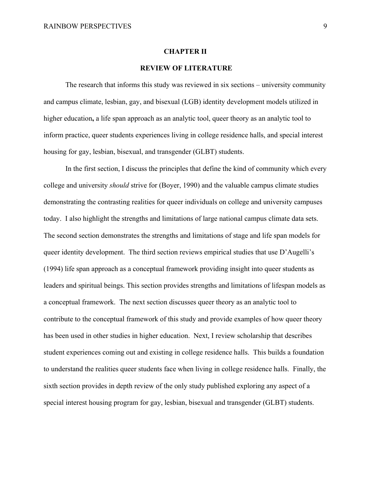#### **CHAPTER II**

#### **REVIEW OF LITERATURE**

The research that informs this study was reviewed in six sections – university community and campus climate, lesbian, gay, and bisexual (LGB) identity development models utilized in higher education**,** a life span approach as an analytic tool, queer theory as an analytic tool to inform practice, queer students experiences living in college residence halls, and special interest housing for gay, lesbian, bisexual, and transgender (GLBT) students.

In the first section, I discuss the principles that define the kind of community which every college and university *should* strive for (Boyer, 1990) and the valuable campus climate studies demonstrating the contrasting realities for queer individuals on college and university campuses today. I also highlight the strengths and limitations of large national campus climate data sets. The second section demonstrates the strengths and limitations of stage and life span models for queer identity development. The third section reviews empirical studies that use D'Augelli's (1994) life span approach as a conceptual framework providing insight into queer students as leaders and spiritual beings. This section provides strengths and limitations of lifespan models as a conceptual framework. The next section discusses queer theory as an analytic tool to contribute to the conceptual framework of this study and provide examples of how queer theory has been used in other studies in higher education. Next, I review scholarship that describes student experiences coming out and existing in college residence halls. This builds a foundation to understand the realities queer students face when living in college residence halls. Finally, the sixth section provides in depth review of the only study published exploring any aspect of a special interest housing program for gay, lesbian, bisexual and transgender (GLBT) students.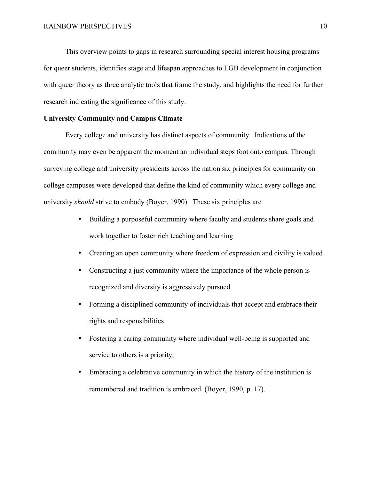This overview points to gaps in research surrounding special interest housing programs for queer students, identifies stage and lifespan approaches to LGB development in conjunction with queer theory as three analytic tools that frame the study, and highlights the need for further research indicating the significance of this study.

#### **University Community and Campus Climate**

Every college and university has distinct aspects of community. Indications of the community may even be apparent the moment an individual steps foot onto campus. Through surveying college and university presidents across the nation six principles for community on college campuses were developed that define the kind of community which every college and university *should* strive to embody (Boyer, 1990). These six principles are

- Building a purposeful community where faculty and students share goals and work together to foster rich teaching and learning
- Creating an open community where freedom of expression and civility is valued
- Constructing a just community where the importance of the whole person is recognized and diversity is aggressively pursued
- Forming a disciplined community of individuals that accept and embrace their rights and responsibilities
- Fostering a caring community where individual well-being is supported and service to others is a priority,
- Embracing a celebrative community in which the history of the institution is remembered and tradition is embraced (Boyer, 1990, p. 17).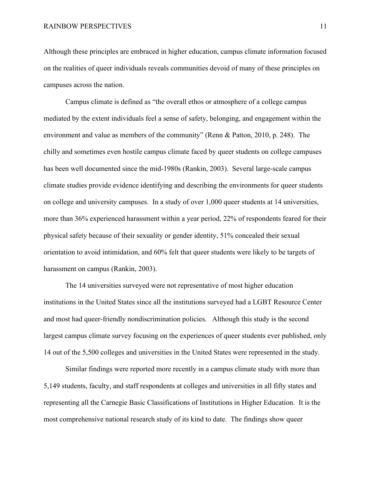Although these principles are embraced in higher education, campus climate information focused on the realities of queer individuals reveals communities devoid of many of these principles on campuses across the nation.

Campus climate is defined as "the overall ethos or atmosphere of a college campus mediated by the extent individuals feel a sense of safety, belonging, and engagement within the environment and value as members of the community" (Renn & Patton, 2010, p. 248). The chilly and sometimes even hostile campus climate faced by queer students on college campuses has been well documented since the mid-1980s (Rankin, 2003). Several large-scale campus climate studies provide evidence identifying and describing the environments for queer students on college and university campuses. In a study of over 1,000 queer students at 14 universities, more than 36% experienced harassment within a year period, 22% of respondents feared for their physical safety because of their sexuality or gender identity, 51% concealed their sexual orientation to avoid intimidation, and 60% felt that queer students were likely to be targets of harassment on campus (Rankin, 2003).

The 14 universities surveyed were not representative of most higher education institutions in the United States since all the institutions surveyed had a LGBT Resource Center and most had queer-friendly nondiscrimination policies. Although this study is the second largest campus climate survey focusing on the experiences of queer students ever published, only 14 out of the 5,500 colleges and universities in the United States were represented in the study.

Similar findings were reported more recently in a campus climate study with more than 5,149 students, faculty, and staff respondents at colleges and universities in all fifty states and representing all the Carnegie Basic Classifications of Institutions in Higher Education. It is the most comprehensive national research study of its kind to date. The findings show queer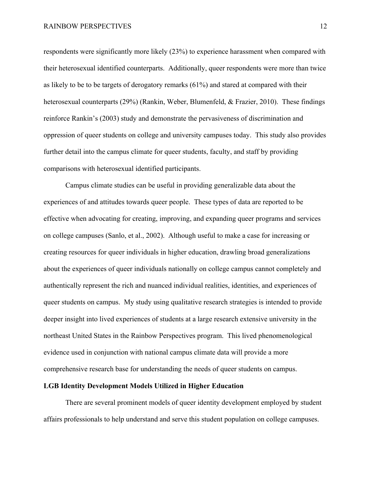respondents were significantly more likely (23%) to experience harassment when compared with their heterosexual identified counterparts. Additionally, queer respondents were more than twice as likely to be to be targets of derogatory remarks (61%) and stared at compared with their heterosexual counterparts (29%) (Rankin, Weber, Blumenfeld, & Frazier, 2010). These findings reinforce Rankin's (2003) study and demonstrate the pervasiveness of discrimination and oppression of queer students on college and university campuses today. This study also provides further detail into the campus climate for queer students, faculty, and staff by providing comparisons with heterosexual identified participants.

Campus climate studies can be useful in providing generalizable data about the experiences of and attitudes towards queer people. These types of data are reported to be effective when advocating for creating, improving, and expanding queer programs and services on college campuses (Sanlo, et al., 2002). Although useful to make a case for increasing or creating resources for queer individuals in higher education, drawling broad generalizations about the experiences of queer individuals nationally on college campus cannot completely and authentically represent the rich and nuanced individual realities, identities, and experiences of queer students on campus. My study using qualitative research strategies is intended to provide deeper insight into lived experiences of students at a large research extensive university in the northeast United States in the Rainbow Perspectives program. This lived phenomenological evidence used in conjunction with national campus climate data will provide a more comprehensive research base for understanding the needs of queer students on campus.

#### **LGB Identity Development Models Utilized in Higher Education**

There are several prominent models of queer identity development employed by student affairs professionals to help understand and serve this student population on college campuses.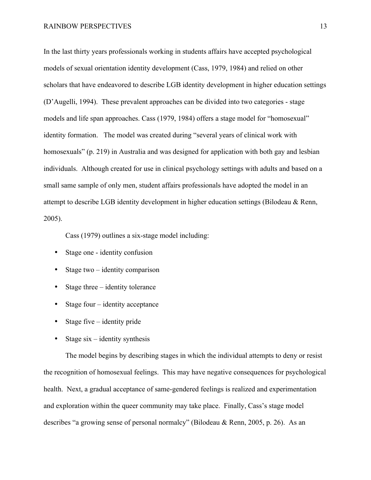In the last thirty years professionals working in students affairs have accepted psychological models of sexual orientation identity development (Cass, 1979, 1984) and relied on other scholars that have endeavored to describe LGB identity development in higher education settings (D'Augelli, 1994). These prevalent approaches can be divided into two categories - stage models and life span approaches. Cass (1979, 1984) offers a stage model for "homosexual" identity formation. The model was created during "several years of clinical work with homosexuals" (p. 219) in Australia and was designed for application with both gay and lesbian individuals. Although created for use in clinical psychology settings with adults and based on a small same sample of only men, student affairs professionals have adopted the model in an attempt to describe LGB identity development in higher education settings (Bilodeau & Renn, 2005).

Cass (1979) outlines a six-stage model including:

- Stage one identity confusion
- Stage two identity comparison
- Stage three identity tolerance
- Stage four identity acceptance
- Stage five  $-$  identity pride
- Stage  $six$  identity synthesis

The model begins by describing stages in which the individual attempts to deny or resist the recognition of homosexual feelings. This may have negative consequences for psychological health. Next, a gradual acceptance of same-gendered feelings is realized and experimentation and exploration within the queer community may take place. Finally, Cass's stage model describes "a growing sense of personal normalcy" (Bilodeau & Renn, 2005, p. 26). As an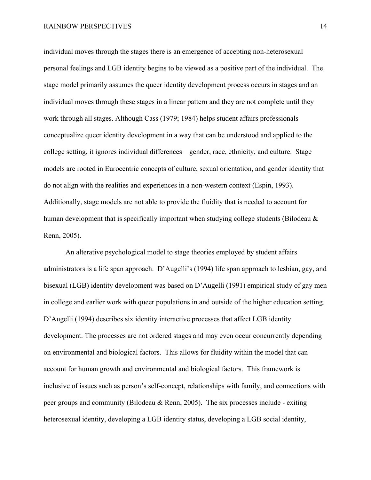individual moves through the stages there is an emergence of accepting non-heterosexual personal feelings and LGB identity begins to be viewed as a positive part of the individual. The stage model primarily assumes the queer identity development process occurs in stages and an individual moves through these stages in a linear pattern and they are not complete until they work through all stages. Although Cass (1979; 1984) helps student affairs professionals conceptualize queer identity development in a way that can be understood and applied to the college setting, it ignores individual differences – gender, race, ethnicity, and culture. Stage models are rooted in Eurocentric concepts of culture, sexual orientation, and gender identity that do not align with the realities and experiences in a non-western context (Espin, 1993). Additionally, stage models are not able to provide the fluidity that is needed to account for human development that is specifically important when studying college students (Bilodeau & Renn, 2005).

An alterative psychological model to stage theories employed by student affairs administrators is a life span approach. D'Augelli's (1994) life span approach to lesbian, gay, and bisexual (LGB) identity development was based on D'Augelli (1991) empirical study of gay men in college and earlier work with queer populations in and outside of the higher education setting. D'Augelli (1994) describes six identity interactive processes that affect LGB identity development. The processes are not ordered stages and may even occur concurrently depending on environmental and biological factors. This allows for fluidity within the model that can account for human growth and environmental and biological factors. This framework is inclusive of issues such as person's self-concept, relationships with family, and connections with peer groups and community (Bilodeau & Renn, 2005). The six processes include - exiting heterosexual identity, developing a LGB identity status, developing a LGB social identity,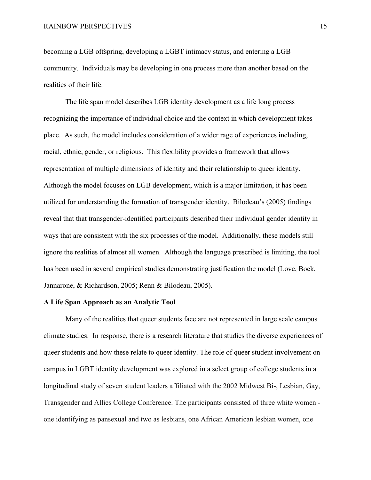becoming a LGB offspring, developing a LGBT intimacy status, and entering a LGB community. Individuals may be developing in one process more than another based on the realities of their life.

The life span model describes LGB identity development as a life long process recognizing the importance of individual choice and the context in which development takes place. As such, the model includes consideration of a wider rage of experiences including, racial, ethnic, gender, or religious. This flexibility provides a framework that allows representation of multiple dimensions of identity and their relationship to queer identity. Although the model focuses on LGB development, which is a major limitation, it has been utilized for understanding the formation of transgender identity. Bilodeau's (2005) findings reveal that that transgender-identified participants described their individual gender identity in ways that are consistent with the six processes of the model. Additionally, these models still ignore the realities of almost all women. Although the language prescribed is limiting, the tool has been used in several empirical studies demonstrating justification the model (Love, Bock, Jannarone, & Richardson, 2005; Renn & Bilodeau, 2005).

#### **A Life Span Approach as an Analytic Tool**

Many of the realities that queer students face are not represented in large scale campus climate studies. In response, there is a research literature that studies the diverse experiences of queer students and how these relate to queer identity. The role of queer student involvement on campus in LGBT identity development was explored in a select group of college students in a longitudinal study of seven student leaders affiliated with the 2002 Midwest Bi-, Lesbian, Gay, Transgender and Allies College Conference. The participants consisted of three white women one identifying as pansexual and two as lesbians, one African American lesbian women, one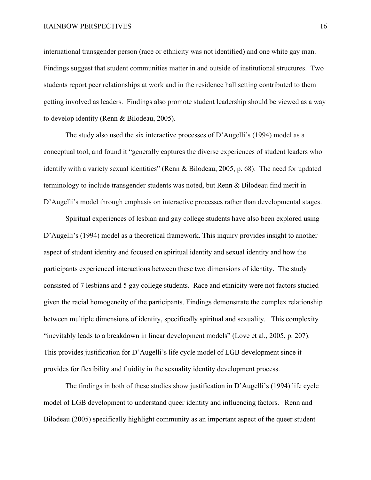#### RAINBOW PERSPECTIVES 16

international transgender person (race or ethnicity was not identified) and one white gay man. Findings suggest that student communities matter in and outside of institutional structures. Two students report peer relationships at work and in the residence hall setting contributed to them getting involved as leaders. Findings also promote student leadership should be viewed as a way to develop identity (Renn & Bilodeau, 2005).

The study also used the six interactive processes of D'Augelli's (1994) model as a conceptual tool, and found it "generally captures the diverse experiences of student leaders who identify with a variety sexual identities" (Renn & Bilodeau, 2005, p. 68). The need for updated terminology to include transgender students was noted, but Renn & Bilodeau find merit in D'Augelli's model through emphasis on interactive processes rather than developmental stages.

Spiritual experiences of lesbian and gay college students have also been explored using D'Augelli's (1994) model as a theoretical framework. This inquiry provides insight to another aspect of student identity and focused on spiritual identity and sexual identity and how the participants experienced interactions between these two dimensions of identity. The study consisted of 7 lesbians and 5 gay college students. Race and ethnicity were not factors studied given the racial homogeneity of the participants. Findings demonstrate the complex relationship between multiple dimensions of identity, specifically spiritual and sexuality. This complexity "inevitably leads to a breakdown in linear development models" (Love et al., 2005, p. 207). This provides justification for D'Augelli's life cycle model of LGB development since it provides for flexibility and fluidity in the sexuality identity development process.

The findings in both of these studies show justification in D'Augelli's (1994) life cycle model of LGB development to understand queer identity and influencing factors. Renn and Bilodeau (2005) specifically highlight community as an important aspect of the queer student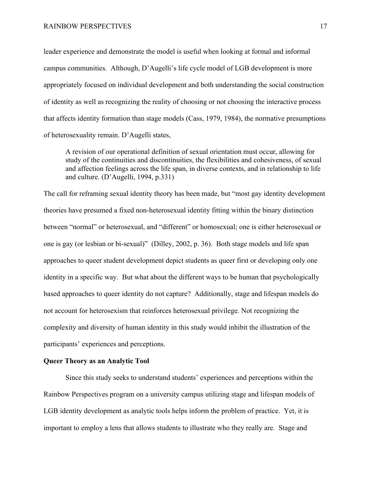leader experience and demonstrate the model is useful when looking at formal and informal campus communities. Although, D'Augelli's life cycle model of LGB development is more appropriately focused on individual development and both understanding the social construction of identity as well as recognizing the reality of choosing or not choosing the interactive process that affects identity formation than stage models (Cass, 1979, 1984), the normative presumptions of heterosexuality remain. D'Augelli states,

A revision of our operational definition of sexual orientation must occur, allowing for study of the continuities and discontinuities, the flexibilities and cohesiveness, of sexual and affection feelings across the life span, in diverse contexts, and in relationship to life and culture. (D'Augelli, 1994, p.331)

The call for reframing sexual identity theory has been made, but "most gay identity development theories have presumed a fixed non-heterosexual identity fitting within the binary distinction between "normal" or heterosexual, and "different" or homosexual; one is either heterosexual or one is gay (or lesbian or bi-sexual)" (Dilley, 2002, p. 36). Both stage models and life span approaches to queer student development depict students as queer first or developing only one identity in a specific way. But what about the different ways to be human that psychologically based approaches to queer identity do not capture? Additionally, stage and lifespan models do not account for heterosexism that reinforces heterosexual privilege. Not recognizing the complexity and diversity of human identity in this study would inhibit the illustration of the participants' experiences and perceptions.

#### **Queer Theory as an Analytic Tool**

Since this study seeks to understand students' experiences and perceptions within the Rainbow Perspectives program on a university campus utilizing stage and lifespan models of LGB identity development as analytic tools helps inform the problem of practice. Yet, it is important to employ a lens that allows students to illustrate who they really are. Stage and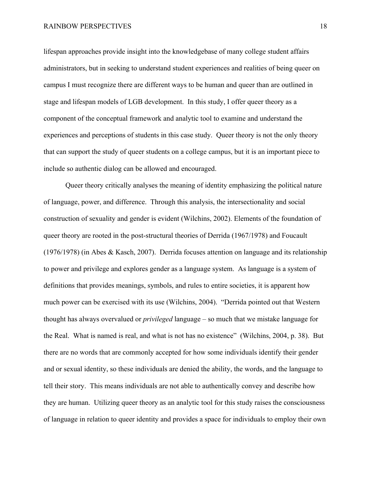lifespan approaches provide insight into the knowledgebase of many college student affairs administrators, but in seeking to understand student experiences and realities of being queer on campus I must recognize there are different ways to be human and queer than are outlined in stage and lifespan models of LGB development. In this study, I offer queer theory as a component of the conceptual framework and analytic tool to examine and understand the experiences and perceptions of students in this case study. Queer theory is not the only theory that can support the study of queer students on a college campus, but it is an important piece to include so authentic dialog can be allowed and encouraged.

Queer theory critically analyses the meaning of identity emphasizing the political nature of language, power, and difference. Through this analysis, the intersectionality and social construction of sexuality and gender is evident (Wilchins, 2002). Elements of the foundation of queer theory are rooted in the post-structural theories of Derrida (1967/1978) and Foucault (1976/1978) (in Abes & Kasch, 2007). Derrida focuses attention on language and its relationship to power and privilege and explores gender as a language system. As language is a system of definitions that provides meanings, symbols, and rules to entire societies, it is apparent how much power can be exercised with its use (Wilchins, 2004). "Derrida pointed out that Western thought has always overvalued or *privileged* language – so much that we mistake language for the Real. What is named is real, and what is not has no existence" (Wilchins, 2004, p. 38). But there are no words that are commonly accepted for how some individuals identify their gender and or sexual identity, so these individuals are denied the ability, the words, and the language to tell their story. This means individuals are not able to authentically convey and describe how they are human. Utilizing queer theory as an analytic tool for this study raises the consciousness of language in relation to queer identity and provides a space for individuals to employ their own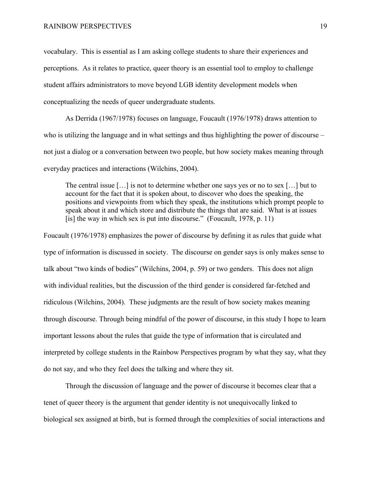vocabulary. This is essential as I am asking college students to share their experiences and perceptions. As it relates to practice, queer theory is an essential tool to employ to challenge student affairs administrators to move beyond LGB identity development models when conceptualizing the needs of queer undergraduate students.

As Derrida (1967/1978) focuses on language, Foucault (1976/1978) draws attention to who is utilizing the language and in what settings and thus highlighting the power of discourse – not just a dialog or a conversation between two people, but how society makes meaning through everyday practices and interactions (Wilchins, 2004).

The central issue […] is not to determine whether one says yes or no to sex […] but to account for the fact that it is spoken about, to discover who does the speaking, the positions and viewpoints from which they speak, the institutions which prompt people to speak about it and which store and distribute the things that are said. What is at issues [is] the way in which sex is put into discourse." (Foucault,  $1978$ , p. 11)

Foucault (1976/1978) emphasizes the power of discourse by defining it as rules that guide what type of information is discussed in society. The discourse on gender says is only makes sense to talk about "two kinds of bodies" (Wilchins, 2004, p. 59) or two genders. This does not align with individual realities, but the discussion of the third gender is considered far-fetched and ridiculous (Wilchins, 2004). These judgments are the result of how society makes meaning through discourse. Through being mindful of the power of discourse, in this study I hope to learn important lessons about the rules that guide the type of information that is circulated and interpreted by college students in the Rainbow Perspectives program by what they say, what they do not say, and who they feel does the talking and where they sit.

Through the discussion of language and the power of discourse it becomes clear that a tenet of queer theory is the argument that gender identity is not unequivocally linked to biological sex assigned at birth, but is formed through the complexities of social interactions and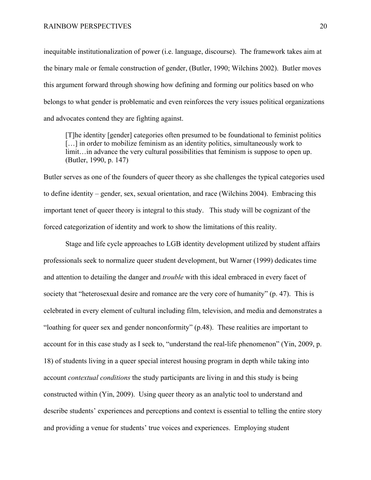inequitable institutionalization of power (i.e. language, discourse). The framework takes aim at the binary male or female construction of gender, (Butler, 1990; Wilchins 2002). Butler moves this argument forward through showing how defining and forming our politics based on who belongs to what gender is problematic and even reinforces the very issues political organizations and advocates contend they are fighting against.

[T]he identity [gender] categories often presumed to be foundational to feminist politics [...] in order to mobilize feminism as an identity politics, simultaneously work to limit…in advance the very cultural possibilities that feminism is suppose to open up. (Butler, 1990, p. 147)

Butler serves as one of the founders of queer theory as she challenges the typical categories used to define identity – gender, sex, sexual orientation, and race (Wilchins 2004). Embracing this important tenet of queer theory is integral to this study. This study will be cognizant of the forced categorization of identity and work to show the limitations of this reality.

Stage and life cycle approaches to LGB identity development utilized by student affairs professionals seek to normalize queer student development, but Warner (1999) dedicates time and attention to detailing the danger and *trouble* with this ideal embraced in every facet of society that "heterosexual desire and romance are the very core of humanity" (p. 47). This is celebrated in every element of cultural including film, television, and media and demonstrates a "loathing for queer sex and gender nonconformity" (p.48). These realities are important to account for in this case study as I seek to, "understand the real-life phenomenon" (Yin, 2009, p. 18) of students living in a queer special interest housing program in depth while taking into account *contextual conditions* the study participants are living in and this study is being constructed within (Yin, 2009). Using queer theory as an analytic tool to understand and describe students' experiences and perceptions and context is essential to telling the entire story and providing a venue for students' true voices and experiences. Employing student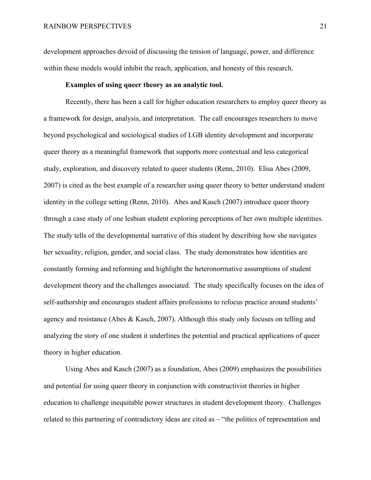development approaches devoid of discussing the tension of language, power, and difference within these models would inhibit the reach, application, and honesty of this research.

#### **Examples of using queer theory as an analytic tool.**

Recently, there has been a call for higher education researchers to employ queer theory as a framework for design, analysis, and interpretation. The call encourages researchers to move beyond psychological and sociological studies of LGB identity development and incorporate queer theory as a meaningful framework that supports more contextual and less categorical study, exploration, and discovery related to queer students (Renn, 2010). Elisa Abes (2009, 2007) is cited as the best example of a researcher using queer theory to better understand student identity in the college setting (Renn, 2010). Abes and Kasch (2007) introduce queer theory through a case study of one lesbian student exploring perceptions of her own multiple identities. The study tells of the developmental narrative of this student by describing how she navigates her sexuality, religion, gender, and social class. The study demonstrates how identities are constantly forming and reforming and highlight the heteronormative assumptions of student development theory and the challenges associated. The study specifically focuses on the idea of self-authorship and encourages student affairs professions to refocus practice around students' agency and resistance (Abes & Kasch, 2007). Although this study only focuses on telling and analyzing the story of one student it underlines the potential and practical applications of queer theory in higher education.

Using Abes and Kasch (2007) as a foundation, Abes (2009) emphasizes the possibilities and potential for using queer theory in conjunction with constructivist theories in higher education to challenge inequitable power structures in student development theory. Challenges related to this partnering of contradictory ideas are cited as – "the politics of representation and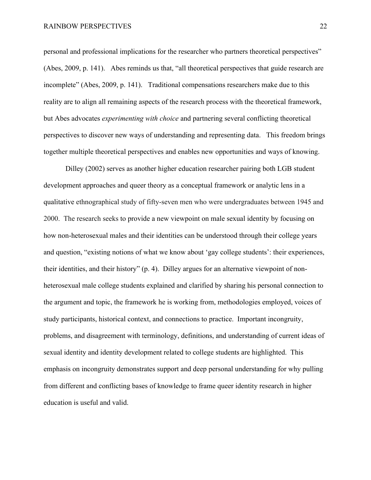personal and professional implications for the researcher who partners theoretical perspectives" (Abes, 2009, p. 141). Abes reminds us that, "all theoretical perspectives that guide research are incomplete" (Abes, 2009, p. 141). Traditional compensations researchers make due to this reality are to align all remaining aspects of the research process with the theoretical framework, but Abes advocates *experimenting with choice* and partnering several conflicting theoretical perspectives to discover new ways of understanding and representing data. This freedom brings together multiple theoretical perspectives and enables new opportunities and ways of knowing.

Dilley (2002) serves as another higher education researcher pairing both LGB student development approaches and queer theory as a conceptual framework or analytic lens in a qualitative ethnographical study of fifty-seven men who were undergraduates between 1945 and 2000. The research seeks to provide a new viewpoint on male sexual identity by focusing on how non-heterosexual males and their identities can be understood through their college years and question, "existing notions of what we know about 'gay college students': their experiences, their identities, and their history" (p. 4). Dilley argues for an alternative viewpoint of nonheterosexual male college students explained and clarified by sharing his personal connection to the argument and topic, the framework he is working from, methodologies employed, voices of study participants, historical context, and connections to practice. Important incongruity, problems, and disagreement with terminology, definitions, and understanding of current ideas of sexual identity and identity development related to college students are highlighted. This emphasis on incongruity demonstrates support and deep personal understanding for why pulling from different and conflicting bases of knowledge to frame queer identity research in higher education is useful and valid.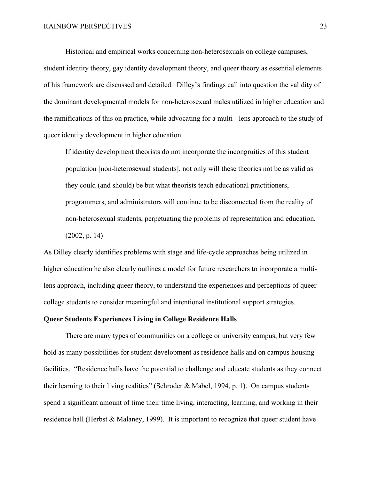Historical and empirical works concerning non-heterosexuals on college campuses, student identity theory, gay identity development theory, and queer theory as essential elements of his framework are discussed and detailed. Dilley's findings call into question the validity of the dominant developmental models for non-heterosexual males utilized in higher education and the ramifications of this on practice, while advocating for a multi - lens approach to the study of queer identity development in higher education.

If identity development theorists do not incorporate the incongruities of this student population [non-heterosexual students], not only will these theories not be as valid as they could (and should) be but what theorists teach educational practitioners, programmers, and administrators will continue to be disconnected from the reality of non-heterosexual students, perpetuating the problems of representation and education. (2002, p. 14)

As Dilley clearly identifies problems with stage and life-cycle approaches being utilized in higher education he also clearly outlines a model for future researchers to incorporate a multilens approach, including queer theory, to understand the experiences and perceptions of queer college students to consider meaningful and intentional institutional support strategies.

#### **Queer Students Experiences Living in College Residence Halls**

There are many types of communities on a college or university campus, but very few hold as many possibilities for student development as residence halls and on campus housing facilities. "Residence halls have the potential to challenge and educate students as they connect their learning to their living realities" (Schroder & Mabel, 1994, p. 1). On campus students spend a significant amount of time their time living, interacting, learning, and working in their residence hall (Herbst & Malaney, 1999). It is important to recognize that queer student have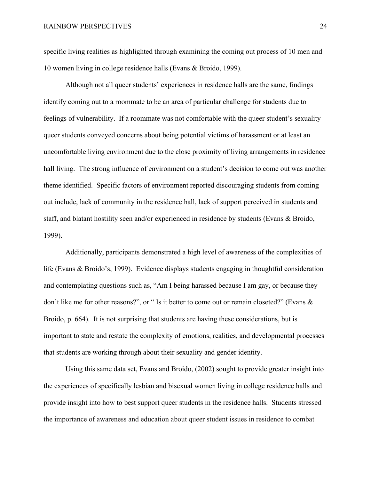specific living realities as highlighted through examining the coming out process of 10 men and 10 women living in college residence halls (Evans & Broido, 1999).

Although not all queer students' experiences in residence halls are the same, findings identify coming out to a roommate to be an area of particular challenge for students due to feelings of vulnerability. If a roommate was not comfortable with the queer student's sexuality queer students conveyed concerns about being potential victims of harassment or at least an uncomfortable living environment due to the close proximity of living arrangements in residence hall living. The strong influence of environment on a student's decision to come out was another theme identified. Specific factors of environment reported discouraging students from coming out include, lack of community in the residence hall, lack of support perceived in students and staff, and blatant hostility seen and/or experienced in residence by students (Evans & Broido, 1999).

Additionally, participants demonstrated a high level of awareness of the complexities of life (Evans & Broido's, 1999). Evidence displays students engaging in thoughtful consideration and contemplating questions such as, "Am I being harassed because I am gay, or because they don't like me for other reasons?", or " Is it better to come out or remain closeted?" (Evans & Broido, p. 664). It is not surprising that students are having these considerations, but is important to state and restate the complexity of emotions, realities, and developmental processes that students are working through about their sexuality and gender identity.

Using this same data set, Evans and Broido, (2002) sought to provide greater insight into the experiences of specifically lesbian and bisexual women living in college residence halls and provide insight into how to best support queer students in the residence halls. Students stressed the importance of awareness and education about queer student issues in residence to combat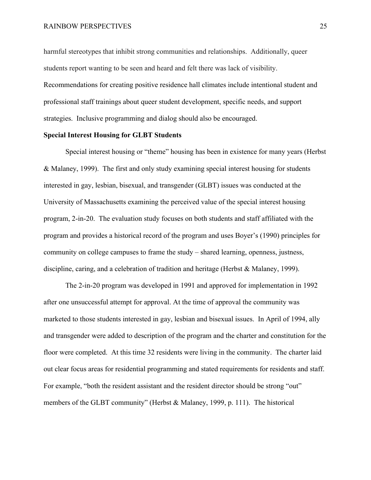harmful stereotypes that inhibit strong communities and relationships. Additionally, queer students report wanting to be seen and heard and felt there was lack of visibility. Recommendations for creating positive residence hall climates include intentional student and professional staff trainings about queer student development, specific needs, and support strategies. Inclusive programming and dialog should also be encouraged.

#### **Special Interest Housing for GLBT Students**

Special interest housing or "theme" housing has been in existence for many years (Herbst & Malaney, 1999). The first and only study examining special interest housing for students interested in gay, lesbian, bisexual, and transgender (GLBT) issues was conducted at the University of Massachusetts examining the perceived value of the special interest housing program, 2-in-20. The evaluation study focuses on both students and staff affiliated with the program and provides a historical record of the program and uses Boyer's (1990) principles for community on college campuses to frame the study – shared learning, openness, justness, discipline, caring, and a celebration of tradition and heritage (Herbst & Malaney, 1999).

The 2-in-20 program was developed in 1991 and approved for implementation in 1992 after one unsuccessful attempt for approval. At the time of approval the community was marketed to those students interested in gay, lesbian and bisexual issues. In April of 1994, ally and transgender were added to description of the program and the charter and constitution for the floor were completed. At this time 32 residents were living in the community. The charter laid out clear focus areas for residential programming and stated requirements for residents and staff. For example, "both the resident assistant and the resident director should be strong "out" members of the GLBT community" (Herbst & Malaney, 1999, p. 111). The historical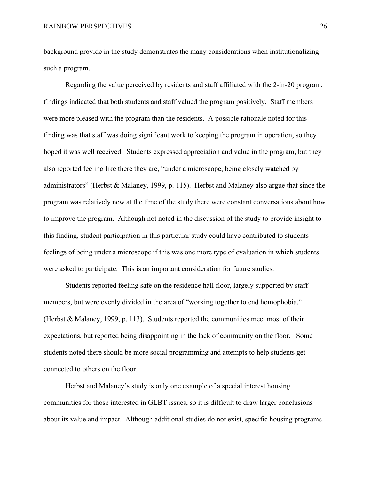background provide in the study demonstrates the many considerations when institutionalizing such a program.

Regarding the value perceived by residents and staff affiliated with the 2-in-20 program, findings indicated that both students and staff valued the program positively. Staff members were more pleased with the program than the residents. A possible rationale noted for this finding was that staff was doing significant work to keeping the program in operation, so they hoped it was well received. Students expressed appreciation and value in the program, but they also reported feeling like there they are, "under a microscope, being closely watched by administrators" (Herbst & Malaney, 1999, p. 115). Herbst and Malaney also argue that since the program was relatively new at the time of the study there were constant conversations about how to improve the program. Although not noted in the discussion of the study to provide insight to this finding, student participation in this particular study could have contributed to students feelings of being under a microscope if this was one more type of evaluation in which students were asked to participate. This is an important consideration for future studies.

Students reported feeling safe on the residence hall floor, largely supported by staff members, but were evenly divided in the area of "working together to end homophobia." (Herbst & Malaney, 1999, p. 113). Students reported the communities meet most of their expectations, but reported being disappointing in the lack of community on the floor. Some students noted there should be more social programming and attempts to help students get connected to others on the floor.

Herbst and Malaney's study is only one example of a special interest housing communities for those interested in GLBT issues, so it is difficult to draw larger conclusions about its value and impact. Although additional studies do not exist, specific housing programs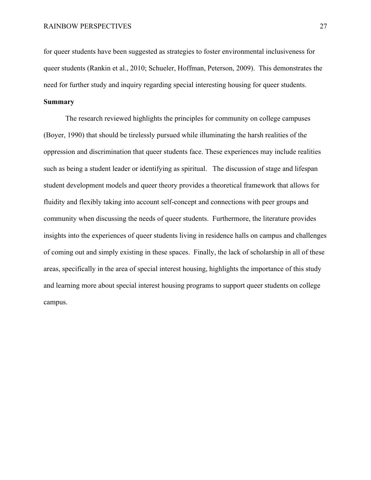for queer students have been suggested as strategies to foster environmental inclusiveness for queer students (Rankin et al., 2010; Schueler, Hoffman, Peterson, 2009). This demonstrates the need for further study and inquiry regarding special interesting housing for queer students.

#### **Summary**

The research reviewed highlights the principles for community on college campuses (Boyer, 1990) that should be tirelessly pursued while illuminating the harsh realities of the oppression and discrimination that queer students face. These experiences may include realities such as being a student leader or identifying as spiritual. The discussion of stage and lifespan student development models and queer theory provides a theoretical framework that allows for fluidity and flexibly taking into account self-concept and connections with peer groups and community when discussing the needs of queer students. Furthermore, the literature provides insights into the experiences of queer students living in residence halls on campus and challenges of coming out and simply existing in these spaces. Finally, the lack of scholarship in all of these areas, specifically in the area of special interest housing, highlights the importance of this study and learning more about special interest housing programs to support queer students on college campus.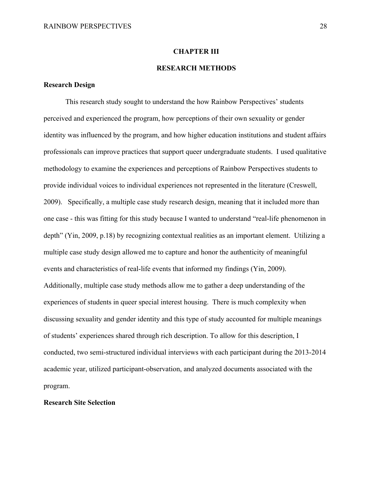## **CHAPTER III**

## **RESEARCH METHODS**

## **Research Design**

This research study sought to understand the how Rainbow Perspectives' students perceived and experienced the program, how perceptions of their own sexuality or gender identity was influenced by the program, and how higher education institutions and student affairs professionals can improve practices that support queer undergraduate students. I used qualitative methodology to examine the experiences and perceptions of Rainbow Perspectives students to provide individual voices to individual experiences not represented in the literature (Creswell, 2009). Specifically, a multiple case study research design, meaning that it included more than one case - this was fitting for this study because I wanted to understand "real-life phenomenon in depth" (Yin, 2009, p.18) by recognizing contextual realities as an important element. Utilizing a multiple case study design allowed me to capture and honor the authenticity of meaningful events and characteristics of real-life events that informed my findings (Yin, 2009). Additionally, multiple case study methods allow me to gather a deep understanding of the experiences of students in queer special interest housing. There is much complexity when discussing sexuality and gender identity and this type of study accounted for multiple meanings of students' experiences shared through rich description. To allow for this description, I conducted, two semi-structured individual interviews with each participant during the 2013-2014 academic year, utilized participant-observation, and analyzed documents associated with the program.

### **Research Site Selection**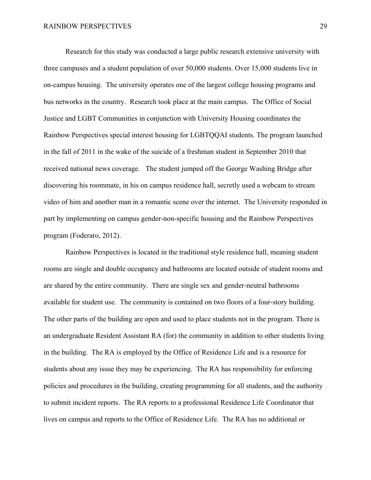Research for this study was conducted a large public research extensive university with three campuses and a student population of over 50,000 students. Over 15,000 students live in on-campus housing. The university operates one of the largest college housing programs and bus networks in the country. Research took place at the main campus. The Office of Social Justice and LGBT Communities in conjunction with University Housing coordinates the Rainbow Perspectives special interest housing for LGBTQQAI students. The program launched in the fall of 2011 in the wake of the suicide of a freshman student in September 2010 that received national news coverage. The student jumped off the George Washing Bridge after discovering his roommate, in his on campus residence hall, secretly used a webcam to stream video of him and another man in a romantic scene over the internet. The University responded in part by implementing on campus gender-non-specific housing and the Rainbow Perspectives program (Foderaro, 2012).

Rainbow Perspectives is located in the traditional style residence hall, meaning student rooms are single and double occupancy and bathrooms are located outside of student rooms and are shared by the entire community. There are single sex and gender-neutral bathrooms available for student use. The community is contained on two floors of a four-story building. The other parts of the building are open and used to place students not in the program. There is an undergraduate Resident Assistant RA (for) the community in addition to other students living in the building. The RA is employed by the Office of Residence Life and is a resource for students about any issue they may be experiencing. The RA has responsibility for enforcing policies and procedures in the building, creating programming for all students, and the authority to submit incident reports. The RA reports to a professional Residence Life Coordinator that lives on campus and reports to the Office of Residence Life. The RA has no additional or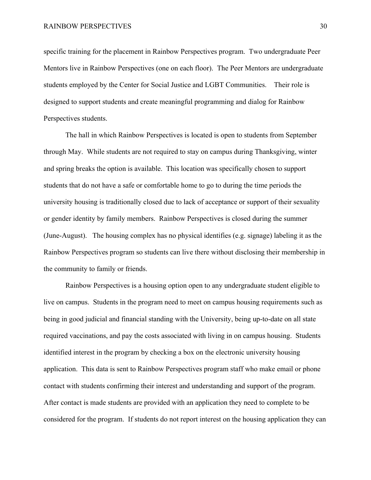specific training for the placement in Rainbow Perspectives program. Two undergraduate Peer Mentors live in Rainbow Perspectives (one on each floor). The Peer Mentors are undergraduate students employed by the Center for Social Justice and LGBT Communities. Their role is designed to support students and create meaningful programming and dialog for Rainbow Perspectives students.

The hall in which Rainbow Perspectives is located is open to students from September through May. While students are not required to stay on campus during Thanksgiving, winter and spring breaks the option is available. This location was specifically chosen to support students that do not have a safe or comfortable home to go to during the time periods the university housing is traditionally closed due to lack of acceptance or support of their sexuality or gender identity by family members. Rainbow Perspectives is closed during the summer (June-August). The housing complex has no physical identifies (e.g. signage) labeling it as the Rainbow Perspectives program so students can live there without disclosing their membership in the community to family or friends.

Rainbow Perspectives is a housing option open to any undergraduate student eligible to live on campus. Students in the program need to meet on campus housing requirements such as being in good judicial and financial standing with the University, being up-to-date on all state required vaccinations, and pay the costs associated with living in on campus housing. Students identified interest in the program by checking a box on the electronic university housing application. This data is sent to Rainbow Perspectives program staff who make email or phone contact with students confirming their interest and understanding and support of the program. After contact is made students are provided with an application they need to complete to be considered for the program. If students do not report interest on the housing application they can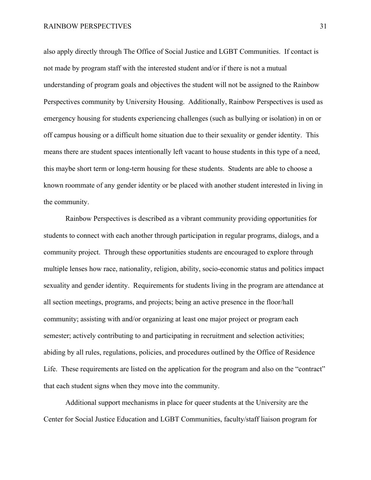also apply directly through The Office of Social Justice and LGBT Communities. If contact is not made by program staff with the interested student and/or if there is not a mutual understanding of program goals and objectives the student will not be assigned to the Rainbow Perspectives community by University Housing. Additionally, Rainbow Perspectives is used as emergency housing for students experiencing challenges (such as bullying or isolation) in on or off campus housing or a difficult home situation due to their sexuality or gender identity. This means there are student spaces intentionally left vacant to house students in this type of a need, this maybe short term or long-term housing for these students. Students are able to choose a known roommate of any gender identity or be placed with another student interested in living in the community.

Rainbow Perspectives is described as a vibrant community providing opportunities for students to connect with each another through participation in regular programs, dialogs, and a community project. Through these opportunities students are encouraged to explore through multiple lenses how race, nationality, religion, ability, socio-economic status and politics impact sexuality and gender identity. Requirements for students living in the program are attendance at all section meetings, programs, and projects; being an active presence in the floor/hall community; assisting with and/or organizing at least one major project or program each semester; actively contributing to and participating in recruitment and selection activities; abiding by all rules, regulations, policies, and procedures outlined by the Office of Residence Life. These requirements are listed on the application for the program and also on the "contract" that each student signs when they move into the community.

Additional support mechanisms in place for queer students at the University are the Center for Social Justice Education and LGBT Communities, faculty/staff liaison program for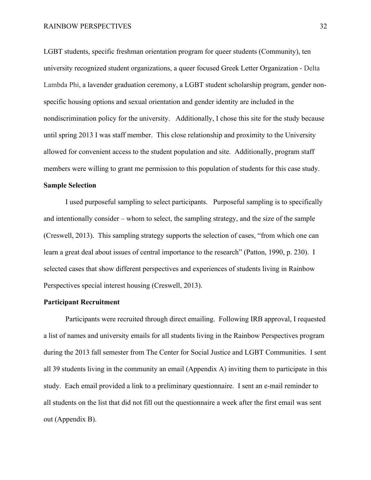LGBT students, specific freshman orientation program for queer students (Community), ten university recognized student organizations, a queer focused Greek Letter Organization - Delta Lambda Phi, a lavender graduation ceremony, a LGBT student scholarship program, gender nonspecific housing options and sexual orientation and gender identity are included in the nondiscrimination policy for the university. Additionally, I chose this site for the study because until spring 2013 I was staff member. This close relationship and proximity to the University allowed for convenient access to the student population and site. Additionally, program staff members were willing to grant me permission to this population of students for this case study.

## **Sample Selection**

I used purposeful sampling to select participants. Purposeful sampling is to specifically and intentionally consider – whom to select, the sampling strategy, and the size of the sample (Creswell, 2013). This sampling strategy supports the selection of cases, "from which one can learn a great deal about issues of central importance to the research" (Patton, 1990, p. 230). I selected cases that show different perspectives and experiences of students living in Rainbow Perspectives special interest housing (Creswell, 2013).

## **Participant Recruitment**

Participants were recruited through direct emailing. Following IRB approval, I requested a list of names and university emails for all students living in the Rainbow Perspectives program during the 2013 fall semester from The Center for Social Justice and LGBT Communities. I sent all 39 students living in the community an email (Appendix A) inviting them to participate in this study. Each email provided a link to a preliminary questionnaire. I sent an e-mail reminder to all students on the list that did not fill out the questionnaire a week after the first email was sent out (Appendix B).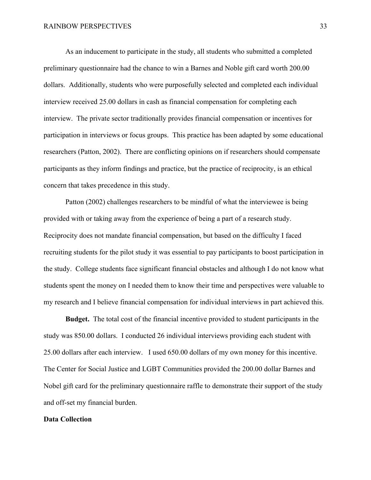As an inducement to participate in the study, all students who submitted a completed preliminary questionnaire had the chance to win a Barnes and Noble gift card worth 200.00 dollars. Additionally, students who were purposefully selected and completed each individual interview received 25.00 dollars in cash as financial compensation for completing each interview. The private sector traditionally provides financial compensation or incentives for participation in interviews or focus groups. This practice has been adapted by some educational researchers (Patton, 2002). There are conflicting opinions on if researchers should compensate participants as they inform findings and practice, but the practice of reciprocity, is an ethical concern that takes precedence in this study.

Patton (2002) challenges researchers to be mindful of what the interviewee is being provided with or taking away from the experience of being a part of a research study. Reciprocity does not mandate financial compensation, but based on the difficulty I faced recruiting students for the pilot study it was essential to pay participants to boost participation in the study. College students face significant financial obstacles and although I do not know what students spent the money on I needed them to know their time and perspectives were valuable to my research and I believe financial compensation for individual interviews in part achieved this.

**Budget.** The total cost of the financial incentive provided to student participants in the study was 850.00 dollars. I conducted 26 individual interviews providing each student with 25.00 dollars after each interview. I used 650.00 dollars of my own money for this incentive. The Center for Social Justice and LGBT Communities provided the 200.00 dollar Barnes and Nobel gift card for the preliminary questionnaire raffle to demonstrate their support of the study and off-set my financial burden.

### **Data Collection**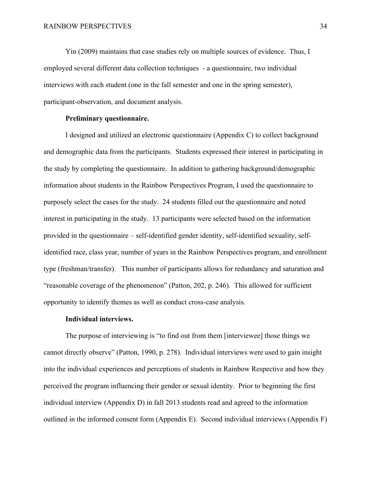Yin (2009) maintains that case studies rely on multiple sources of evidence. Thus, I employed several different data collection techniques - a questionnaire, two individual interviews with each student (one in the fall semester and one in the spring semester), participant-observation, and document analysis.

## **Preliminary questionnaire.**

I designed and utilized an electronic questionnaire (Appendix C) to collect background and demographic data from the participants. Students expressed their interest in participating in the study by completing the questionnaire. In addition to gathering background/demographic information about students in the Rainbow Perspectives Program, I used the questionnaire to purposely select the cases for the study. 24 students filled out the questionnaire and noted interest in participating in the study. 13 participants were selected based on the information provided in the questionnaire – self-identified gender identity, self-identified sexuality, selfidentified race, class year, number of years in the Rainbow Perspectives program, and enrollment type (freshman/transfer). This number of participants allows for redundancy and saturation and "reasonable coverage of the phenomenon" (Patton, 202, p. 246). This allowed for sufficient opportunity to identify themes as well as conduct cross-case analysis.

### **Individual interviews.**

The purpose of interviewing is "to find out from them [interviewee] those things we cannot directly observe" (Patton, 1990, p. 278). Individual interviews were used to gain insight into the individual experiences and perceptions of students in Rainbow Respective and how they perceived the program influencing their gender or sexual identity. Prior to beginning the first individual interview (Appendix D) in fall 2013 students read and agreed to the information outlined in the informed consent form (Appendix E). Second individual interviews (Appendix F)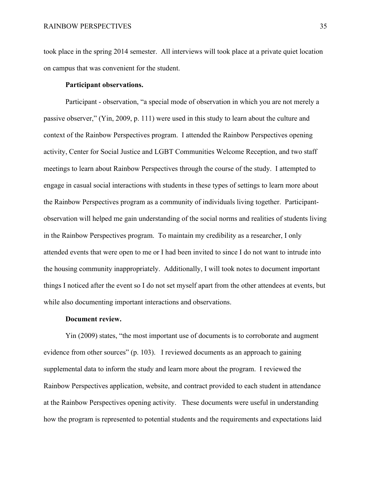took place in the spring 2014 semester. All interviews will took place at a private quiet location on campus that was convenient for the student.

## **Participant observations.**

Participant - observation, "a special mode of observation in which you are not merely a passive observer," (Yin, 2009, p. 111) were used in this study to learn about the culture and context of the Rainbow Perspectives program. I attended the Rainbow Perspectives opening activity, Center for Social Justice and LGBT Communities Welcome Reception, and two staff meetings to learn about Rainbow Perspectives through the course of the study. I attempted to engage in casual social interactions with students in these types of settings to learn more about the Rainbow Perspectives program as a community of individuals living together. Participantobservation will helped me gain understanding of the social norms and realities of students living in the Rainbow Perspectives program. To maintain my credibility as a researcher, I only attended events that were open to me or I had been invited to since I do not want to intrude into the housing community inappropriately. Additionally, I will took notes to document important things I noticed after the event so I do not set myself apart from the other attendees at events, but while also documenting important interactions and observations.

### **Document review.**

Yin (2009) states, "the most important use of documents is to corroborate and augment evidence from other sources" (p. 103). I reviewed documents as an approach to gaining supplemental data to inform the study and learn more about the program. I reviewed the Rainbow Perspectives application, website, and contract provided to each student in attendance at the Rainbow Perspectives opening activity. These documents were useful in understanding how the program is represented to potential students and the requirements and expectations laid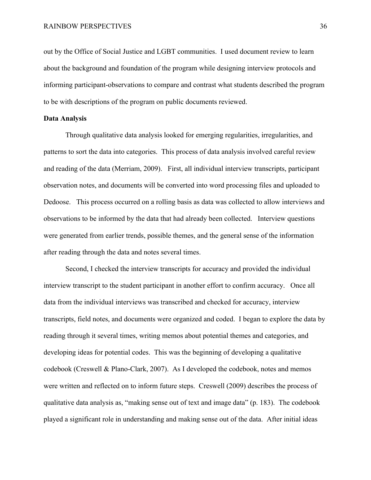out by the Office of Social Justice and LGBT communities. I used document review to learn about the background and foundation of the program while designing interview protocols and informing participant-observations to compare and contrast what students described the program to be with descriptions of the program on public documents reviewed.

### **Data Analysis**

Through qualitative data analysis looked for emerging regularities, irregularities, and patterns to sort the data into categories. This process of data analysis involved careful review and reading of the data (Merriam, 2009). First, all individual interview transcripts, participant observation notes, and documents will be converted into word processing files and uploaded to Dedoose. This process occurred on a rolling basis as data was collected to allow interviews and observations to be informed by the data that had already been collected. Interview questions were generated from earlier trends, possible themes, and the general sense of the information after reading through the data and notes several times.

Second, I checked the interview transcripts for accuracy and provided the individual interview transcript to the student participant in another effort to confirm accuracy. Once all data from the individual interviews was transcribed and checked for accuracy, interview transcripts, field notes, and documents were organized and coded. I began to explore the data by reading through it several times, writing memos about potential themes and categories, and developing ideas for potential codes. This was the beginning of developing a qualitative codebook (Creswell & Plano-Clark, 2007). As I developed the codebook, notes and memos were written and reflected on to inform future steps. Creswell (2009) describes the process of qualitative data analysis as, "making sense out of text and image data" (p. 183). The codebook played a significant role in understanding and making sense out of the data. After initial ideas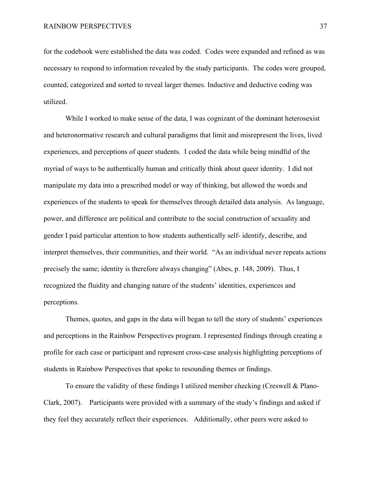for the codebook were established the data was coded. Codes were expanded and refined as was necessary to respond to information revealed by the study participants. The codes were grouped, counted, categorized and sorted to reveal larger themes. Inductive and deductive coding was utilized.

While I worked to make sense of the data, I was cognizant of the dominant heterosexist and heteronormative research and cultural paradigms that limit and misrepresent the lives, lived experiences, and perceptions of queer students. I coded the data while being mindful of the myriad of ways to be authentically human and critically think about queer identity. I did not manipulate my data into a prescribed model or way of thinking, but allowed the words and experiences of the students to speak for themselves through detailed data analysis. As language, power, and difference are political and contribute to the social construction of sexuality and gender I paid particular attention to how students authentically self- identify, describe, and interpret themselves, their communities, and their world. "As an individual never repeats actions precisely the same; identity is therefore always changing" (Abes, p. 148, 2009). Thus, I recognized the fluidity and changing nature of the students' identities, experiences and perceptions.

Themes, quotes, and gaps in the data will began to tell the story of students' experiences and perceptions in the Rainbow Perspectives program. I represented findings through creating a profile for each case or participant and represent cross-case analysis highlighting perceptions of students in Rainbow Perspectives that spoke to resounding themes or findings.

To ensure the validity of these findings I utilized member checking (Creswell & Plano-Clark, 2007). Participants were provided with a summary of the study's findings and asked if they feel they accurately reflect their experiences. Additionally, other peers were asked to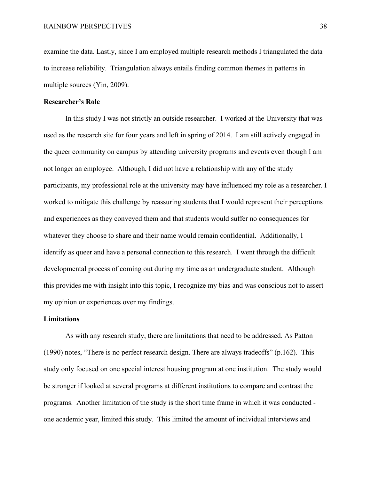examine the data. Lastly, since I am employed multiple research methods I triangulated the data to increase reliability. Triangulation always entails finding common themes in patterns in multiple sources (Yin, 2009).

## **Researcher's Role**

In this study I was not strictly an outside researcher. I worked at the University that was used as the research site for four years and left in spring of 2014. I am still actively engaged in the queer community on campus by attending university programs and events even though I am not longer an employee. Although, I did not have a relationship with any of the study participants, my professional role at the university may have influenced my role as a researcher. I worked to mitigate this challenge by reassuring students that I would represent their perceptions and experiences as they conveyed them and that students would suffer no consequences for whatever they choose to share and their name would remain confidential. Additionally, I identify as queer and have a personal connection to this research. I went through the difficult developmental process of coming out during my time as an undergraduate student. Although this provides me with insight into this topic, I recognize my bias and was conscious not to assert my opinion or experiences over my findings.

### **Limitations**

As with any research study, there are limitations that need to be addressed. As Patton (1990) notes, "There is no perfect research design. There are always tradeoffs" (p.162). This study only focused on one special interest housing program at one institution. The study would be stronger if looked at several programs at different institutions to compare and contrast the programs. Another limitation of the study is the short time frame in which it was conducted one academic year, limited this study. This limited the amount of individual interviews and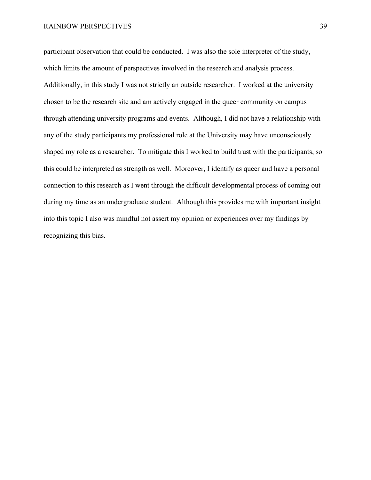participant observation that could be conducted. I was also the sole interpreter of the study, which limits the amount of perspectives involved in the research and analysis process. Additionally, in this study I was not strictly an outside researcher. I worked at the university chosen to be the research site and am actively engaged in the queer community on campus through attending university programs and events. Although, I did not have a relationship with any of the study participants my professional role at the University may have unconsciously shaped my role as a researcher. To mitigate this I worked to build trust with the participants, so this could be interpreted as strength as well. Moreover, I identify as queer and have a personal connection to this research as I went through the difficult developmental process of coming out during my time as an undergraduate student. Although this provides me with important insight into this topic I also was mindful not assert my opinion or experiences over my findings by recognizing this bias.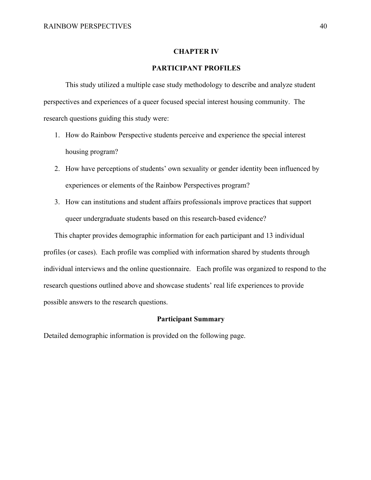#### **CHAPTER IV**

## **PARTICIPANT PROFILES**

This study utilized a multiple case study methodology to describe and analyze student perspectives and experiences of a queer focused special interest housing community. The research questions guiding this study were:

- 1. How do Rainbow Perspective students perceive and experience the special interest housing program?
- 2. How have perceptions of students' own sexuality or gender identity been influenced by experiences or elements of the Rainbow Perspectives program?
- 3. How can institutions and student affairs professionals improve practices that support queer undergraduate students based on this research-based evidence?

This chapter provides demographic information for each participant and 13 individual profiles (or cases). Each profile was complied with information shared by students through individual interviews and the online questionnaire. Each profile was organized to respond to the research questions outlined above and showcase students' real life experiences to provide possible answers to the research questions.

## **Participant Summary**

Detailed demographic information is provided on the following page.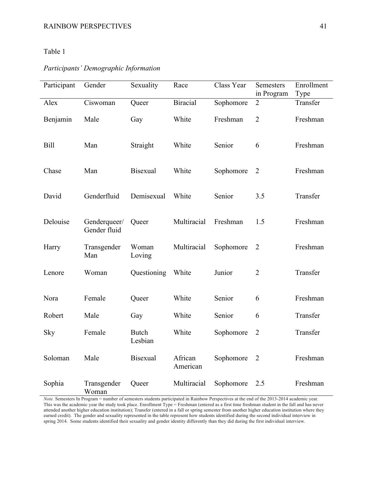# Table 1

# *Participants' Demographic Information*

| Participant | Gender                       | Sexuality               | Race                | Class Year | Semesters<br>in Program | Enrollment<br>Type |
|-------------|------------------------------|-------------------------|---------------------|------------|-------------------------|--------------------|
| Alex        | Ciswoman                     | Queer                   | <b>Biracial</b>     | Sophomore  | $\overline{2}$          | Transfer           |
| Benjamin    | Male                         | Gay                     | White               | Freshman   | $\overline{2}$          | Freshman           |
| <b>Bill</b> | Man                          | Straight                | White               | Senior     | 6                       | Freshman           |
| Chase       | Man                          | <b>Bisexual</b>         | White               | Sophomore  | $\overline{2}$          | Freshman           |
| David       | Genderfluid                  | Demisexual              | White               | Senior     | 3.5                     | Transfer           |
| Delouise    | Genderqueer/<br>Gender fluid | Queer                   | Multiracial         | Freshman   | 1.5                     | Freshman           |
| Harry       | Transgender<br>Man           | Woman<br>Loving         | Multiracial         | Sophomore  | $\overline{2}$          | Freshman           |
| Lenore      | Woman                        | Questioning             | White               | Junior     | $\overline{2}$          | Transfer           |
| Nora        | Female                       | Queer                   | White               | Senior     | 6                       | Freshman           |
| Robert      | Male                         | Gay                     | White               | Senior     | 6                       | Transfer           |
| Sky         | Female                       | <b>Butch</b><br>Lesbian | White               | Sophomore  | $\overline{2}$          | Transfer           |
| Soloman     | Male                         | Bisexual                | African<br>American | Sophomore  | $\overline{2}$          | Freshman           |
| Sophia      | Transgender<br>Woman         | Queer                   | Multiracial         | Sophomore  | 2.5                     | Freshman           |

*Note.* Semesters In Program = number of semesters students participated in Rainbow Perspectives at the end of the 2013-2014 academic year. This was the academic year the study took place. Enrollment Type = Freshman (entered as a first time freshman student in the fall and has never attended another higher education institution); Transfer (entered in a fall or spring semester from another higher education institution where they earned credit). The gender and sexuality represented in the table represent how students identified during the second individual interview in spring 2014. Some students identified their sexuality and gender identity differently than they did during the first individual interview.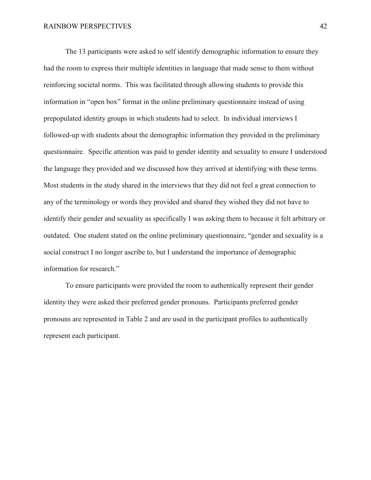The 13 participants were asked to self identify demographic information to ensure they had the room to express their multiple identities in language that made sense to them without reinforcing societal norms. This was facilitated through allowing students to provide this information in "open box" format in the online preliminary questionnaire instead of using prepopulated identity groups in which students had to select. In individual interviews I followed-up with students about the demographic information they provided in the preliminary questionnaire. Specific attention was paid to gender identity and sexuality to ensure I understood the language they provided and we discussed how they arrived at identifying with these terms. Most students in the study shared in the interviews that they did not feel a great connection to any of the terminology or words they provided and shared they wished they did not have to identify their gender and sexuality as specifically I was asking them to because it felt arbitrary or outdated. One student stated on the online preliminary questionnaire, "gender and sexuality is a social construct I no longer ascribe to, but I understand the importance of demographic information for research."

To ensure participants were provided the room to authentically represent their gender identity they were asked their preferred gender pronouns. Participants preferred gender pronouns are represented in Table 2 and are used in the participant profiles to authentically represent each participant.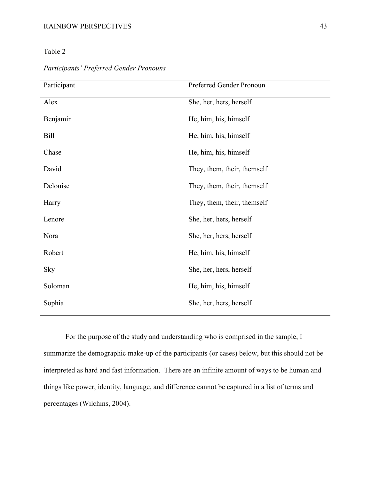## RAINBOW PERSPECTIVES 43

Table 2

| Participant | Preferred Gender Pronoun    |
|-------------|-----------------------------|
| Alex        | She, her, hers, herself     |
| Benjamin    | He, him, his, himself       |
| <b>Bill</b> | He, him, his, himself       |
| Chase       | He, him, his, himself       |
| David       | They, them, their, themself |
| Delouise    | They, them, their, themself |
| Harry       | They, them, their, themself |
| Lenore      | She, her, hers, herself     |
| Nora        | She, her, hers, herself     |
| Robert      | He, him, his, himself       |
| <b>Sky</b>  | She, her, hers, herself     |
| Soloman     | He, him, his, himself       |
| Sophia      | She, her, hers, herself     |
|             |                             |

*Participants' Preferred Gender Pronouns* 

For the purpose of the study and understanding who is comprised in the sample, I summarize the demographic make-up of the participants (or cases) below, but this should not be interpreted as hard and fast information. There are an infinite amount of ways to be human and things like power, identity, language, and difference cannot be captured in a list of terms and percentages (Wilchins, 2004).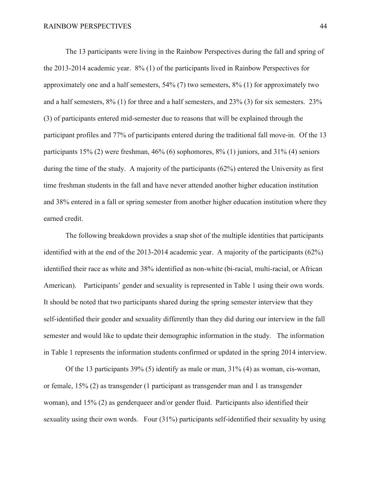The 13 participants were living in the Rainbow Perspectives during the fall and spring of the 2013-2014 academic year. 8% (1) of the participants lived in Rainbow Perspectives for approximately one and a half semesters, 54% (7) two semesters, 8% (1) for approximately two and a half semesters, 8% (1) for three and a half semesters, and 23% (3) for six semesters. 23% (3) of participants entered mid-semester due to reasons that will be explained through the participant profiles and 77% of participants entered during the traditional fall move-in. Of the 13 participants 15% (2) were freshman, 46% (6) sophomores, 8% (1) juniors, and 31% (4) seniors during the time of the study. A majority of the participants (62%) entered the University as first time freshman students in the fall and have never attended another higher education institution and 38% entered in a fall or spring semester from another higher education institution where they earned credit.

The following breakdown provides a snap shot of the multiple identities that participants identified with at the end of the 2013-2014 academic year. A majority of the participants (62%) identified their race as white and 38% identified as non-white (bi-racial, multi-racial, or African American). Participants' gender and sexuality is represented in Table 1 using their own words. It should be noted that two participants shared during the spring semester interview that they self-identified their gender and sexuality differently than they did during our interview in the fall semester and would like to update their demographic information in the study. The information in Table 1 represents the information students confirmed or updated in the spring 2014 interview.

Of the 13 participants 39% (5) identify as male or man, 31% (4) as woman, cis-woman, or female, 15% (2) as transgender (1 participant as transgender man and 1 as transgender woman), and 15% (2) as genderqueer and/or gender fluid. Participants also identified their sexuality using their own words. Four (31%) participants self-identified their sexuality by using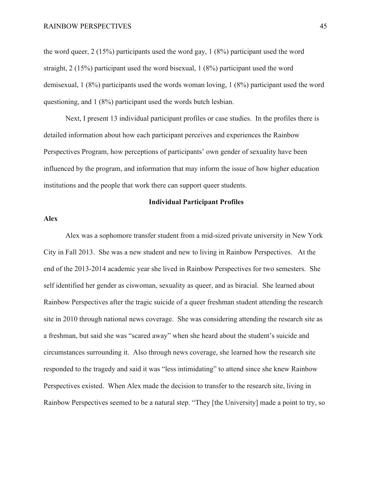the word queer, 2 (15%) participants used the word gay, 1 (8%) participant used the word straight, 2 (15%) participant used the word bisexual, 1 (8%) participant used the word demisexual, 1 (8%) participants used the words woman loving, 1 (8%) participant used the word questioning, and 1 (8%) participant used the words butch lesbian.

Next, I present 13 individual participant profiles or case studies. In the profiles there is detailed information about how each participant perceives and experiences the Rainbow Perspectives Program, how perceptions of participants' own gender of sexuality have been influenced by the program, and information that may inform the issue of how higher education institutions and the people that work there can support queer students.

#### **Individual Participant Profiles**

## **Alex**

Alex was a sophomore transfer student from a mid-sized private university in New York City in Fall 2013. She was a new student and new to living in Rainbow Perspectives. At the end of the 2013-2014 academic year she lived in Rainbow Perspectives for two semesters. She self identified her gender as ciswoman, sexuality as queer, and as biracial. She learned about Rainbow Perspectives after the tragic suicide of a queer freshman student attending the research site in 2010 through national news coverage. She was considering attending the research site as a freshman, but said she was "scared away" when she heard about the student's suicide and circumstances surrounding it. Also through news coverage, she learned how the research site responded to the tragedy and said it was "less intimidating" to attend since she knew Rainbow Perspectives existed. When Alex made the decision to transfer to the research site, living in Rainbow Perspectives seemed to be a natural step. "They [the University] made a point to try, so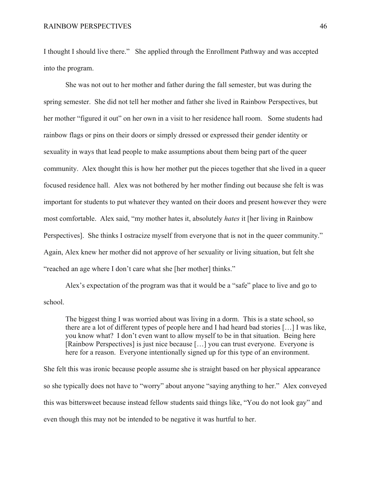I thought I should live there." She applied through the Enrollment Pathway and was accepted into the program.

She was not out to her mother and father during the fall semester, but was during the spring semester. She did not tell her mother and father she lived in Rainbow Perspectives, but her mother "figured it out" on her own in a visit to her residence hall room. Some students had rainbow flags or pins on their doors or simply dressed or expressed their gender identity or sexuality in ways that lead people to make assumptions about them being part of the queer community. Alex thought this is how her mother put the pieces together that she lived in a queer focused residence hall. Alex was not bothered by her mother finding out because she felt is was important for students to put whatever they wanted on their doors and present however they were most comfortable. Alex said, "my mother hates it, absolutely *hates* it [her living in Rainbow Perspectives]. She thinks I ostracize myself from everyone that is not in the queer community." Again, Alex knew her mother did not approve of her sexuality or living situation, but felt she "reached an age where I don't care what she [her mother] thinks."

Alex's expectation of the program was that it would be a "safe" place to live and go to school.

The biggest thing I was worried about was living in a dorm. This is a state school, so there are a lot of different types of people here and I had heard bad stories […] I was like, you know what? I don't even want to allow myself to be in that situation. Being here [Rainbow Perspectives] is just nice because […] you can trust everyone. Everyone is here for a reason. Everyone intentionally signed up for this type of an environment.

She felt this was ironic because people assume she is straight based on her physical appearance so she typically does not have to "worry" about anyone "saying anything to her." Alex conveyed this was bittersweet because instead fellow students said things like, "You do not look gay" and even though this may not be intended to be negative it was hurtful to her.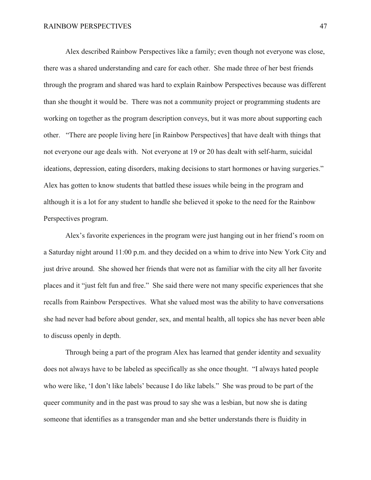Alex described Rainbow Perspectives like a family; even though not everyone was close, there was a shared understanding and care for each other. She made three of her best friends through the program and shared was hard to explain Rainbow Perspectives because was different than she thought it would be. There was not a community project or programming students are working on together as the program description conveys, but it was more about supporting each other. "There are people living here [in Rainbow Perspectives] that have dealt with things that not everyone our age deals with. Not everyone at 19 or 20 has dealt with self-harm, suicidal ideations, depression, eating disorders, making decisions to start hormones or having surgeries." Alex has gotten to know students that battled these issues while being in the program and although it is a lot for any student to handle she believed it spoke to the need for the Rainbow Perspectives program.

Alex's favorite experiences in the program were just hanging out in her friend's room on a Saturday night around 11:00 p.m. and they decided on a whim to drive into New York City and just drive around. She showed her friends that were not as familiar with the city all her favorite places and it "just felt fun and free." She said there were not many specific experiences that she recalls from Rainbow Perspectives. What she valued most was the ability to have conversations she had never had before about gender, sex, and mental health, all topics she has never been able to discuss openly in depth.

Through being a part of the program Alex has learned that gender identity and sexuality does not always have to be labeled as specifically as she once thought. "I always hated people who were like, 'I don't like labels' because I do like labels." She was proud to be part of the queer community and in the past was proud to say she was a lesbian, but now she is dating someone that identifies as a transgender man and she better understands there is fluidity in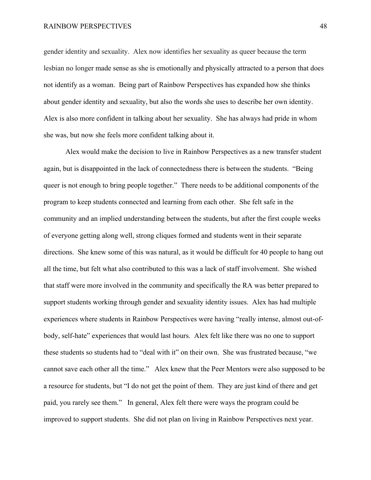gender identity and sexuality. Alex now identifies her sexuality as queer because the term lesbian no longer made sense as she is emotionally and physically attracted to a person that does not identify as a woman. Being part of Rainbow Perspectives has expanded how she thinks about gender identity and sexuality, but also the words she uses to describe her own identity. Alex is also more confident in talking about her sexuality. She has always had pride in whom she was, but now she feels more confident talking about it.

Alex would make the decision to live in Rainbow Perspectives as a new transfer student again, but is disappointed in the lack of connectedness there is between the students. "Being queer is not enough to bring people together." There needs to be additional components of the program to keep students connected and learning from each other. She felt safe in the community and an implied understanding between the students, but after the first couple weeks of everyone getting along well, strong cliques formed and students went in their separate directions. She knew some of this was natural, as it would be difficult for 40 people to hang out all the time, but felt what also contributed to this was a lack of staff involvement. She wished that staff were more involved in the community and specifically the RA was better prepared to support students working through gender and sexuality identity issues. Alex has had multiple experiences where students in Rainbow Perspectives were having "really intense, almost out-ofbody, self-hate" experiences that would last hours. Alex felt like there was no one to support these students so students had to "deal with it" on their own. She was frustrated because, "we cannot save each other all the time." Alex knew that the Peer Mentors were also supposed to be a resource for students, but "I do not get the point of them. They are just kind of there and get paid, you rarely see them." In general, Alex felt there were ways the program could be improved to support students. She did not plan on living in Rainbow Perspectives next year.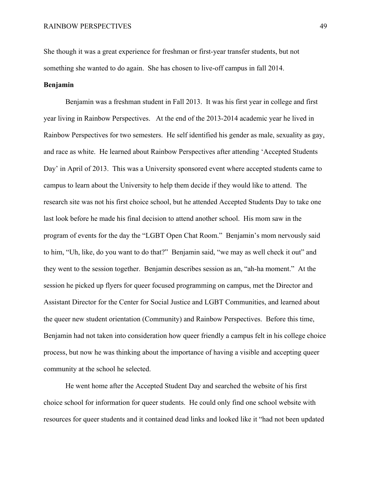She though it was a great experience for freshman or first-year transfer students, but not something she wanted to do again. She has chosen to live-off campus in fall 2014.

# **Benjamin**

Benjamin was a freshman student in Fall 2013. It was his first year in college and first year living in Rainbow Perspectives. At the end of the 2013-2014 academic year he lived in Rainbow Perspectives for two semesters. He self identified his gender as male, sexuality as gay, and race as white. He learned about Rainbow Perspectives after attending 'Accepted Students Day' in April of 2013. This was a University sponsored event where accepted students came to campus to learn about the University to help them decide if they would like to attend. The research site was not his first choice school, but he attended Accepted Students Day to take one last look before he made his final decision to attend another school. His mom saw in the program of events for the day the "LGBT Open Chat Room." Benjamin's mom nervously said to him, "Uh, like, do you want to do that?" Benjamin said, "we may as well check it out" and they went to the session together. Benjamin describes session as an, "ah-ha moment." At the session he picked up flyers for queer focused programming on campus, met the Director and Assistant Director for the Center for Social Justice and LGBT Communities, and learned about the queer new student orientation (Community) and Rainbow Perspectives. Before this time, Benjamin had not taken into consideration how queer friendly a campus felt in his college choice process, but now he was thinking about the importance of having a visible and accepting queer community at the school he selected.

He went home after the Accepted Student Day and searched the website of his first choice school for information for queer students. He could only find one school website with resources for queer students and it contained dead links and looked like it "had not been updated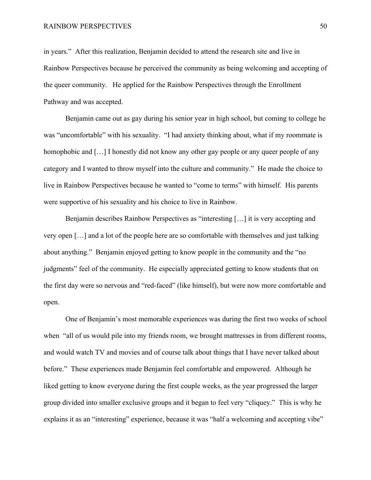in years." After this realization, Benjamin decided to attend the research site and live in Rainbow Perspectives because he perceived the community as being welcoming and accepting of the queer community. He applied for the Rainbow Perspectives through the Enrollment Pathway and was accepted.

Benjamin came out as gay during his senior year in high school, but coming to college he was "uncomfortable" with his sexuality. "I had anxiety thinking about, what if my roommate is homophobic and [...] I honestly did not know any other gay people or any queer people of any category and I wanted to throw myself into the culture and community." He made the choice to live in Rainbow Perspectives because he wanted to "come to terms" with himself. His parents were supportive of his sexuality and his choice to live in Rainbow.

Benjamin describes Rainbow Perspectives as "interesting […] it is very accepting and very open […] and a lot of the people here are so comfortable with themselves and just talking about anything." Benjamin enjoyed getting to know people in the community and the "no judgments" feel of the community. He especially appreciated getting to know students that on the first day were so nervous and "red-faced" (like himself), but were now more comfortable and open.

One of Benjamin's most memorable experiences was during the first two weeks of school when "all of us would pile into my friends room, we brought mattresses in from different rooms, and would watch TV and movies and of course talk about things that I have never talked about before." These experiences made Benjamin feel comfortable and empowered. Although he liked getting to know everyone during the first couple weeks, as the year progressed the larger group divided into smaller exclusive groups and it began to feel very "cliquey." This is why he explains it as an "interesting" experience, because it was "half a welcoming and accepting vibe"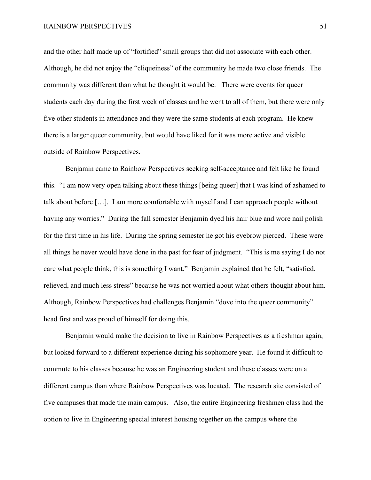and the other half made up of "fortified" small groups that did not associate with each other. Although, he did not enjoy the "cliqueiness" of the community he made two close friends. The community was different than what he thought it would be. There were events for queer students each day during the first week of classes and he went to all of them, but there were only five other students in attendance and they were the same students at each program. He knew there is a larger queer community, but would have liked for it was more active and visible outside of Rainbow Perspectives.

Benjamin came to Rainbow Perspectives seeking self-acceptance and felt like he found this. "I am now very open talking about these things [being queer] that I was kind of ashamed to talk about before […]. I am more comfortable with myself and I can approach people without having any worries." During the fall semester Benjamin dyed his hair blue and wore nail polish for the first time in his life. During the spring semester he got his eyebrow pierced. These were all things he never would have done in the past for fear of judgment. "This is me saying I do not care what people think, this is something I want." Benjamin explained that he felt, "satisfied, relieved, and much less stress" because he was not worried about what others thought about him. Although, Rainbow Perspectives had challenges Benjamin "dove into the queer community" head first and was proud of himself for doing this.

Benjamin would make the decision to live in Rainbow Perspectives as a freshman again, but looked forward to a different experience during his sophomore year. He found it difficult to commute to his classes because he was an Engineering student and these classes were on a different campus than where Rainbow Perspectives was located. The research site consisted of five campuses that made the main campus. Also, the entire Engineering freshmen class had the option to live in Engineering special interest housing together on the campus where the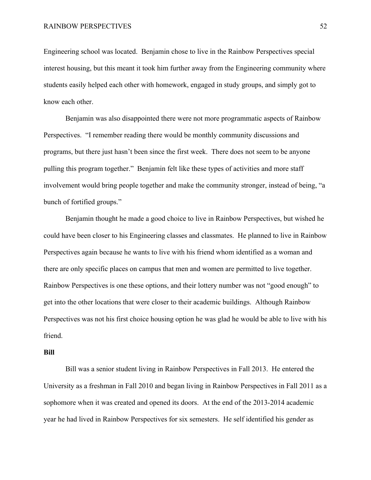Engineering school was located. Benjamin chose to live in the Rainbow Perspectives special interest housing, but this meant it took him further away from the Engineering community where students easily helped each other with homework, engaged in study groups, and simply got to know each other.

Benjamin was also disappointed there were not more programmatic aspects of Rainbow Perspectives. "I remember reading there would be monthly community discussions and programs, but there just hasn't been since the first week. There does not seem to be anyone pulling this program together." Benjamin felt like these types of activities and more staff involvement would bring people together and make the community stronger, instead of being, "a bunch of fortified groups."

Benjamin thought he made a good choice to live in Rainbow Perspectives, but wished he could have been closer to his Engineering classes and classmates. He planned to live in Rainbow Perspectives again because he wants to live with his friend whom identified as a woman and there are only specific places on campus that men and women are permitted to live together. Rainbow Perspectives is one these options, and their lottery number was not "good enough" to get into the other locations that were closer to their academic buildings. Although Rainbow Perspectives was not his first choice housing option he was glad he would be able to live with his friend.

#### **Bill**

Bill was a senior student living in Rainbow Perspectives in Fall 2013. He entered the University as a freshman in Fall 2010 and began living in Rainbow Perspectives in Fall 2011 as a sophomore when it was created and opened its doors. At the end of the 2013-2014 academic year he had lived in Rainbow Perspectives for six semesters. He self identified his gender as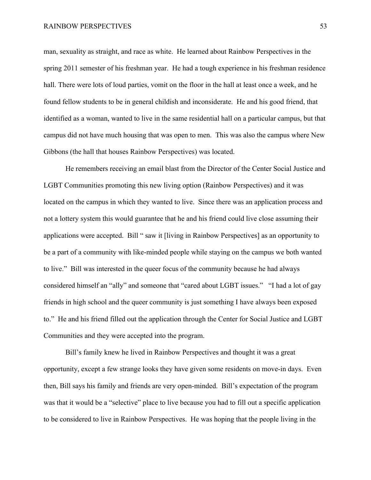man, sexuality as straight, and race as white. He learned about Rainbow Perspectives in the spring 2011 semester of his freshman year. He had a tough experience in his freshman residence hall. There were lots of loud parties, vomit on the floor in the hall at least once a week, and he found fellow students to be in general childish and inconsiderate. He and his good friend, that identified as a woman, wanted to live in the same residential hall on a particular campus, but that campus did not have much housing that was open to men. This was also the campus where New Gibbons (the hall that houses Rainbow Perspectives) was located.

He remembers receiving an email blast from the Director of the Center Social Justice and LGBT Communities promoting this new living option (Rainbow Perspectives) and it was located on the campus in which they wanted to live. Since there was an application process and not a lottery system this would guarantee that he and his friend could live close assuming their applications were accepted. Bill " saw it [living in Rainbow Perspectives] as an opportunity to be a part of a community with like-minded people while staying on the campus we both wanted to live." Bill was interested in the queer focus of the community because he had always considered himself an "ally" and someone that "cared about LGBT issues." "I had a lot of gay friends in high school and the queer community is just something I have always been exposed to." He and his friend filled out the application through the Center for Social Justice and LGBT Communities and they were accepted into the program.

Bill's family knew he lived in Rainbow Perspectives and thought it was a great opportunity, except a few strange looks they have given some residents on move-in days. Even then, Bill says his family and friends are very open-minded. Bill's expectation of the program was that it would be a "selective" place to live because you had to fill out a specific application to be considered to live in Rainbow Perspectives. He was hoping that the people living in the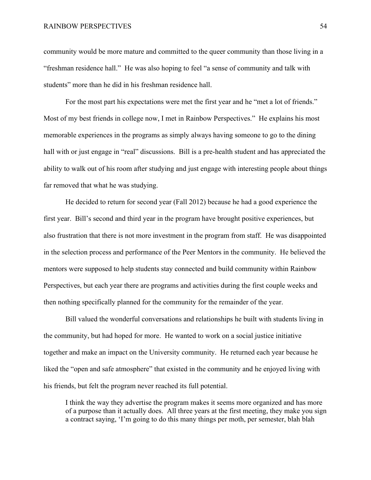community would be more mature and committed to the queer community than those living in a "freshman residence hall." He was also hoping to feel "a sense of community and talk with students" more than he did in his freshman residence hall.

For the most part his expectations were met the first year and he "met a lot of friends." Most of my best friends in college now, I met in Rainbow Perspectives." He explains his most memorable experiences in the programs as simply always having someone to go to the dining hall with or just engage in "real" discussions. Bill is a pre-health student and has appreciated the ability to walk out of his room after studying and just engage with interesting people about things far removed that what he was studying.

He decided to return for second year (Fall 2012) because he had a good experience the first year. Bill's second and third year in the program have brought positive experiences, but also frustration that there is not more investment in the program from staff. He was disappointed in the selection process and performance of the Peer Mentors in the community. He believed the mentors were supposed to help students stay connected and build community within Rainbow Perspectives, but each year there are programs and activities during the first couple weeks and then nothing specifically planned for the community for the remainder of the year.

Bill valued the wonderful conversations and relationships he built with students living in the community, but had hoped for more. He wanted to work on a social justice initiative together and make an impact on the University community. He returned each year because he liked the "open and safe atmosphere" that existed in the community and he enjoyed living with his friends, but felt the program never reached its full potential.

I think the way they advertise the program makes it seems more organized and has more of a purpose than it actually does. All three years at the first meeting, they make you sign a contract saying, 'I'm going to do this many things per moth, per semester, blah blah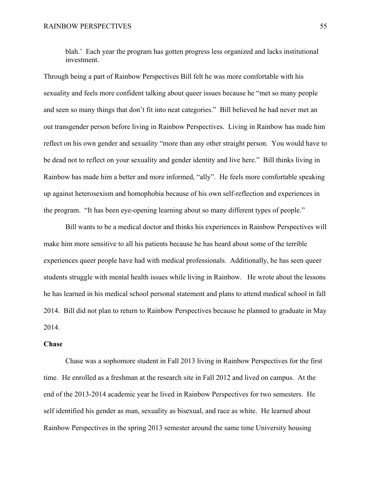blah.' Each year the program has gotten progress less organized and lacks institutional investment.

Through being a part of Rainbow Perspectives Bill felt he was more comfortable with his sexuality and feels more confident talking about queer issues because he "met so many people and seen so many things that don't fit into neat categories." Bill believed he had never met an out transgender person before living in Rainbow Perspectives. Living in Rainbow has made him reflect on his own gender and sexuality "more than any other straight person. You would have to be dead not to reflect on your sexuality and gender identity and live here." Bill thinks living in Rainbow has made him a better and more informed, "ally". He feels more comfortable speaking up against heterosexism and homophobia because of his own self-reflection and experiences in the program. "It has been eye-opening learning about so many different types of people."

Bill wants to be a medical doctor and thinks his experiences in Rainbow Perspectives will make him more sensitive to all his patients because he has heard about some of the terrible experiences queer people have had with medical professionals. Additionally, he has seen queer students struggle with mental health issues while living in Rainbow. He wrote about the lessons he has learned in his medical school personal statement and plans to attend medical school in fall 2014. Bill did not plan to return to Rainbow Perspectives because he planned to graduate in May 2014.

## **Chase**

Chase was a sophomore student in Fall 2013 living in Rainbow Perspectives for the first time. He enrolled as a freshman at the research site in Fall 2012 and lived on campus. At the end of the 2013-2014 academic year he lived in Rainbow Perspectives for two semesters. He self identified his gender as man, sexuality as bisexual, and race as white. He learned about Rainbow Perspectives in the spring 2013 semester around the same time University housing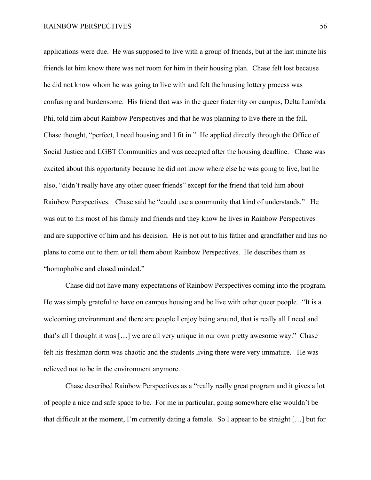applications were due. He was supposed to live with a group of friends, but at the last minute his friends let him know there was not room for him in their housing plan. Chase felt lost because he did not know whom he was going to live with and felt the housing lottery process was confusing and burdensome. His friend that was in the queer fraternity on campus, Delta Lambda Phi, told him about Rainbow Perspectives and that he was planning to live there in the fall. Chase thought, "perfect, I need housing and I fit in." He applied directly through the Office of Social Justice and LGBT Communities and was accepted after the housing deadline. Chase was excited about this opportunity because he did not know where else he was going to live, but he also, "didn't really have any other queer friends" except for the friend that told him about Rainbow Perspectives. Chase said he "could use a community that kind of understands." He was out to his most of his family and friends and they know he lives in Rainbow Perspectives and are supportive of him and his decision. He is not out to his father and grandfather and has no plans to come out to them or tell them about Rainbow Perspectives. He describes them as "homophobic and closed minded."

Chase did not have many expectations of Rainbow Perspectives coming into the program. He was simply grateful to have on campus housing and be live with other queer people. "It is a welcoming environment and there are people I enjoy being around, that is really all I need and that's all I thought it was […] we are all very unique in our own pretty awesome way." Chase felt his freshman dorm was chaotic and the students living there were very immature. He was relieved not to be in the environment anymore.

Chase described Rainbow Perspectives as a "really really great program and it gives a lot of people a nice and safe space to be. For me in particular, going somewhere else wouldn't be that difficult at the moment, I'm currently dating a female. So I appear to be straight […] but for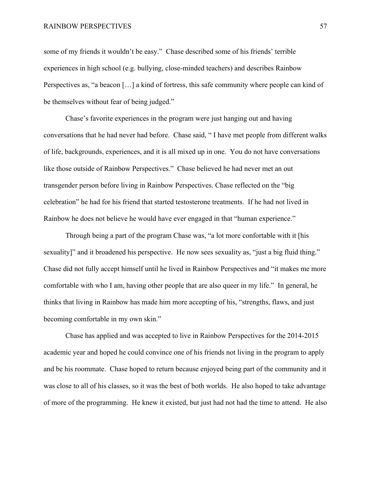some of my friends it wouldn't be easy." Chase described some of his friends' terrible experiences in high school (e.g. bullying, close-minded teachers) and describes Rainbow Perspectives as, "a beacon […] a kind of fortress, this safe community where people can kind of be themselves without fear of being judged."

Chase's favorite experiences in the program were just hanging out and having conversations that he had never had before. Chase said, " I have met people from different walks of life, backgrounds, experiences, and it is all mixed up in one. You do not have conversations like those outside of Rainbow Perspectives." Chase believed he had never met an out transgender person before living in Rainbow Perspectives. Chase reflected on the "big celebration" he had for his friend that started testosterone treatments. If he had not lived in Rainbow he does not believe he would have ever engaged in that "human experience."

Through being a part of the program Chase was, "a lot more confortable with it [his sexuality]" and it broadened his perspective. He now sees sexuality as, "just a big fluid thing." Chase did not fully accept himself until he lived in Rainbow Perspectives and "it makes me more comfortable with who I am, having other people that are also queer in my life." In general, he thinks that living in Rainbow has made him more accepting of his, "strengths, flaws, and just becoming comfortable in my own skin."

Chase has applied and was accepted to live in Rainbow Perspectives for the 2014-2015 academic year and hoped he could convince one of his friends not living in the program to apply and be his roommate. Chase hoped to return because enjoyed being part of the community and it was close to all of his classes, so it was the best of both worlds. He also hoped to take advantage of more of the programming. He knew it existed, but just had not had the time to attend. He also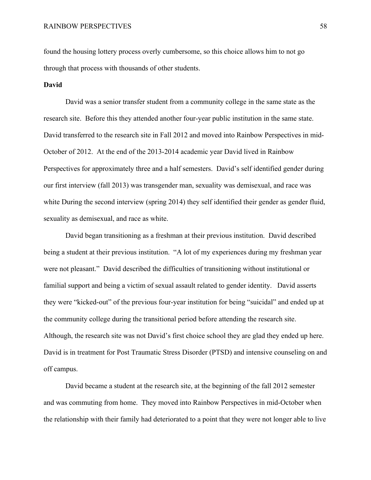found the housing lottery process overly cumbersome, so this choice allows him to not go through that process with thousands of other students.

## **David**

David was a senior transfer student from a community college in the same state as the research site. Before this they attended another four-year public institution in the same state. David transferred to the research site in Fall 2012 and moved into Rainbow Perspectives in mid-October of 2012. At the end of the 2013-2014 academic year David lived in Rainbow Perspectives for approximately three and a half semesters. David's self identified gender during our first interview (fall 2013) was transgender man, sexuality was demisexual, and race was white During the second interview (spring 2014) they self identified their gender as gender fluid, sexuality as demisexual, and race as white.

David began transitioning as a freshman at their previous institution. David described being a student at their previous institution. "A lot of my experiences during my freshman year were not pleasant." David described the difficulties of transitioning without institutional or familial support and being a victim of sexual assault related to gender identity. David asserts they were "kicked-out" of the previous four-year institution for being "suicidal" and ended up at the community college during the transitional period before attending the research site. Although, the research site was not David's first choice school they are glad they ended up here. David is in treatment for Post Traumatic Stress Disorder (PTSD) and intensive counseling on and off campus.

David became a student at the research site, at the beginning of the fall 2012 semester and was commuting from home. They moved into Rainbow Perspectives in mid-October when the relationship with their family had deteriorated to a point that they were not longer able to live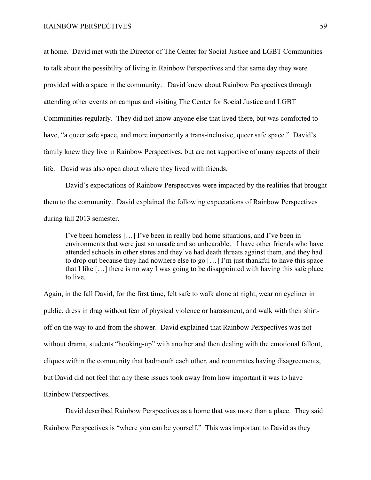at home. David met with the Director of The Center for Social Justice and LGBT Communities to talk about the possibility of living in Rainbow Perspectives and that same day they were provided with a space in the community. David knew about Rainbow Perspectives through attending other events on campus and visiting The Center for Social Justice and LGBT Communities regularly. They did not know anyone else that lived there, but was comforted to have, "a queer safe space, and more importantly a trans-inclusive, queer safe space." David's family knew they live in Rainbow Perspectives, but are not supportive of many aspects of their life. David was also open about where they lived with friends.

David's expectations of Rainbow Perspectives were impacted by the realities that brought them to the community. David explained the following expectations of Rainbow Perspectives during fall 2013 semester.

I've been homeless […] I've been in really bad home situations, and I've been in environments that were just so unsafe and so unbearable. I have other friends who have attended schools in other states and they've had death threats against them, and they had to drop out because they had nowhere else to go […] I'm just thankful to have this space that I like […] there is no way I was going to be disappointed with having this safe place to live.

Again, in the fall David, for the first time, felt safe to walk alone at night, wear on eyeliner in public, dress in drag without fear of physical violence or harassment, and walk with their shirtoff on the way to and from the shower. David explained that Rainbow Perspectives was not without drama, students "hooking-up" with another and then dealing with the emotional fallout, cliques within the community that badmouth each other, and roommates having disagreements, but David did not feel that any these issues took away from how important it was to have Rainbow Perspectives.

David described Rainbow Perspectives as a home that was more than a place. They said Rainbow Perspectives is "where you can be yourself." This was important to David as they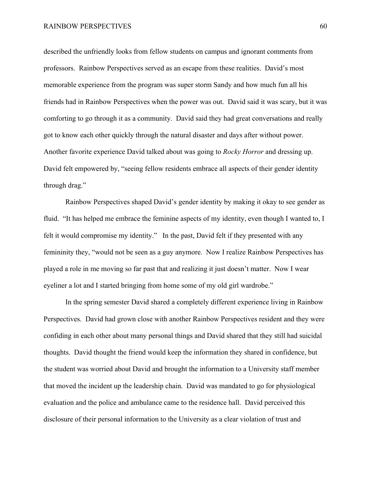described the unfriendly looks from fellow students on campus and ignorant comments from professors. Rainbow Perspectives served as an escape from these realities. David's most memorable experience from the program was super storm Sandy and how much fun all his friends had in Rainbow Perspectives when the power was out. David said it was scary, but it was comforting to go through it as a community. David said they had great conversations and really got to know each other quickly through the natural disaster and days after without power. Another favorite experience David talked about was going to *Rocky Horror* and dressing up. David felt empowered by, "seeing fellow residents embrace all aspects of their gender identity through drag."

Rainbow Perspectives shaped David's gender identity by making it okay to see gender as fluid. "It has helped me embrace the feminine aspects of my identity, even though I wanted to, I felt it would compromise my identity." In the past, David felt if they presented with any femininity they, "would not be seen as a guy anymore. Now I realize Rainbow Perspectives has played a role in me moving so far past that and realizing it just doesn't matter. Now I wear eyeliner a lot and I started bringing from home some of my old girl wardrobe."

In the spring semester David shared a completely different experience living in Rainbow Perspectives. David had grown close with another Rainbow Perspectives resident and they were confiding in each other about many personal things and David shared that they still had suicidal thoughts. David thought the friend would keep the information they shared in confidence, but the student was worried about David and brought the information to a University staff member that moved the incident up the leadership chain. David was mandated to go for physiological evaluation and the police and ambulance came to the residence hall. David perceived this disclosure of their personal information to the University as a clear violation of trust and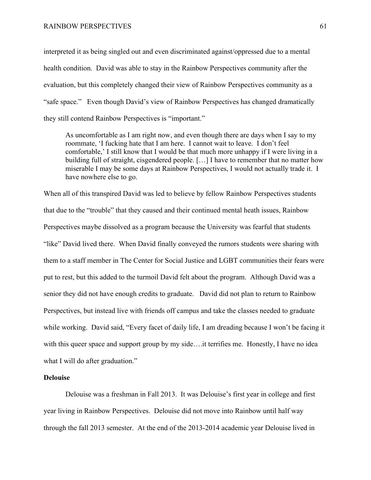interpreted it as being singled out and even discriminated against/oppressed due to a mental health condition. David was able to stay in the Rainbow Perspectives community after the evaluation, but this completely changed their view of Rainbow Perspectives community as a "safe space." Even though David's view of Rainbow Perspectives has changed dramatically they still contend Rainbow Perspectives is "important."

As uncomfortable as I am right now, and even though there are days when I say to my roommate, 'I fucking hate that I am here. I cannot wait to leave. I don't feel comfortable,' I still know that I would be that much more unhappy if I were living in a building full of straight, cisgendered people. […] I have to remember that no matter how miserable I may be some days at Rainbow Perspectives, I would not actually trade it. I have nowhere else to go.

When all of this transpired David was led to believe by fellow Rainbow Perspectives students that due to the "trouble" that they caused and their continued mental heath issues, Rainbow Perspectives maybe dissolved as a program because the University was fearful that students "like" David lived there. When David finally conveyed the rumors students were sharing with them to a staff member in The Center for Social Justice and LGBT communities their fears were put to rest, but this added to the turmoil David felt about the program. Although David was a senior they did not have enough credits to graduate. David did not plan to return to Rainbow Perspectives, but instead live with friends off campus and take the classes needed to graduate while working. David said, "Every facet of daily life, I am dreading because I won't be facing it with this queer space and support group by my side....it terrifies me. Honestly, I have no idea what I will do after graduation."

#### **Delouise**

Delouise was a freshman in Fall 2013. It was Delouise's first year in college and first year living in Rainbow Perspectives. Delouise did not move into Rainbow until half way through the fall 2013 semester. At the end of the 2013-2014 academic year Delouise lived in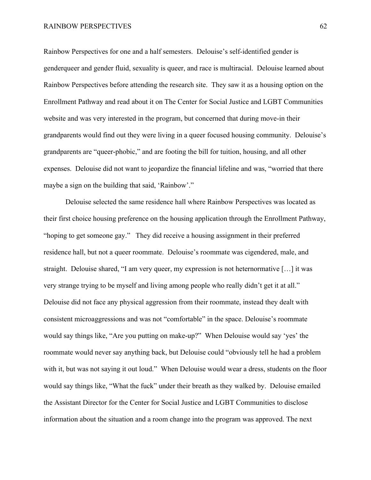Rainbow Perspectives for one and a half semesters. Delouise's self-identified gender is genderqueer and gender fluid, sexuality is queer, and race is multiracial. Delouise learned about Rainbow Perspectives before attending the research site. They saw it as a housing option on the Enrollment Pathway and read about it on The Center for Social Justice and LGBT Communities website and was very interested in the program, but concerned that during move-in their grandparents would find out they were living in a queer focused housing community. Delouise's grandparents are "queer-phobic," and are footing the bill for tuition, housing, and all other expenses. Delouise did not want to jeopardize the financial lifeline and was, "worried that there maybe a sign on the building that said. 'Rainbow'."

Delouise selected the same residence hall where Rainbow Perspectives was located as their first choice housing preference on the housing application through the Enrollment Pathway, "hoping to get someone gay." They did receive a housing assignment in their preferred residence hall, but not a queer roommate. Delouise's roommate was cigendered, male, and straight. Delouise shared, "I am very queer, my expression is not heternormative […] it was very strange trying to be myself and living among people who really didn't get it at all." Delouise did not face any physical aggression from their roommate, instead they dealt with consistent microaggressions and was not "comfortable" in the space. Delouise's roommate would say things like, "Are you putting on make-up?" When Delouise would say 'yes' the roommate would never say anything back, but Delouise could "obviously tell he had a problem with it, but was not saying it out loud." When Delouise would wear a dress, students on the floor would say things like, "What the fuck" under their breath as they walked by. Delouise emailed the Assistant Director for the Center for Social Justice and LGBT Communities to disclose information about the situation and a room change into the program was approved. The next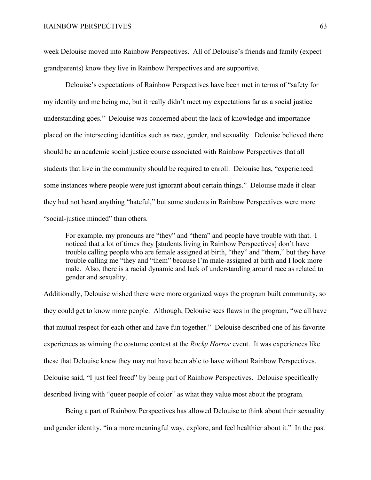week Delouise moved into Rainbow Perspectives. All of Delouise's friends and family (expect grandparents) know they live in Rainbow Perspectives and are supportive.

Delouise's expectations of Rainbow Perspectives have been met in terms of "safety for my identity and me being me, but it really didn't meet my expectations far as a social justice understanding goes." Delouise was concerned about the lack of knowledge and importance placed on the intersecting identities such as race, gender, and sexuality. Delouise believed there should be an academic social justice course associated with Rainbow Perspectives that all students that live in the community should be required to enroll. Delouise has, "experienced some instances where people were just ignorant about certain things." Delouise made it clear they had not heard anything "hateful," but some students in Rainbow Perspectives were more "social-justice minded" than others.

For example, my pronouns are "they" and "them" and people have trouble with that. I noticed that a lot of times they [students living in Rainbow Perspectives] don't have trouble calling people who are female assigned at birth, "they" and "them," but they have trouble calling me "they and "them" because I'm male-assigned at birth and I look more male. Also, there is a racial dynamic and lack of understanding around race as related to gender and sexuality.

Additionally, Delouise wished there were more organized ways the program built community, so they could get to know more people. Although, Delouise sees flaws in the program, "we all have that mutual respect for each other and have fun together." Delouise described one of his favorite experiences as winning the costume contest at the *Rocky Horror* event. It was experiences like these that Delouise knew they may not have been able to have without Rainbow Perspectives. Delouise said, "I just feel freed" by being part of Rainbow Perspectives. Delouise specifically described living with "queer people of color" as what they value most about the program.

Being a part of Rainbow Perspectives has allowed Delouise to think about their sexuality and gender identity, "in a more meaningful way, explore, and feel healthier about it." In the past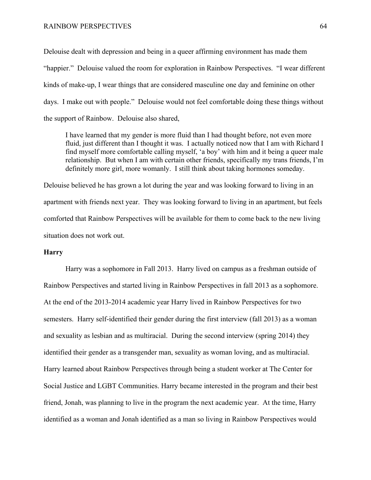Delouise dealt with depression and being in a queer affirming environment has made them "happier." Delouise valued the room for exploration in Rainbow Perspectives. "I wear different kinds of make-up, I wear things that are considered masculine one day and feminine on other days. I make out with people." Delouise would not feel comfortable doing these things without the support of Rainbow. Delouise also shared,

I have learned that my gender is more fluid than I had thought before, not even more fluid, just different than I thought it was. I actually noticed now that I am with Richard I find myself more comfortable calling myself, 'a boy' with him and it being a queer male relationship. But when I am with certain other friends, specifically my trans friends, I'm definitely more girl, more womanly. I still think about taking hormones someday.

Delouise believed he has grown a lot during the year and was looking forward to living in an apartment with friends next year. They was looking forward to living in an apartment, but feels comforted that Rainbow Perspectives will be available for them to come back to the new living situation does not work out.

### **Harry**

Harry was a sophomore in Fall 2013. Harry lived on campus as a freshman outside of Rainbow Perspectives and started living in Rainbow Perspectives in fall 2013 as a sophomore. At the end of the 2013-2014 academic year Harry lived in Rainbow Perspectives for two semesters. Harry self-identified their gender during the first interview (fall 2013) as a woman and sexuality as lesbian and as multiracial. During the second interview (spring 2014) they identified their gender as a transgender man, sexuality as woman loving, and as multiracial. Harry learned about Rainbow Perspectives through being a student worker at The Center for Social Justice and LGBT Communities. Harry became interested in the program and their best friend, Jonah, was planning to live in the program the next academic year. At the time, Harry identified as a woman and Jonah identified as a man so living in Rainbow Perspectives would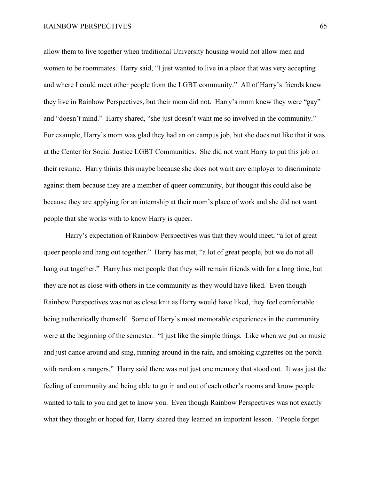allow them to live together when traditional University housing would not allow men and women to be roommates. Harry said, "I just wanted to live in a place that was very accepting and where I could meet other people from the LGBT community." All of Harry's friends knew they live in Rainbow Perspectives, but their mom did not. Harry's mom knew they were "gay" and "doesn't mind." Harry shared, "she just doesn't want me so involved in the community." For example, Harry's mom was glad they had an on campus job, but she does not like that it was at the Center for Social Justice LGBT Communities. She did not want Harry to put this job on their resume. Harry thinks this maybe because she does not want any employer to discriminate against them because they are a member of queer community, but thought this could also be because they are applying for an internship at their mom's place of work and she did not want people that she works with to know Harry is queer.

Harry's expectation of Rainbow Perspectives was that they would meet, "a lot of great queer people and hang out together." Harry has met, "a lot of great people, but we do not all hang out together." Harry has met people that they will remain friends with for a long time, but they are not as close with others in the community as they would have liked. Even though Rainbow Perspectives was not as close knit as Harry would have liked, they feel comfortable being authentically themself. Some of Harry's most memorable experiences in the community were at the beginning of the semester. "I just like the simple things. Like when we put on music and just dance around and sing, running around in the rain, and smoking cigarettes on the porch with random strangers." Harry said there was not just one memory that stood out. It was just the feeling of community and being able to go in and out of each other's rooms and know people wanted to talk to you and get to know you. Even though Rainbow Perspectives was not exactly what they thought or hoped for, Harry shared they learned an important lesson. "People forget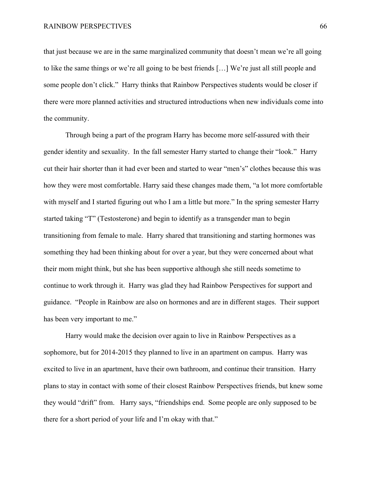that just because we are in the same marginalized community that doesn't mean we're all going to like the same things or we're all going to be best friends […] We're just all still people and some people don't click." Harry thinks that Rainbow Perspectives students would be closer if there were more planned activities and structured introductions when new individuals come into the community.

Through being a part of the program Harry has become more self-assured with their gender identity and sexuality. In the fall semester Harry started to change their "look." Harry cut their hair shorter than it had ever been and started to wear "men's" clothes because this was how they were most comfortable. Harry said these changes made them, "a lot more comfortable with myself and I started figuring out who I am a little but more." In the spring semester Harry started taking "T" (Testosterone) and begin to identify as a transgender man to begin transitioning from female to male. Harry shared that transitioning and starting hormones was something they had been thinking about for over a year, but they were concerned about what their mom might think, but she has been supportive although she still needs sometime to continue to work through it. Harry was glad they had Rainbow Perspectives for support and guidance. "People in Rainbow are also on hormones and are in different stages. Their support has been very important to me."

Harry would make the decision over again to live in Rainbow Perspectives as a sophomore, but for 2014-2015 they planned to live in an apartment on campus. Harry was excited to live in an apartment, have their own bathroom, and continue their transition. Harry plans to stay in contact with some of their closest Rainbow Perspectives friends, but knew some they would "drift" from. Harry says, "friendships end. Some people are only supposed to be there for a short period of your life and I'm okay with that."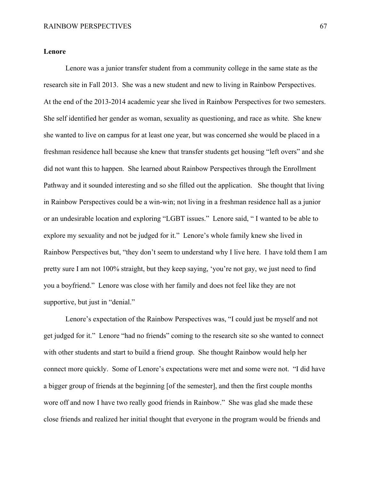### **Lenore**

Lenore was a junior transfer student from a community college in the same state as the research site in Fall 2013. She was a new student and new to living in Rainbow Perspectives. At the end of the 2013-2014 academic year she lived in Rainbow Perspectives for two semesters. She self identified her gender as woman, sexuality as questioning, and race as white. She knew she wanted to live on campus for at least one year, but was concerned she would be placed in a freshman residence hall because she knew that transfer students get housing "left overs" and she did not want this to happen. She learned about Rainbow Perspectives through the Enrollment Pathway and it sounded interesting and so she filled out the application. She thought that living in Rainbow Perspectives could be a win-win; not living in a freshman residence hall as a junior or an undesirable location and exploring "LGBT issues." Lenore said, " I wanted to be able to explore my sexuality and not be judged for it." Lenore's whole family knew she lived in Rainbow Perspectives but, "they don't seem to understand why I live here. I have told them I am pretty sure I am not 100% straight, but they keep saying, 'you're not gay, we just need to find you a boyfriend." Lenore was close with her family and does not feel like they are not supportive, but just in "denial."

Lenore's expectation of the Rainbow Perspectives was, "I could just be myself and not get judged for it." Lenore "had no friends" coming to the research site so she wanted to connect with other students and start to build a friend group. She thought Rainbow would help her connect more quickly. Some of Lenore's expectations were met and some were not. "I did have a bigger group of friends at the beginning [of the semester], and then the first couple months wore off and now I have two really good friends in Rainbow." She was glad she made these close friends and realized her initial thought that everyone in the program would be friends and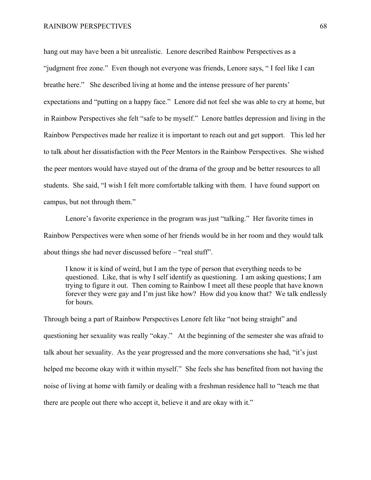hang out may have been a bit unrealistic. Lenore described Rainbow Perspectives as a "judgment free zone." Even though not everyone was friends, Lenore says, " I feel like I can breathe here." She described living at home and the intense pressure of her parents' expectations and "putting on a happy face." Lenore did not feel she was able to cry at home, but in Rainbow Perspectives she felt "safe to be myself." Lenore battles depression and living in the Rainbow Perspectives made her realize it is important to reach out and get support. This led her to talk about her dissatisfaction with the Peer Mentors in the Rainbow Perspectives. She wished the peer mentors would have stayed out of the drama of the group and be better resources to all students. She said, "I wish I felt more comfortable talking with them. I have found support on campus, but not through them."

Lenore's favorite experience in the program was just "talking." Her favorite times in Rainbow Perspectives were when some of her friends would be in her room and they would talk about things she had never discussed before – "real stuff".

I know it is kind of weird, but I am the type of person that everything needs to be questioned. Like, that is why I self identify as questioning. I am asking questions; I am trying to figure it out. Then coming to Rainbow I meet all these people that have known forever they were gay and I'm just like how? How did you know that? We talk endlessly for hours.

Through being a part of Rainbow Perspectives Lenore felt like "not being straight" and questioning her sexuality was really "okay." At the beginning of the semester she was afraid to talk about her sexuality. As the year progressed and the more conversations she had, "it's just helped me become okay with it within myself." She feels she has benefited from not having the noise of living at home with family or dealing with a freshman residence hall to "teach me that there are people out there who accept it, believe it and are okay with it."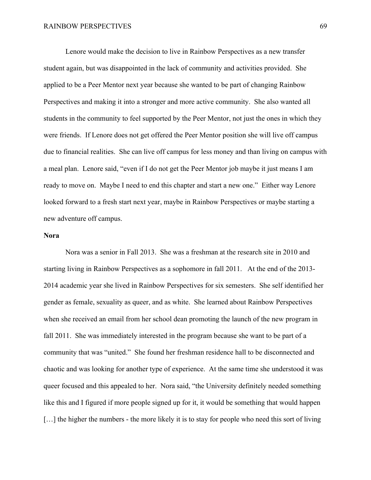Lenore would make the decision to live in Rainbow Perspectives as a new transfer student again, but was disappointed in the lack of community and activities provided. She applied to be a Peer Mentor next year because she wanted to be part of changing Rainbow Perspectives and making it into a stronger and more active community. She also wanted all students in the community to feel supported by the Peer Mentor, not just the ones in which they were friends. If Lenore does not get offered the Peer Mentor position she will live off campus due to financial realities. She can live off campus for less money and than living on campus with a meal plan. Lenore said, "even if I do not get the Peer Mentor job maybe it just means I am ready to move on. Maybe I need to end this chapter and start a new one." Either way Lenore looked forward to a fresh start next year, maybe in Rainbow Perspectives or maybe starting a new adventure off campus.

#### **Nora**

Nora was a senior in Fall 2013. She was a freshman at the research site in 2010 and starting living in Rainbow Perspectives as a sophomore in fall 2011. At the end of the 2013- 2014 academic year she lived in Rainbow Perspectives for six semesters. She self identified her gender as female, sexuality as queer, and as white. She learned about Rainbow Perspectives when she received an email from her school dean promoting the launch of the new program in fall 2011. She was immediately interested in the program because she want to be part of a community that was "united." She found her freshman residence hall to be disconnected and chaotic and was looking for another type of experience. At the same time she understood it was queer focused and this appealed to her. Nora said, "the University definitely needed something like this and I figured if more people signed up for it, it would be something that would happen [...] the higher the numbers - the more likely it is to stay for people who need this sort of living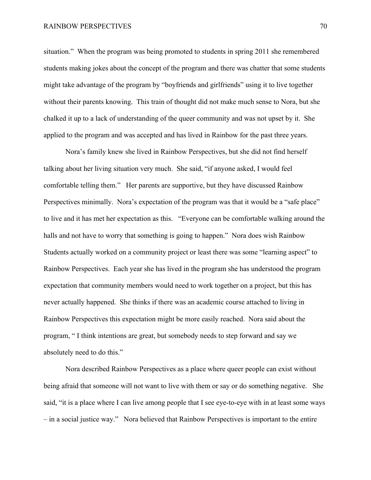situation." When the program was being promoted to students in spring 2011 she remembered students making jokes about the concept of the program and there was chatter that some students might take advantage of the program by "boyfriends and girlfriends" using it to live together without their parents knowing. This train of thought did not make much sense to Nora, but she chalked it up to a lack of understanding of the queer community and was not upset by it. She applied to the program and was accepted and has lived in Rainbow for the past three years.

Nora's family knew she lived in Rainbow Perspectives, but she did not find herself talking about her living situation very much. She said, "if anyone asked, I would feel comfortable telling them." Her parents are supportive, but they have discussed Rainbow Perspectives minimally. Nora's expectation of the program was that it would be a "safe place" to live and it has met her expectation as this. "Everyone can be comfortable walking around the halls and not have to worry that something is going to happen." Nora does wish Rainbow Students actually worked on a community project or least there was some "learning aspect" to Rainbow Perspectives. Each year she has lived in the program she has understood the program expectation that community members would need to work together on a project, but this has never actually happened. She thinks if there was an academic course attached to living in Rainbow Perspectives this expectation might be more easily reached. Nora said about the program, " I think intentions are great, but somebody needs to step forward and say we absolutely need to do this."

Nora described Rainbow Perspectives as a place where queer people can exist without being afraid that someone will not want to live with them or say or do something negative. She said, "it is a place where I can live among people that I see eye-to-eye with in at least some ways – in a social justice way." Nora believed that Rainbow Perspectives is important to the entire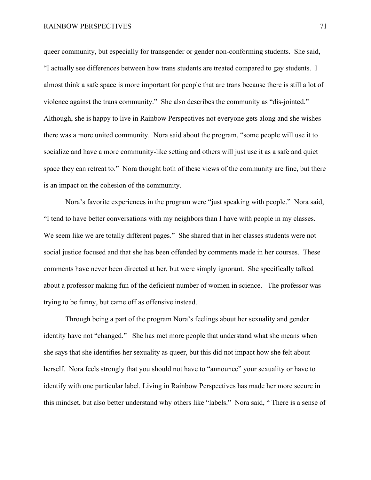queer community, but especially for transgender or gender non-conforming students. She said, "I actually see differences between how trans students are treated compared to gay students. I almost think a safe space is more important for people that are trans because there is still a lot of violence against the trans community." She also describes the community as "dis-jointed." Although, she is happy to live in Rainbow Perspectives not everyone gets along and she wishes there was a more united community. Nora said about the program, "some people will use it to socialize and have a more community-like setting and others will just use it as a safe and quiet space they can retreat to." Nora thought both of these views of the community are fine, but there is an impact on the cohesion of the community.

Nora's favorite experiences in the program were "just speaking with people." Nora said, "I tend to have better conversations with my neighbors than I have with people in my classes. We seem like we are totally different pages." She shared that in her classes students were not social justice focused and that she has been offended by comments made in her courses. These comments have never been directed at her, but were simply ignorant. She specifically talked about a professor making fun of the deficient number of women in science. The professor was trying to be funny, but came off as offensive instead.

Through being a part of the program Nora's feelings about her sexuality and gender identity have not "changed." She has met more people that understand what she means when she says that she identifies her sexuality as queer, but this did not impact how she felt about herself. Nora feels strongly that you should not have to "announce" your sexuality or have to identify with one particular label. Living in Rainbow Perspectives has made her more secure in this mindset, but also better understand why others like "labels." Nora said, " There is a sense of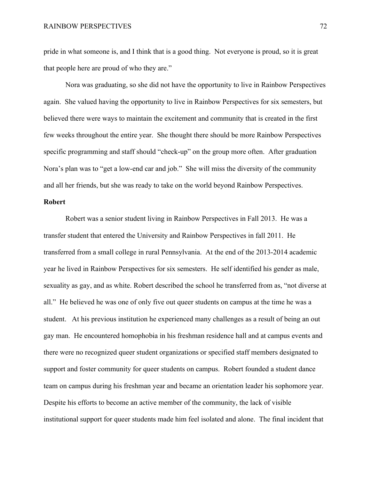pride in what someone is, and I think that is a good thing. Not everyone is proud, so it is great that people here are proud of who they are."

Nora was graduating, so she did not have the opportunity to live in Rainbow Perspectives again. She valued having the opportunity to live in Rainbow Perspectives for six semesters, but believed there were ways to maintain the excitement and community that is created in the first few weeks throughout the entire year. She thought there should be more Rainbow Perspectives specific programming and staff should "check-up" on the group more often. After graduation Nora's plan was to "get a low-end car and job." She will miss the diversity of the community and all her friends, but she was ready to take on the world beyond Rainbow Perspectives.

### **Robert**

Robert was a senior student living in Rainbow Perspectives in Fall 2013. He was a transfer student that entered the University and Rainbow Perspectives in fall 2011. He transferred from a small college in rural Pennsylvania. At the end of the 2013-2014 academic year he lived in Rainbow Perspectives for six semesters. He self identified his gender as male, sexuality as gay, and as white. Robert described the school he transferred from as, "not diverse at all." He believed he was one of only five out queer students on campus at the time he was a student. At his previous institution he experienced many challenges as a result of being an out gay man. He encountered homophobia in his freshman residence hall and at campus events and there were no recognized queer student organizations or specified staff members designated to support and foster community for queer students on campus. Robert founded a student dance team on campus during his freshman year and became an orientation leader his sophomore year. Despite his efforts to become an active member of the community, the lack of visible institutional support for queer students made him feel isolated and alone. The final incident that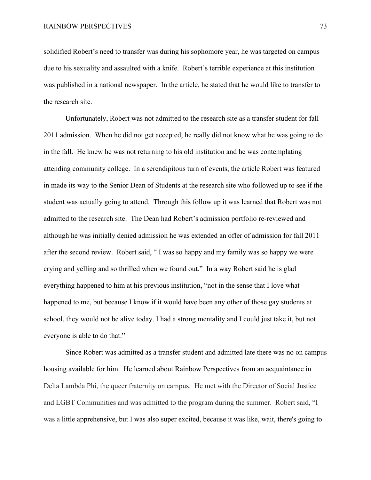solidified Robert's need to transfer was during his sophomore year, he was targeted on campus due to his sexuality and assaulted with a knife. Robert's terrible experience at this institution was published in a national newspaper. In the article, he stated that he would like to transfer to the research site.

Unfortunately, Robert was not admitted to the research site as a transfer student for fall 2011 admission. When he did not get accepted, he really did not know what he was going to do in the fall. He knew he was not returning to his old institution and he was contemplating attending community college. In a serendipitous turn of events, the article Robert was featured in made its way to the Senior Dean of Students at the research site who followed up to see if the student was actually going to attend. Through this follow up it was learned that Robert was not admitted to the research site. The Dean had Robert's admission portfolio re-reviewed and although he was initially denied admission he was extended an offer of admission for fall 2011 after the second review. Robert said, " I was so happy and my family was so happy we were crying and yelling and so thrilled when we found out." In a way Robert said he is glad everything happened to him at his previous institution, "not in the sense that I love what happened to me, but because I know if it would have been any other of those gay students at school, they would not be alive today. I had a strong mentality and I could just take it, but not everyone is able to do that."

Since Robert was admitted as a transfer student and admitted late there was no on campus housing available for him. He learned about Rainbow Perspectives from an acquaintance in Delta Lambda Phi, the queer fraternity on campus. He met with the Director of Social Justice and LGBT Communities and was admitted to the program during the summer. Robert said, "I was a little apprehensive, but I was also super excited, because it was like, wait, there's going to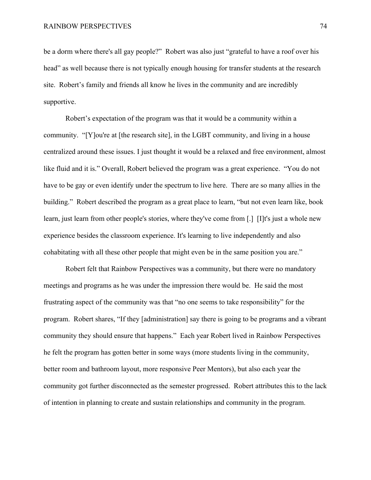be a dorm where there's all gay people?" Robert was also just "grateful to have a roof over his head" as well because there is not typically enough housing for transfer students at the research site. Robert's family and friends all know he lives in the community and are incredibly supportive.

Robert's expectation of the program was that it would be a community within a community. "[Y]ou're at [the research site], in the LGBT community, and living in a house centralized around these issues. I just thought it would be a relaxed and free environment, almost like fluid and it is." Overall, Robert believed the program was a great experience. "You do not have to be gay or even identify under the spectrum to live here. There are so many allies in the building." Robert described the program as a great place to learn, "but not even learn like, book learn, just learn from other people's stories, where they've come from [.] [I]t's just a whole new experience besides the classroom experience. It's learning to live independently and also cohabitating with all these other people that might even be in the same position you are."

Robert felt that Rainbow Perspectives was a community, but there were no mandatory meetings and programs as he was under the impression there would be. He said the most frustrating aspect of the community was that "no one seems to take responsibility" for the program. Robert shares, "If they [administration] say there is going to be programs and a vibrant community they should ensure that happens." Each year Robert lived in Rainbow Perspectives he felt the program has gotten better in some ways (more students living in the community, better room and bathroom layout, more responsive Peer Mentors), but also each year the community got further disconnected as the semester progressed. Robert attributes this to the lack of intention in planning to create and sustain relationships and community in the program.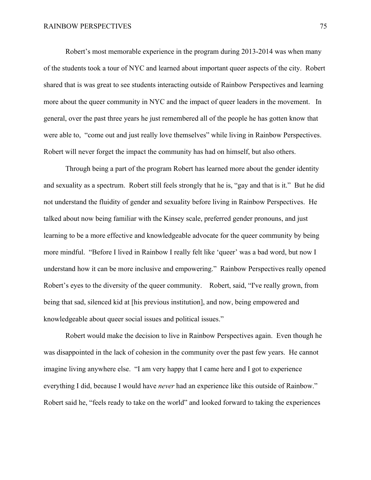Robert's most memorable experience in the program during 2013-2014 was when many of the students took a tour of NYC and learned about important queer aspects of the city. Robert shared that is was great to see students interacting outside of Rainbow Perspectives and learning more about the queer community in NYC and the impact of queer leaders in the movement. In general, over the past three years he just remembered all of the people he has gotten know that were able to, "come out and just really love themselves" while living in Rainbow Perspectives. Robert will never forget the impact the community has had on himself, but also others.

Through being a part of the program Robert has learned more about the gender identity and sexuality as a spectrum. Robert still feels strongly that he is, "gay and that is it." But he did not understand the fluidity of gender and sexuality before living in Rainbow Perspectives. He talked about now being familiar with the Kinsey scale, preferred gender pronouns, and just learning to be a more effective and knowledgeable advocate for the queer community by being more mindful. "Before I lived in Rainbow I really felt like 'queer' was a bad word, but now I understand how it can be more inclusive and empowering." Rainbow Perspectives really opened Robert's eyes to the diversity of the queer community. Robert, said, "I've really grown, from being that sad, silenced kid at [his previous institution], and now, being empowered and knowledgeable about queer social issues and political issues."

Robert would make the decision to live in Rainbow Perspectives again. Even though he was disappointed in the lack of cohesion in the community over the past few years. He cannot imagine living anywhere else. "I am very happy that I came here and I got to experience everything I did, because I would have *never* had an experience like this outside of Rainbow." Robert said he, "feels ready to take on the world" and looked forward to taking the experiences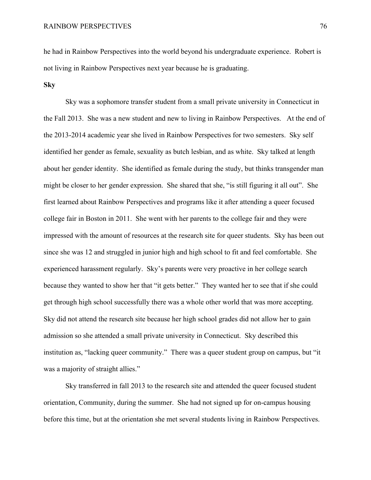he had in Rainbow Perspectives into the world beyond his undergraduate experience. Robert is not living in Rainbow Perspectives next year because he is graduating.

### **Sky**

Sky was a sophomore transfer student from a small private university in Connecticut in the Fall 2013. She was a new student and new to living in Rainbow Perspectives. At the end of the 2013-2014 academic year she lived in Rainbow Perspectives for two semesters. Sky self identified her gender as female, sexuality as butch lesbian, and as white. Sky talked at length about her gender identity. She identified as female during the study, but thinks transgender man might be closer to her gender expression. She shared that she, "is still figuring it all out". She first learned about Rainbow Perspectives and programs like it after attending a queer focused college fair in Boston in 2011. She went with her parents to the college fair and they were impressed with the amount of resources at the research site for queer students. Sky has been out since she was 12 and struggled in junior high and high school to fit and feel comfortable. She experienced harassment regularly. Sky's parents were very proactive in her college search because they wanted to show her that "it gets better." They wanted her to see that if she could get through high school successfully there was a whole other world that was more accepting. Sky did not attend the research site because her high school grades did not allow her to gain admission so she attended a small private university in Connecticut. Sky described this institution as, "lacking queer community." There was a queer student group on campus, but "it was a majority of straight allies."

Sky transferred in fall 2013 to the research site and attended the queer focused student orientation, Community, during the summer. She had not signed up for on-campus housing before this time, but at the orientation she met several students living in Rainbow Perspectives.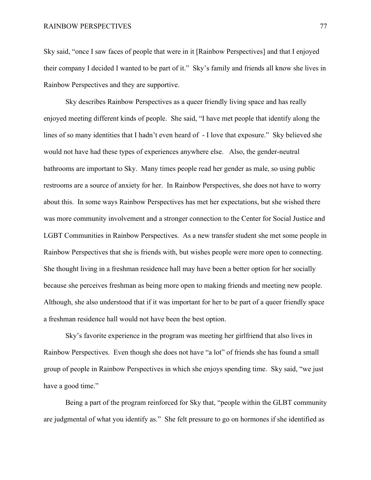Sky said, "once I saw faces of people that were in it [Rainbow Perspectives] and that I enjoyed their company I decided I wanted to be part of it." Sky's family and friends all know she lives in Rainbow Perspectives and they are supportive.

Sky describes Rainbow Perspectives as a queer friendly living space and has really enjoyed meeting different kinds of people. She said, "I have met people that identify along the lines of so many identities that I hadn't even heard of - I love that exposure." Sky believed she would not have had these types of experiences anywhere else. Also, the gender-neutral bathrooms are important to Sky. Many times people read her gender as male, so using public restrooms are a source of anxiety for her. In Rainbow Perspectives, she does not have to worry about this. In some ways Rainbow Perspectives has met her expectations, but she wished there was more community involvement and a stronger connection to the Center for Social Justice and LGBT Communities in Rainbow Perspectives. As a new transfer student she met some people in Rainbow Perspectives that she is friends with, but wishes people were more open to connecting. She thought living in a freshman residence hall may have been a better option for her socially because she perceives freshman as being more open to making friends and meeting new people. Although, she also understood that if it was important for her to be part of a queer friendly space a freshman residence hall would not have been the best option.

Sky's favorite experience in the program was meeting her girlfriend that also lives in Rainbow Perspectives. Even though she does not have "a lot" of friends she has found a small group of people in Rainbow Perspectives in which she enjoys spending time. Sky said, "we just have a good time."

Being a part of the program reinforced for Sky that, "people within the GLBT community are judgmental of what you identify as." She felt pressure to go on hormones if she identified as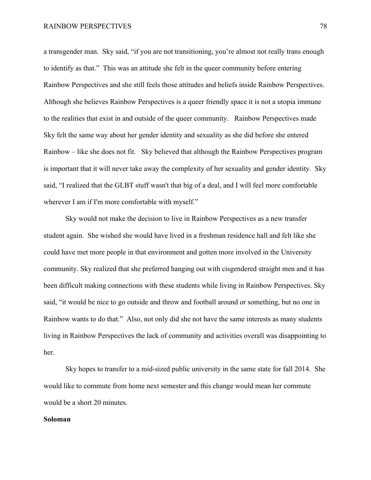a transgender man. Sky said, "if you are not transitioning, you're almost not really trans enough to identify as that." This was an attitude she felt in the queer community before entering Rainbow Perspectives and she still feels those attitudes and beliefs inside Rainbow Perspectives. Although she believes Rainbow Perspectives is a queer friendly space it is not a utopia immune to the realities that exist in and outside of the queer community. Rainbow Perspectives made Sky felt the same way about her gender identity and sexuality as she did before she entered Rainbow – like she does not fit. Sky believed that although the Rainbow Perspectives program is important that it will never take away the complexity of her sexuality and gender identity. Sky said, "I realized that the GLBT stuff wasn't that big of a deal, and I will feel more comfortable wherever I am if I'm more comfortable with myself."

Sky would not make the decision to live in Rainbow Perspectives as a new transfer student again. She wished she would have lived in a freshman residence hall and felt like she could have met more people in that environment and gotten more involved in the University community. Sky realized that she preferred hanging out with cisgendered straight men and it has been difficult making connections with these students while living in Rainbow Perspectives. Sky said, "it would be nice to go outside and throw and football around or something, but no one in Rainbow wants to do that." Also, not only did she not have the same interests as many students living in Rainbow Perspectives the lack of community and activities overall was disappointing to her.

Sky hopes to transfer to a mid-sized public university in the same state for fall 2014. She would like to commute from home next semester and this change would mean her commute would be a short 20 minutes.

#### **Soloman**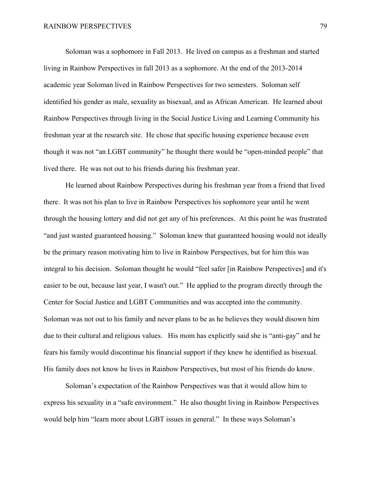Soloman was a sophomore in Fall 2013. He lived on campus as a freshman and started living in Rainbow Perspectives in fall 2013 as a sophomore. At the end of the 2013-2014 academic year Soloman lived in Rainbow Perspectives for two semesters. Soloman self identified his gender as male, sexuality as bisexual, and as African American. He learned about Rainbow Perspectives through living in the Social Justice Living and Learning Community his freshman year at the research site. He chose that specific housing experience because even though it was not "an LGBT community" he thought there would be "open-minded people" that lived there. He was not out to his friends during his freshman year.

He learned about Rainbow Perspectives during his freshman year from a friend that lived there. It was not his plan to live in Rainbow Perspectives his sophomore year until he went through the housing lottery and did not get any of his preferences. At this point he was frustrated "and just wanted guaranteed housing." Soloman knew that guaranteed housing would not ideally be the primary reason motivating him to live in Rainbow Perspectives, but for him this was integral to his decision. Soloman thought he would "feel safer [in Rainbow Perspectives] and it's easier to be out, because last year, I wasn't out." He applied to the program directly through the Center for Social Justice and LGBT Communities and was accepted into the community. Soloman was not out to his family and never plans to be as he believes they would disown him due to their cultural and religious values. His mom has explicitly said she is "anti-gay" and he fears his family would discontinue his financial support if they knew he identified as bisexual. His family does not know he lives in Rainbow Perspectives, but most of his friends do know.

Soloman's expectation of the Rainbow Perspectives was that it would allow him to express his sexuality in a "safe environment." He also thought living in Rainbow Perspectives would help him "learn more about LGBT issues in general." In these ways Soloman's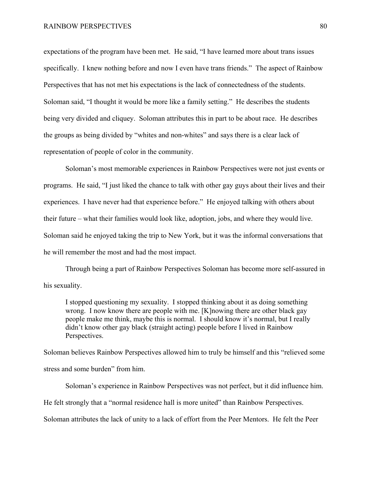expectations of the program have been met. He said, "I have learned more about trans issues specifically. I knew nothing before and now I even have trans friends." The aspect of Rainbow Perspectives that has not met his expectations is the lack of connectedness of the students. Soloman said, "I thought it would be more like a family setting." He describes the students being very divided and cliquey. Soloman attributes this in part to be about race. He describes the groups as being divided by "whites and non-whites" and says there is a clear lack of representation of people of color in the community.

Soloman's most memorable experiences in Rainbow Perspectives were not just events or programs. He said, "I just liked the chance to talk with other gay guys about their lives and their experiences. I have never had that experience before." He enjoyed talking with others about their future – what their families would look like, adoption, jobs, and where they would live. Soloman said he enjoyed taking the trip to New York, but it was the informal conversations that he will remember the most and had the most impact.

Through being a part of Rainbow Perspectives Soloman has become more self-assured in his sexuality.

I stopped questioning my sexuality. I stopped thinking about it as doing something wrong. I now know there are people with me. [K]nowing there are other black gay people make me think, maybe this is normal. I should know it's normal, but I really didn't know other gay black (straight acting) people before I lived in Rainbow Perspectives.

Soloman believes Rainbow Perspectives allowed him to truly be himself and this "relieved some stress and some burden" from him.

Soloman's experience in Rainbow Perspectives was not perfect, but it did influence him. He felt strongly that a "normal residence hall is more united" than Rainbow Perspectives. Soloman attributes the lack of unity to a lack of effort from the Peer Mentors. He felt the Peer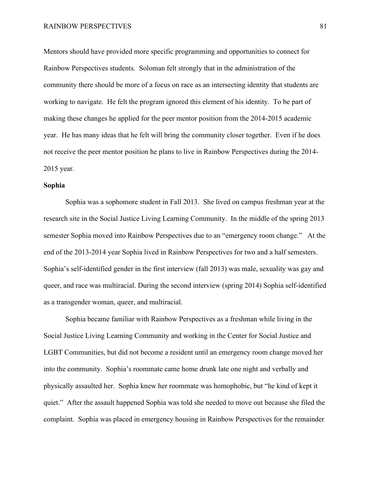Mentors should have provided more specific programming and opportunities to connect for Rainbow Perspectives students. Soloman felt strongly that in the administration of the community there should be more of a focus on race as an intersecting identity that students are working to navigate. He felt the program ignored this element of his identity. To be part of making these changes he applied for the peer mentor position from the 2014-2015 academic year. He has many ideas that he felt will bring the community closer together. Even if he does not receive the peer mentor position he plans to live in Rainbow Perspectives during the 2014- 2015 year.

### **Sophia**

Sophia was a sophomore student in Fall 2013. She lived on campus freshman year at the research site in the Social Justice Living Learning Community. In the middle of the spring 2013 semester Sophia moved into Rainbow Perspectives due to an "emergency room change." At the end of the 2013-2014 year Sophia lived in Rainbow Perspectives for two and a half semesters. Sophia's self-identified gender in the first interview (fall 2013) was male, sexuality was gay and queer, and race was multiracial. During the second interview (spring 2014) Sophia self-identified as a transgender woman, queer, and multiracial.

Sophia became familiar with Rainbow Perspectives as a freshman while living in the Social Justice Living Learning Community and working in the Center for Social Justice and LGBT Communities, but did not become a resident until an emergency room change moved her into the community. Sophia's roommate came home drunk late one night and verbally and physically assaulted her. Sophia knew her roommate was homophobic, but "he kind of kept it quiet." After the assault happened Sophia was told she needed to move out because she filed the complaint. Sophia was placed in emergency housing in Rainbow Perspectives for the remainder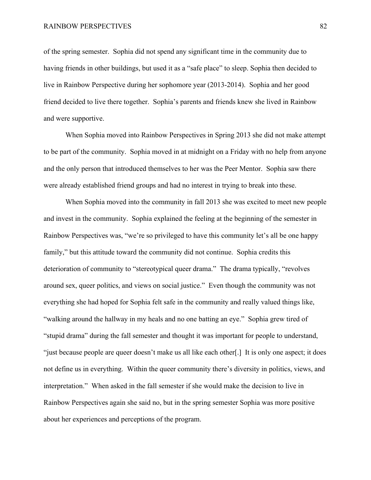of the spring semester. Sophia did not spend any significant time in the community due to having friends in other buildings, but used it as a "safe place" to sleep. Sophia then decided to live in Rainbow Perspective during her sophomore year (2013-2014). Sophia and her good friend decided to live there together. Sophia's parents and friends knew she lived in Rainbow and were supportive.

When Sophia moved into Rainbow Perspectives in Spring 2013 she did not make attempt to be part of the community. Sophia moved in at midnight on a Friday with no help from anyone and the only person that introduced themselves to her was the Peer Mentor. Sophia saw there were already established friend groups and had no interest in trying to break into these.

When Sophia moved into the community in fall 2013 she was excited to meet new people and invest in the community. Sophia explained the feeling at the beginning of the semester in Rainbow Perspectives was, "we're so privileged to have this community let's all be one happy family," but this attitude toward the community did not continue. Sophia credits this deterioration of community to "stereotypical queer drama." The drama typically, "revolves around sex, queer politics, and views on social justice." Even though the community was not everything she had hoped for Sophia felt safe in the community and really valued things like, "walking around the hallway in my heals and no one batting an eye." Sophia grew tired of "stupid drama" during the fall semester and thought it was important for people to understand, "just because people are queer doesn't make us all like each other[.] It is only one aspect; it does not define us in everything. Within the queer community there's diversity in politics, views, and interpretation." When asked in the fall semester if she would make the decision to live in Rainbow Perspectives again she said no, but in the spring semester Sophia was more positive about her experiences and perceptions of the program.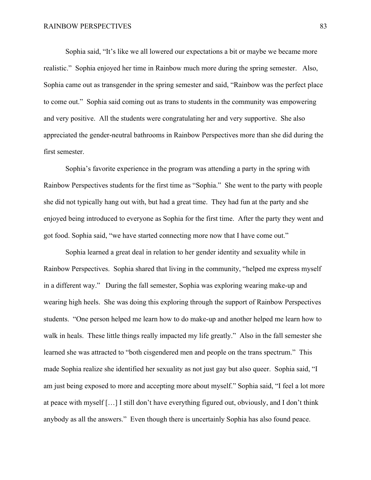Sophia said, "It's like we all lowered our expectations a bit or maybe we became more realistic." Sophia enjoyed her time in Rainbow much more during the spring semester. Also, Sophia came out as transgender in the spring semester and said, "Rainbow was the perfect place to come out." Sophia said coming out as trans to students in the community was empowering and very positive. All the students were congratulating her and very supportive. She also appreciated the gender-neutral bathrooms in Rainbow Perspectives more than she did during the first semester.

Sophia's favorite experience in the program was attending a party in the spring with Rainbow Perspectives students for the first time as "Sophia." She went to the party with people she did not typically hang out with, but had a great time. They had fun at the party and she enjoyed being introduced to everyone as Sophia for the first time. After the party they went and got food. Sophia said, "we have started connecting more now that I have come out."

Sophia learned a great deal in relation to her gender identity and sexuality while in Rainbow Perspectives. Sophia shared that living in the community, "helped me express myself in a different way." During the fall semester, Sophia was exploring wearing make-up and wearing high heels. She was doing this exploring through the support of Rainbow Perspectives students. "One person helped me learn how to do make-up and another helped me learn how to walk in heals. These little things really impacted my life greatly." Also in the fall semester she learned she was attracted to "both cisgendered men and people on the trans spectrum." This made Sophia realize she identified her sexuality as not just gay but also queer. Sophia said, "I am just being exposed to more and accepting more about myself." Sophia said, "I feel a lot more at peace with myself […] I still don't have everything figured out, obviously, and I don't think anybody as all the answers." Even though there is uncertainly Sophia has also found peace.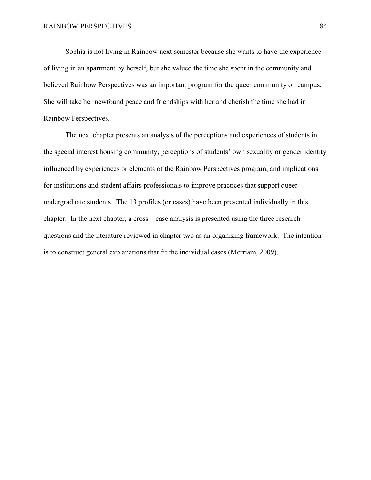Sophia is not living in Rainbow next semester because she wants to have the experience of living in an apartment by herself, but she valued the time she spent in the community and believed Rainbow Perspectives was an important program for the queer community on campus. She will take her newfound peace and friendships with her and cherish the time she had in Rainbow Perspectives.

The next chapter presents an analysis of the perceptions and experiences of students in the special interest housing community, perceptions of students' own sexuality or gender identity influenced by experiences or elements of the Rainbow Perspectives program, and implications for institutions and student affairs professionals to improve practices that support queer undergraduate students. The 13 profiles (or cases) have been presented individually in this chapter. In the next chapter, a cross – case analysis is presented using the three research questions and the literature reviewed in chapter two as an organizing framework. The intention is to construct general explanations that fit the individual cases (Merriam, 2009).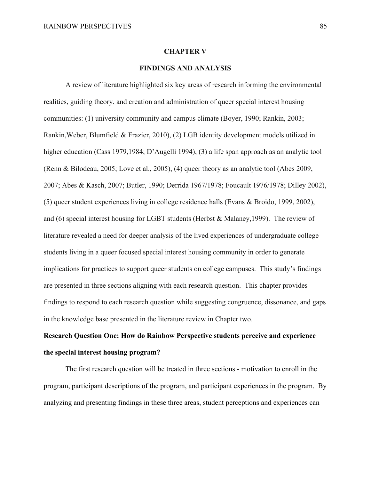#### **CHAPTER V**

### **FINDINGS AND ANALYSIS**

A review of literature highlighted six key areas of research informing the environmental realities, guiding theory, and creation and administration of queer special interest housing communities: (1) university community and campus climate (Boyer, 1990; Rankin, 2003; Rankin,Weber, Blumfield & Frazier, 2010), (2) LGB identity development models utilized in higher education (Cass 1979,1984; D'Augelli 1994), (3) a life span approach as an analytic tool (Renn & Bilodeau, 2005; Love et al., 2005), (4) queer theory as an analytic tool (Abes 2009, 2007; Abes & Kasch, 2007; Butler, 1990; Derrida 1967/1978; Foucault 1976/1978; Dilley 2002), (5) queer student experiences living in college residence halls (Evans & Broido, 1999, 2002), and (6) special interest housing for LGBT students (Herbst & Malaney,1999). The review of literature revealed a need for deeper analysis of the lived experiences of undergraduate college students living in a queer focused special interest housing community in order to generate implications for practices to support queer students on college campuses. This study's findings are presented in three sections aligning with each research question. This chapter provides findings to respond to each research question while suggesting congruence, dissonance, and gaps in the knowledge base presented in the literature review in Chapter two.

# **Research Question One: How do Rainbow Perspective students perceive and experience the special interest housing program?**

The first research question will be treated in three sections - motivation to enroll in the program, participant descriptions of the program, and participant experiences in the program. By analyzing and presenting findings in these three areas, student perceptions and experiences can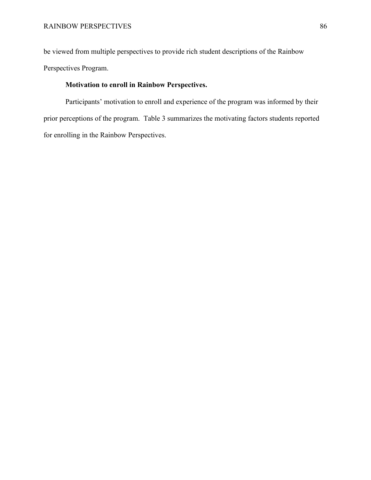be viewed from multiple perspectives to provide rich student descriptions of the Rainbow Perspectives Program.

# **Motivation to enroll in Rainbow Perspectives.**

Participants' motivation to enroll and experience of the program was informed by their prior perceptions of the program. Table 3 summarizes the motivating factors students reported for enrolling in the Rainbow Perspectives.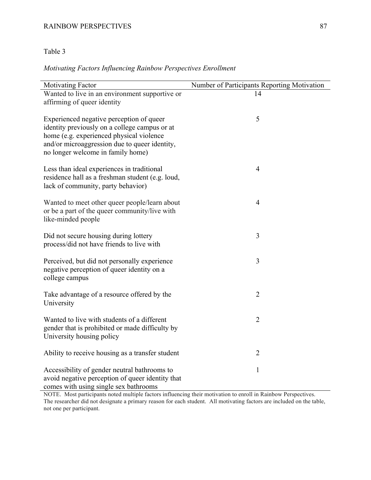# RAINBOW PERSPECTIVES 87

# Table 3

# *Motivating Factors Influencing Rainbow Perspectives Enrollment*

| <b>Motivating Factor</b>                                                                                                                                                                                                    | Number of Participants Reporting Motivation |
|-----------------------------------------------------------------------------------------------------------------------------------------------------------------------------------------------------------------------------|---------------------------------------------|
| Wanted to live in an environment supportive or<br>affirming of queer identity                                                                                                                                               | 14                                          |
| Experienced negative perception of queer<br>identity previously on a college campus or at<br>home (e.g. experienced physical violence<br>and/or microaggression due to queer identity,<br>no longer welcome in family home) | 5                                           |
| Less than ideal experiences in traditional<br>residence hall as a freshman student (e.g. loud,<br>lack of community, party behavior)                                                                                        | $\overline{4}$                              |
| Wanted to meet other queer people/learn about<br>or be a part of the queer community/live with<br>like-minded people                                                                                                        | $\overline{4}$                              |
| Did not secure housing during lottery<br>process/did not have friends to live with                                                                                                                                          | 3                                           |
| Perceived, but did not personally experience<br>negative perception of queer identity on a<br>college campus                                                                                                                | 3                                           |
| Take advantage of a resource offered by the<br>University                                                                                                                                                                   | $\overline{2}$                              |
| Wanted to live with students of a different<br>gender that is prohibited or made difficulty by<br>University housing policy                                                                                                 | $\overline{2}$                              |
| Ability to receive housing as a transfer student                                                                                                                                                                            | $\overline{2}$                              |
| Accessibility of gender neutral bathrooms to<br>avoid negative perception of queer identity that<br>comes with using single sex bathrooms                                                                                   | $\mathbf{1}$                                |

NOTE. Most participants noted multiple factors influencing their motivation to enroll in Rainbow Perspectives. The researcher did not designate a primary reason for each student. All motivating factors are included on the table, not one per participant.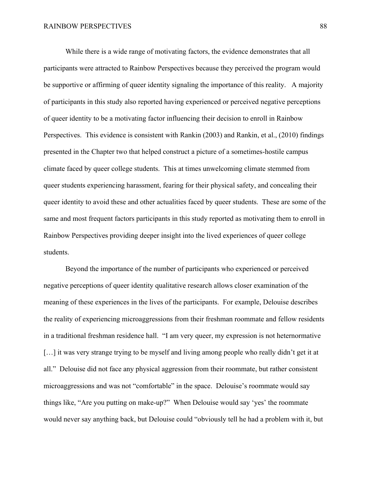While there is a wide range of motivating factors, the evidence demonstrates that all participants were attracted to Rainbow Perspectives because they perceived the program would be supportive or affirming of queer identity signaling the importance of this reality. A majority of participants in this study also reported having experienced or perceived negative perceptions of queer identity to be a motivating factor influencing their decision to enroll in Rainbow Perspectives. This evidence is consistent with Rankin (2003) and Rankin, et al., (2010) findings presented in the Chapter two that helped construct a picture of a sometimes-hostile campus climate faced by queer college students. This at times unwelcoming climate stemmed from queer students experiencing harassment, fearing for their physical safety, and concealing their queer identity to avoid these and other actualities faced by queer students. These are some of the same and most frequent factors participants in this study reported as motivating them to enroll in Rainbow Perspectives providing deeper insight into the lived experiences of queer college students.

Beyond the importance of the number of participants who experienced or perceived negative perceptions of queer identity qualitative research allows closer examination of the meaning of these experiences in the lives of the participants. For example, Delouise describes the reality of experiencing microaggressions from their freshman roommate and fellow residents in a traditional freshman residence hall. "I am very queer, my expression is not heternormative [...] it was very strange trying to be myself and living among people who really didn't get it at all." Delouise did not face any physical aggression from their roommate, but rather consistent microaggressions and was not "comfortable" in the space. Delouise's roommate would say things like, "Are you putting on make-up?" When Delouise would say 'yes' the roommate would never say anything back, but Delouise could "obviously tell he had a problem with it, but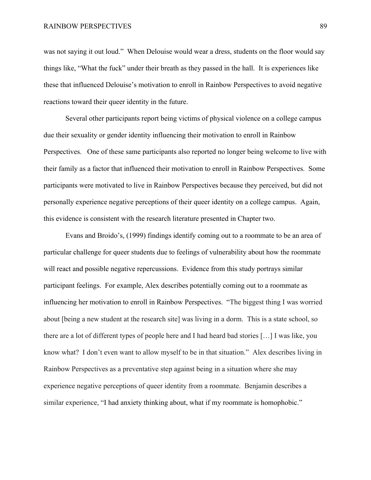was not saying it out loud." When Delouise would wear a dress, students on the floor would say things like, "What the fuck" under their breath as they passed in the hall. It is experiences like these that influenced Delouise's motivation to enroll in Rainbow Perspectives to avoid negative reactions toward their queer identity in the future.

Several other participants report being victims of physical violence on a college campus due their sexuality or gender identity influencing their motivation to enroll in Rainbow Perspectives. One of these same participants also reported no longer being welcome to live with their family as a factor that influenced their motivation to enroll in Rainbow Perspectives. Some participants were motivated to live in Rainbow Perspectives because they perceived, but did not personally experience negative perceptions of their queer identity on a college campus. Again, this evidence is consistent with the research literature presented in Chapter two.

Evans and Broido's, (1999) findings identify coming out to a roommate to be an area of particular challenge for queer students due to feelings of vulnerability about how the roommate will react and possible negative repercussions. Evidence from this study portrays similar participant feelings. For example, Alex describes potentially coming out to a roommate as influencing her motivation to enroll in Rainbow Perspectives. "The biggest thing I was worried about [being a new student at the research site] was living in a dorm. This is a state school, so there are a lot of different types of people here and I had heard bad stories […] I was like, you know what? I don't even want to allow myself to be in that situation." Alex describes living in Rainbow Perspectives as a preventative step against being in a situation where she may experience negative perceptions of queer identity from a roommate. Benjamin describes a similar experience, "I had anxiety thinking about, what if my roommate is homophobic."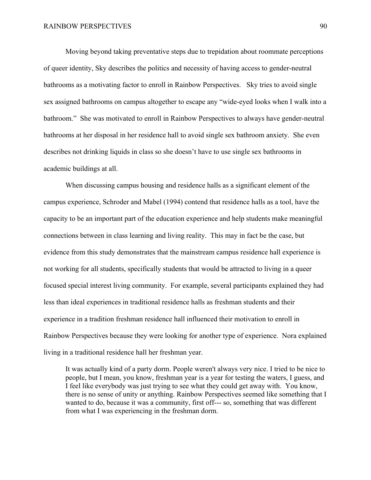Moving beyond taking preventative steps due to trepidation about roommate perceptions of queer identity, Sky describes the politics and necessity of having access to gender-neutral bathrooms as a motivating factor to enroll in Rainbow Perspectives. Sky tries to avoid single sex assigned bathrooms on campus altogether to escape any "wide-eyed looks when I walk into a bathroom." She was motivated to enroll in Rainbow Perspectives to always have gender-neutral bathrooms at her disposal in her residence hall to avoid single sex bathroom anxiety. She even describes not drinking liquids in class so she doesn't have to use single sex bathrooms in academic buildings at all.

When discussing campus housing and residence halls as a significant element of the campus experience, Schroder and Mabel (1994) contend that residence halls as a tool, have the capacity to be an important part of the education experience and help students make meaningful connections between in class learning and living reality. This may in fact be the case, but evidence from this study demonstrates that the mainstream campus residence hall experience is not working for all students, specifically students that would be attracted to living in a queer focused special interest living community. For example, several participants explained they had less than ideal experiences in traditional residence halls as freshman students and their experience in a tradition freshman residence hall influenced their motivation to enroll in Rainbow Perspectives because they were looking for another type of experience. Nora explained living in a traditional residence hall her freshman year.

It was actually kind of a party dorm. People weren't always very nice. I tried to be nice to people, but I mean, you know, freshman year is a year for testing the waters, I guess, and I feel like everybody was just trying to see what they could get away with. You know, there is no sense of unity or anything. Rainbow Perspectives seemed like something that I wanted to do, because it was a community, first off--- so, something that was different from what I was experiencing in the freshman dorm.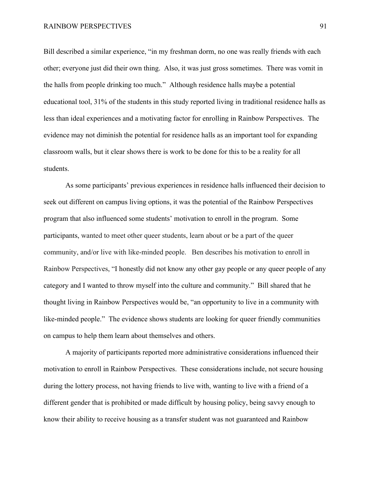Bill described a similar experience, "in my freshman dorm, no one was really friends with each other; everyone just did their own thing. Also, it was just gross sometimes. There was vomit in the halls from people drinking too much." Although residence halls maybe a potential educational tool, 31% of the students in this study reported living in traditional residence halls as less than ideal experiences and a motivating factor for enrolling in Rainbow Perspectives. The evidence may not diminish the potential for residence halls as an important tool for expanding classroom walls, but it clear shows there is work to be done for this to be a reality for all students.

As some participants' previous experiences in residence halls influenced their decision to seek out different on campus living options, it was the potential of the Rainbow Perspectives program that also influenced some students' motivation to enroll in the program. Some participants, wanted to meet other queer students, learn about or be a part of the queer community, and/or live with like-minded people. Ben describes his motivation to enroll in Rainbow Perspectives, "I honestly did not know any other gay people or any queer people of any category and I wanted to throw myself into the culture and community." Bill shared that he thought living in Rainbow Perspectives would be, "an opportunity to live in a community with like-minded people." The evidence shows students are looking for queer friendly communities on campus to help them learn about themselves and others.

A majority of participants reported more administrative considerations influenced their motivation to enroll in Rainbow Perspectives. These considerations include, not secure housing during the lottery process, not having friends to live with, wanting to live with a friend of a different gender that is prohibited or made difficult by housing policy, being savvy enough to know their ability to receive housing as a transfer student was not guaranteed and Rainbow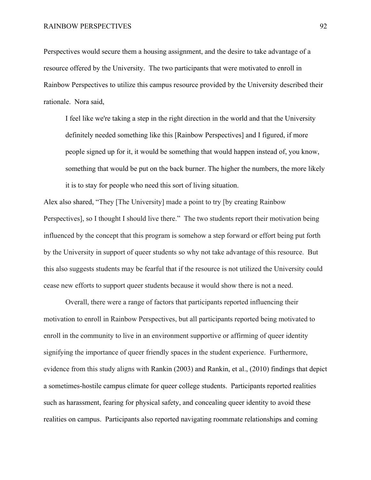Perspectives would secure them a housing assignment, and the desire to take advantage of a resource offered by the University. The two participants that were motivated to enroll in Rainbow Perspectives to utilize this campus resource provided by the University described their rationale. Nora said,

I feel like we're taking a step in the right direction in the world and that the University definitely needed something like this [Rainbow Perspectives] and I figured, if more people signed up for it, it would be something that would happen instead of, you know, something that would be put on the back burner. The higher the numbers, the more likely it is to stay for people who need this sort of living situation.

Alex also shared, "They [The University] made a point to try [by creating Rainbow Perspectives], so I thought I should live there." The two students report their motivation being influenced by the concept that this program is somehow a step forward or effort being put forth by the University in support of queer students so why not take advantage of this resource. But this also suggests students may be fearful that if the resource is not utilized the University could cease new efforts to support queer students because it would show there is not a need.

Overall, there were a range of factors that participants reported influencing their motivation to enroll in Rainbow Perspectives, but all participants reported being motivated to enroll in the community to live in an environment supportive or affirming of queer identity signifying the importance of queer friendly spaces in the student experience. Furthermore, evidence from this study aligns with Rankin (2003) and Rankin, et al., (2010) findings that depict a sometimes-hostile campus climate for queer college students. Participants reported realities such as harassment, fearing for physical safety, and concealing queer identity to avoid these realities on campus. Participants also reported navigating roommate relationships and coming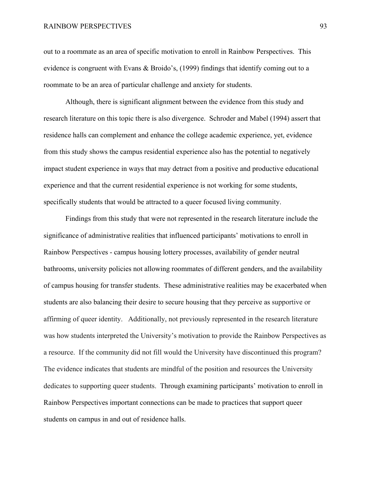out to a roommate as an area of specific motivation to enroll in Rainbow Perspectives. This evidence is congruent with Evans & Broido's, (1999) findings that identify coming out to a roommate to be an area of particular challenge and anxiety for students.

Although, there is significant alignment between the evidence from this study and research literature on this topic there is also divergence. Schroder and Mabel (1994) assert that residence halls can complement and enhance the college academic experience, yet, evidence from this study shows the campus residential experience also has the potential to negatively impact student experience in ways that may detract from a positive and productive educational experience and that the current residential experience is not working for some students, specifically students that would be attracted to a queer focused living community.

Findings from this study that were not represented in the research literature include the significance of administrative realities that influenced participants' motivations to enroll in Rainbow Perspectives - campus housing lottery processes, availability of gender neutral bathrooms, university policies not allowing roommates of different genders, and the availability of campus housing for transfer students. These administrative realities may be exacerbated when students are also balancing their desire to secure housing that they perceive as supportive or affirming of queer identity. Additionally, not previously represented in the research literature was how students interpreted the University's motivation to provide the Rainbow Perspectives as a resource. If the community did not fill would the University have discontinued this program? The evidence indicates that students are mindful of the position and resources the University dedicates to supporting queer students. Through examining participants' motivation to enroll in Rainbow Perspectives important connections can be made to practices that support queer students on campus in and out of residence halls.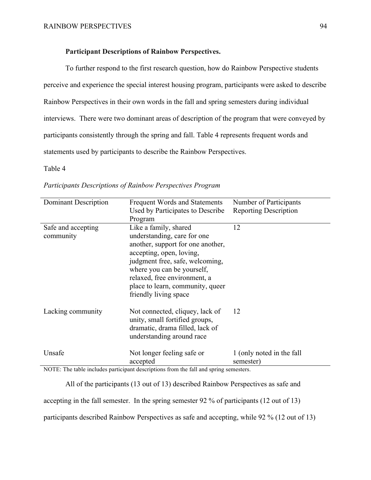# **Participant Descriptions of Rainbow Perspectives.**

To further respond to the first research question, how do Rainbow Perspective students perceive and experience the special interest housing program, participants were asked to describe Rainbow Perspectives in their own words in the fall and spring semesters during individual interviews. There were two dominant areas of description of the program that were conveyed by participants consistently through the spring and fall. Table 4 represents frequent words and statements used by participants to describe the Rainbow Perspectives.

Table 4

| Dominant Description            | Frequent Words and Statements<br>Used by Participates to Describe<br>Program                                                                                                                                                                                                        | Number of Participants<br><b>Reporting Description</b> |
|---------------------------------|-------------------------------------------------------------------------------------------------------------------------------------------------------------------------------------------------------------------------------------------------------------------------------------|--------------------------------------------------------|
| Safe and accepting<br>community | Like a family, shared<br>understanding, care for one<br>another, support for one another,<br>accepting, open, loving,<br>judgment free, safe, welcoming,<br>where you can be yourself,<br>relaxed, free environment, a<br>place to learn, community, queer<br>friendly living space | 12                                                     |
| Lacking community               | Not connected, cliquey, lack of<br>unity, small fortified groups,<br>dramatic, drama filled, lack of<br>understanding around race                                                                                                                                                   | 12                                                     |
| Unsafe<br>$\mathbf{1}$<br>.     | Not longer feeling safe or<br>accepted<br>$\mathbf{A}$ $\mathbf{A}$ $\mathbf{A}$ $\mathbf{A}$ $\mathbf{A}$ $\mathbf{A}$ $\mathbf{A}$                                                                                                                                                | 1 (only noted in the fall<br>semester)                 |

*Participants Descriptions of Rainbow Perspectives Program*

NOTE: The table includes participant descriptions from the fall and spring semesters.

All of the participants (13 out of 13) described Rainbow Perspectives as safe and accepting in the fall semester. In the spring semester 92 % of participants (12 out of 13) participants described Rainbow Perspectives as safe and accepting, while 92 % (12 out of 13)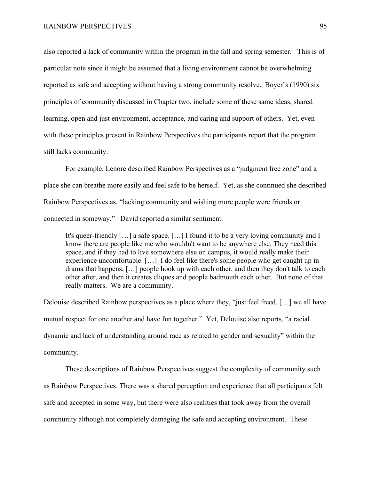also reported a lack of community within the program in the fall and spring semester. This is of particular note since it might be assumed that a living environment cannot be overwhelming reported as safe and accepting without having a strong community resolve. Boyer's (1990) six principles of community discussed in Chapter two, include some of these same ideas, shared learning, open and just environment, acceptance, and caring and support of others. Yet, even with these principles present in Rainbow Perspectives the participants report that the program still lacks community.

For example, Lenore described Rainbow Perspectives as a "judgment free zone" and a place she can breathe more easily and feel safe to be herself. Yet, as she continued she described Rainbow Perspectives as, "lacking community and wishing more people were friends or connected in someway." David reported a similar sentiment.

It's queer-friendly […] a safe space. […] I found it to be a very loving community and I know there are people like me who wouldn't want to be anywhere else. They need this space, and if they had to live somewhere else on campus, it would really make their experience uncomfortable. […] I do feel like there's some people who get caught up in drama that happens, […] people hook up with each other, and then they don't talk to each other after, and then it creates cliques and people badmouth each other. But none of that really matters. We are a community.

Delouise described Rainbow perspectives as a place where they, "just feel freed. […] we all have mutual respect for one another and have fun together." Yet, Delouise also reports, "a racial dynamic and lack of understanding around race as related to gender and sexuality" within the community.

These descriptions of Rainbow Perspectives suggest the complexity of community such as Rainbow Perspectives. There was a shared perception and experience that all participants felt safe and accepted in some way, but there were also realities that took away from the overall community although not completely damaging the safe and accepting environment. These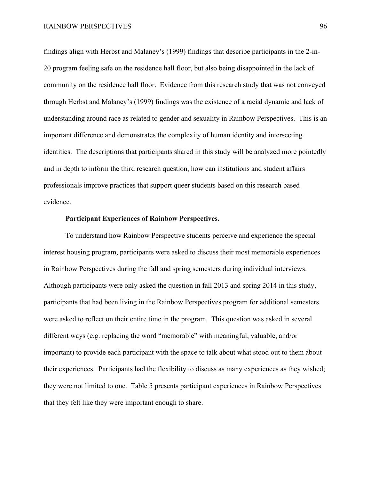findings align with Herbst and Malaney's (1999) findings that describe participants in the 2-in-20 program feeling safe on the residence hall floor, but also being disappointed in the lack of community on the residence hall floor. Evidence from this research study that was not conveyed through Herbst and Malaney's (1999) findings was the existence of a racial dynamic and lack of understanding around race as related to gender and sexuality in Rainbow Perspectives. This is an important difference and demonstrates the complexity of human identity and intersecting identities. The descriptions that participants shared in this study will be analyzed more pointedly and in depth to inform the third research question, how can institutions and student affairs professionals improve practices that support queer students based on this research based evidence.

### **Participant Experiences of Rainbow Perspectives.**

To understand how Rainbow Perspective students perceive and experience the special interest housing program, participants were asked to discuss their most memorable experiences in Rainbow Perspectives during the fall and spring semesters during individual interviews. Although participants were only asked the question in fall 2013 and spring 2014 in this study, participants that had been living in the Rainbow Perspectives program for additional semesters were asked to reflect on their entire time in the program. This question was asked in several different ways (e.g. replacing the word "memorable" with meaningful, valuable, and/or important) to provide each participant with the space to talk about what stood out to them about their experiences. Participants had the flexibility to discuss as many experiences as they wished; they were not limited to one. Table 5 presents participant experiences in Rainbow Perspectives that they felt like they were important enough to share.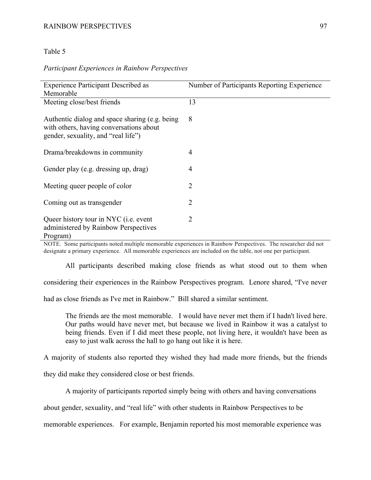### RAINBOW PERSPECTIVES 97

### Table 5

### *Participant Experiences in Rainbow Perspectives*

| <b>Experience Participant Described as</b>                                                                                       | Number of Participants Reporting Experience                                      |
|----------------------------------------------------------------------------------------------------------------------------------|----------------------------------------------------------------------------------|
| Memorable                                                                                                                        |                                                                                  |
| Meeting close/best friends                                                                                                       | 13                                                                               |
| Authentic dialog and space sharing (e.g. being<br>with others, having conversations about<br>gender, sexuality, and "real life") | 8                                                                                |
| Drama/breakdowns in community                                                                                                    | 4                                                                                |
| Gender play (e.g. dressing up, drag)                                                                                             | $\overline{4}$                                                                   |
| Meeting queer people of color                                                                                                    | 2                                                                                |
| Coming out as transgender                                                                                                        | 2                                                                                |
| Queer history tour in NYC (i.e. event<br>administered by Rainbow Perspectives<br>Program)                                        | 2                                                                                |
| the contract of the contract of the contract of the contract of the contract of the contract of the contract of<br>1.1           | $\cdot$ $\cdot$ $\cdot$ $\cdot$ $\cdot$<br>$\mathbf{r}$<br>T <sub>1</sub><br>1.1 |

NOTE. Some participants noted multiple memorable experiences in Rainbow Perspectives. The researcher did not designate a primary experience. All memorable experiences are included on the table, not one per participant.

All participants described making close friends as what stood out to them when considering their experiences in the Rainbow Perspectives program. Lenore shared, "I've never had as close friends as I've met in Rainbow." Bill shared a similar sentiment.

The friends are the most memorable. I would have never met them if I hadn't lived here. Our paths would have never met, but because we lived in Rainbow it was a catalyst to being friends. Even if I did meet these people, not living here, it wouldn't have been as easy to just walk across the hall to go hang out like it is here.

A majority of students also reported they wished they had made more friends, but the friends

they did make they considered close or best friends.

A majority of participants reported simply being with others and having conversations

about gender, sexuality, and "real life" with other students in Rainbow Perspectives to be

memorable experiences. For example, Benjamin reported his most memorable experience was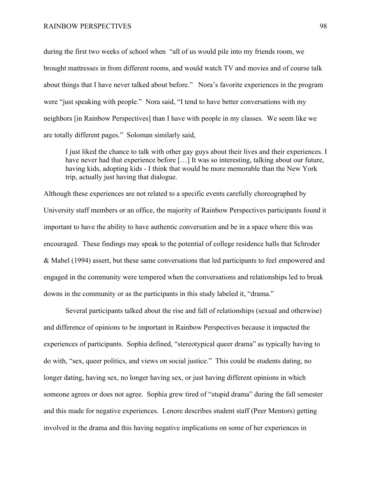during the first two weeks of school when "all of us would pile into my friends room, we brought mattresses in from different rooms, and would watch TV and movies and of course talk about things that I have never talked about before." Nora's favorite experiences in the program were "just speaking with people." Nora said, "I tend to have better conversations with my neighbors [in Rainbow Perspectives] than I have with people in my classes. We seem like we are totally different pages." Soloman similarly said,

I just liked the chance to talk with other gay guys about their lives and their experiences. I have never had that experience before [...] It was so interesting, talking about our future, having kids, adopting kids - I think that would be more memorable than the New York trip, actually just having that dialogue.

Although these experiences are not related to a specific events carefully choreographed by University staff members or an office, the majority of Rainbow Perspectives participants found it important to have the ability to have authentic conversation and be in a space where this was encouraged. These findings may speak to the potential of college residence halls that Schroder & Mabel (1994) assert, but these same conversations that led participants to feel empowered and engaged in the community were tempered when the conversations and relationships led to break downs in the community or as the participants in this study labeled it, "drama."

Several participants talked about the rise and fall of relationships (sexual and otherwise) and difference of opinions to be important in Rainbow Perspectives because it impacted the experiences of participants. Sophia defined, "stereotypical queer drama" as typically having to do with, "sex, queer politics, and views on social justice." This could be students dating, no longer dating, having sex, no longer having sex, or just having different opinions in which someone agrees or does not agree. Sophia grew tired of "stupid drama" during the fall semester and this made for negative experiences. Lenore describes student staff (Peer Mentors) getting involved in the drama and this having negative implications on some of her experiences in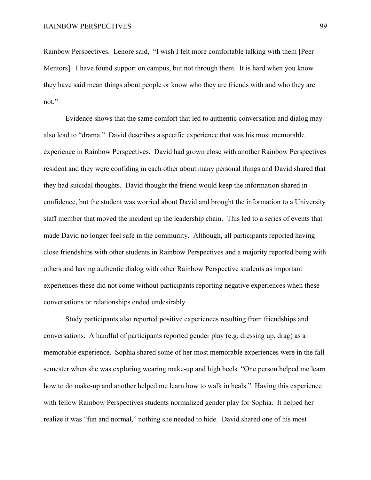Rainbow Perspectives. Lenore said, "I wish I felt more comfortable talking with them [Peer Mentors]. I have found support on campus, but not through them. It is hard when you know they have said mean things about people or know who they are friends with and who they are not."

Evidence shows that the same comfort that led to authentic conversation and dialog may also lead to "drama." David describes a specific experience that was his most memorable experience in Rainbow Perspectives. David had grown close with another Rainbow Perspectives resident and they were confiding in each other about many personal things and David shared that they had suicidal thoughts. David thought the friend would keep the information shared in confidence, but the student was worried about David and brought the information to a University staff member that moved the incident up the leadership chain. This led to a series of events that made David no longer feel safe in the community. Although, all participants reported having close friendships with other students in Rainbow Perspectives and a majority reported being with others and having authentic dialog with other Rainbow Perspective students as important experiences these did not come without participants reporting negative experiences when these conversations or relationships ended undesirably.

Study participants also reported positive experiences resulting from friendships and conversations. A handful of participants reported gender play (e.g. dressing up, drag) as a memorable experience. Sophia shared some of her most memorable experiences were in the fall semester when she was exploring wearing make-up and high heels. "One person helped me learn how to do make-up and another helped me learn how to walk in heals." Having this experience with fellow Rainbow Perspectives students normalized gender play for Sophia. It helped her realize it was "fun and normal," nothing she needed to hide. David shared one of his most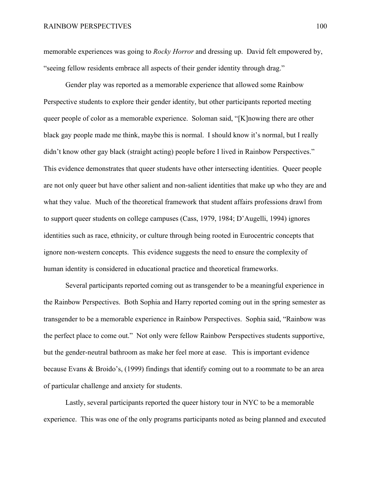memorable experiences was going to *Rocky Horror* and dressing up. David felt empowered by, "seeing fellow residents embrace all aspects of their gender identity through drag."

Gender play was reported as a memorable experience that allowed some Rainbow Perspective students to explore their gender identity, but other participants reported meeting queer people of color as a memorable experience. Soloman said, "[K]nowing there are other black gay people made me think, maybe this is normal. I should know it's normal, but I really didn't know other gay black (straight acting) people before I lived in Rainbow Perspectives." This evidence demonstrates that queer students have other intersecting identities. Queer people are not only queer but have other salient and non-salient identities that make up who they are and what they value. Much of the theoretical framework that student affairs professions drawl from to support queer students on college campuses (Cass, 1979, 1984; D'Augelli, 1994) ignores identities such as race, ethnicity, or culture through being rooted in Eurocentric concepts that ignore non-western concepts. This evidence suggests the need to ensure the complexity of human identity is considered in educational practice and theoretical frameworks.

Several participants reported coming out as transgender to be a meaningful experience in the Rainbow Perspectives. Both Sophia and Harry reported coming out in the spring semester as transgender to be a memorable experience in Rainbow Perspectives. Sophia said, "Rainbow was the perfect place to come out." Not only were fellow Rainbow Perspectives students supportive, but the gender-neutral bathroom as make her feel more at ease. This is important evidence because Evans & Broido's, (1999) findings that identify coming out to a roommate to be an area of particular challenge and anxiety for students.

Lastly, several participants reported the queer history tour in NYC to be a memorable experience. This was one of the only programs participants noted as being planned and executed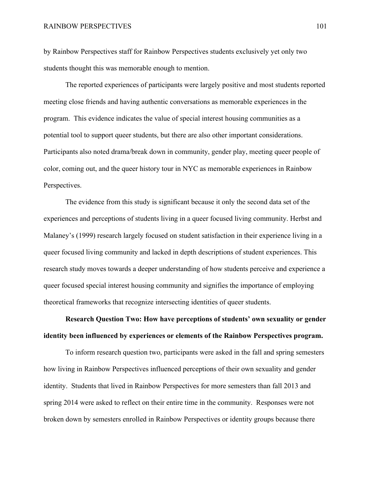by Rainbow Perspectives staff for Rainbow Perspectives students exclusively yet only two students thought this was memorable enough to mention.

The reported experiences of participants were largely positive and most students reported meeting close friends and having authentic conversations as memorable experiences in the program. This evidence indicates the value of special interest housing communities as a potential tool to support queer students, but there are also other important considerations. Participants also noted drama/break down in community, gender play, meeting queer people of color, coming out, and the queer history tour in NYC as memorable experiences in Rainbow Perspectives.

The evidence from this study is significant because it only the second data set of the experiences and perceptions of students living in a queer focused living community. Herbst and Malaney's (1999) research largely focused on student satisfaction in their experience living in a queer focused living community and lacked in depth descriptions of student experiences. This research study moves towards a deeper understanding of how students perceive and experience a queer focused special interest housing community and signifies the importance of employing theoretical frameworks that recognize intersecting identities of queer students.

# **Research Question Two: How have perceptions of students' own sexuality or gender identity been influenced by experiences or elements of the Rainbow Perspectives program.**

To inform research question two, participants were asked in the fall and spring semesters how living in Rainbow Perspectives influenced perceptions of their own sexuality and gender identity. Students that lived in Rainbow Perspectives for more semesters than fall 2013 and spring 2014 were asked to reflect on their entire time in the community. Responses were not broken down by semesters enrolled in Rainbow Perspectives or identity groups because there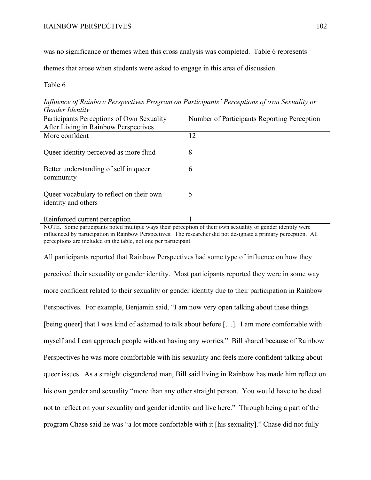was no significance or themes when this cross analysis was completed. Table 6 represents

themes that arose when students were asked to engage in this area of discussion.

# Table 6

| Gender Identity                           |                                             |
|-------------------------------------------|---------------------------------------------|
| Participants Perceptions of Own Sexuality | Number of Participants Reporting Perception |
| After Living in Rainbow Perspectives      |                                             |
| More confident                            | 12                                          |
|                                           |                                             |
| Queer identity perceived as more fluid    | 8                                           |
|                                           |                                             |
| Better understanding of self in queer     | 6                                           |
| community                                 |                                             |
|                                           |                                             |
| Queer vocabulary to reflect on their own  | 5                                           |
| identity and others                       |                                             |
|                                           |                                             |
| Reinforced current perception             |                                             |

*Influence of Rainbow Perspectives Program on Participants' Perceptions of own Sexuality or Gender Identity* 

NOTE. Some participants noted multiple ways their perception of their own sexuality or gender identity were influenced by participation in Rainbow Perspectives. The researcher did not designate a primary perception. All perceptions are included on the table, not one per participant.

All participants reported that Rainbow Perspectives had some type of influence on how they perceived their sexuality or gender identity. Most participants reported they were in some way more confident related to their sexuality or gender identity due to their participation in Rainbow Perspectives. For example, Benjamin said, "I am now very open talking about these things [being queer] that I was kind of ashamed to talk about before […]. I am more comfortable with myself and I can approach people without having any worries." Bill shared because of Rainbow Perspectives he was more comfortable with his sexuality and feels more confident talking about queer issues. As a straight cisgendered man, Bill said living in Rainbow has made him reflect on his own gender and sexuality "more than any other straight person. You would have to be dead not to reflect on your sexuality and gender identity and live here." Through being a part of the program Chase said he was "a lot more confortable with it [his sexuality]." Chase did not fully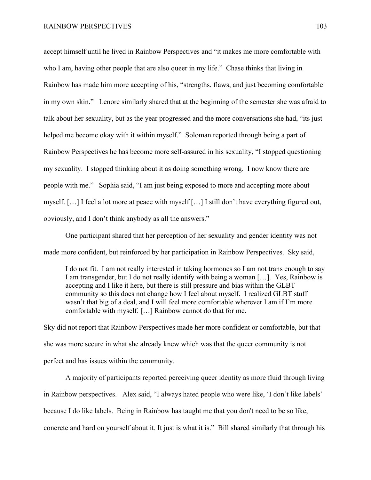accept himself until he lived in Rainbow Perspectives and "it makes me more comfortable with who I am, having other people that are also queer in my life." Chase thinks that living in Rainbow has made him more accepting of his, "strengths, flaws, and just becoming comfortable in my own skin." Lenore similarly shared that at the beginning of the semester she was afraid to talk about her sexuality, but as the year progressed and the more conversations she had, "its just helped me become okay with it within myself." Soloman reported through being a part of Rainbow Perspectives he has become more self-assured in his sexuality, "I stopped questioning my sexuality. I stopped thinking about it as doing something wrong. I now know there are people with me." Sophia said, "I am just being exposed to more and accepting more about myself. […] I feel a lot more at peace with myself […] I still don't have everything figured out, obviously, and I don't think anybody as all the answers."

One participant shared that her perception of her sexuality and gender identity was not made more confident, but reinforced by her participation in Rainbow Perspectives. Sky said,

I do not fit. I am not really interested in taking hormones so I am not trans enough to say I am transgender, but I do not really identify with being a woman […]. Yes, Rainbow is accepting and I like it here, but there is still pressure and bias within the GLBT community so this does not change how I feel about myself. I realized GLBT stuff wasn't that big of a deal, and I will feel more comfortable wherever I am if I'm more comfortable with myself. […] Rainbow cannot do that for me.

Sky did not report that Rainbow Perspectives made her more confident or comfortable, but that she was more secure in what she already knew which was that the queer community is not perfect and has issues within the community.

A majority of participants reported perceiving queer identity as more fluid through living in Rainbow perspectives. Alex said, "I always hated people who were like, 'I don't like labels' because I do like labels. Being in Rainbow has taught me that you don't need to be so like, concrete and hard on yourself about it. It just is what it is." Bill shared similarly that through his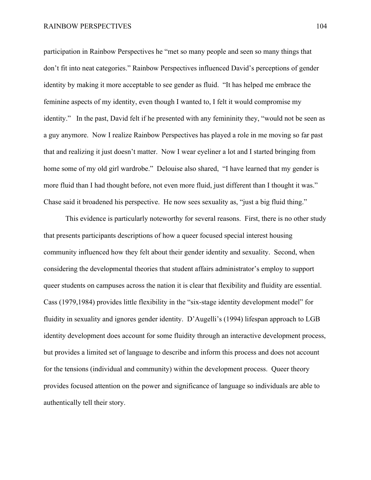participation in Rainbow Perspectives he "met so many people and seen so many things that don't fit into neat categories." Rainbow Perspectives influenced David's perceptions of gender identity by making it more acceptable to see gender as fluid. "It has helped me embrace the feminine aspects of my identity, even though I wanted to, I felt it would compromise my identity." In the past, David felt if he presented with any femininity they, "would not be seen as a guy anymore. Now I realize Rainbow Perspectives has played a role in me moving so far past that and realizing it just doesn't matter. Now I wear eyeliner a lot and I started bringing from home some of my old girl wardrobe." Delouise also shared, "I have learned that my gender is more fluid than I had thought before, not even more fluid, just different than I thought it was." Chase said it broadened his perspective. He now sees sexuality as, "just a big fluid thing."

This evidence is particularly noteworthy for several reasons. First, there is no other study that presents participants descriptions of how a queer focused special interest housing community influenced how they felt about their gender identity and sexuality. Second, when considering the developmental theories that student affairs administrator's employ to support queer students on campuses across the nation it is clear that flexibility and fluidity are essential. Cass (1979,1984) provides little flexibility in the "six-stage identity development model" for fluidity in sexuality and ignores gender identity. D'Augelli's (1994) lifespan approach to LGB identity development does account for some fluidity through an interactive development process, but provides a limited set of language to describe and inform this process and does not account for the tensions (individual and community) within the development process. Queer theory provides focused attention on the power and significance of language so individuals are able to authentically tell their story.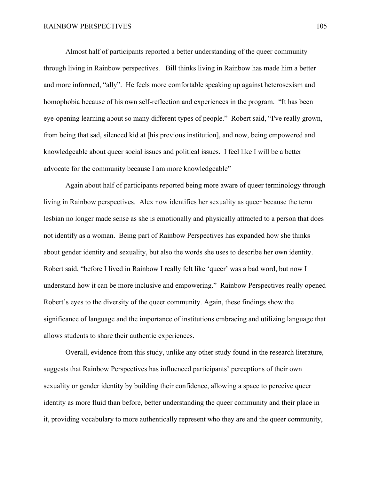Almost half of participants reported a better understanding of the queer community through living in Rainbow perspectives. Bill thinks living in Rainbow has made him a better and more informed, "ally". He feels more comfortable speaking up against heterosexism and homophobia because of his own self-reflection and experiences in the program. "It has been eye-opening learning about so many different types of people." Robert said, "I've really grown, from being that sad, silenced kid at [his previous institution], and now, being empowered and knowledgeable about queer social issues and political issues. I feel like I will be a better advocate for the community because I am more knowledgeable"

Again about half of participants reported being more aware of queer terminology through living in Rainbow perspectives. Alex now identifies her sexuality as queer because the term lesbian no longer made sense as she is emotionally and physically attracted to a person that does not identify as a woman. Being part of Rainbow Perspectives has expanded how she thinks about gender identity and sexuality, but also the words she uses to describe her own identity. Robert said, "before I lived in Rainbow I really felt like 'queer' was a bad word, but now I understand how it can be more inclusive and empowering." Rainbow Perspectives really opened Robert's eyes to the diversity of the queer community. Again, these findings show the significance of language and the importance of institutions embracing and utilizing language that allows students to share their authentic experiences.

Overall, evidence from this study, unlike any other study found in the research literature, suggests that Rainbow Perspectives has influenced participants' perceptions of their own sexuality or gender identity by building their confidence, allowing a space to perceive queer identity as more fluid than before, better understanding the queer community and their place in it, providing vocabulary to more authentically represent who they are and the queer community,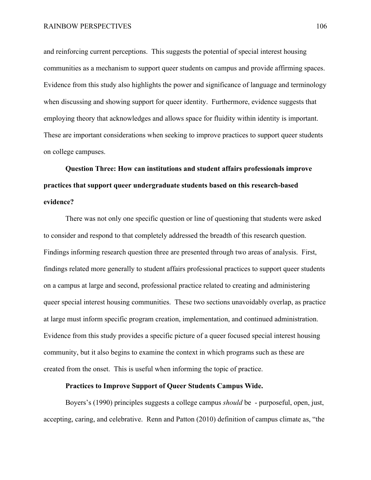and reinforcing current perceptions. This suggests the potential of special interest housing communities as a mechanism to support queer students on campus and provide affirming spaces. Evidence from this study also highlights the power and significance of language and terminology when discussing and showing support for queer identity. Furthermore, evidence suggests that employing theory that acknowledges and allows space for fluidity within identity is important. These are important considerations when seeking to improve practices to support queer students on college campuses.

**Question Three: How can institutions and student affairs professionals improve practices that support queer undergraduate students based on this research-based evidence?**

There was not only one specific question or line of questioning that students were asked to consider and respond to that completely addressed the breadth of this research question. Findings informing research question three are presented through two areas of analysis. First, findings related more generally to student affairs professional practices to support queer students on a campus at large and second, professional practice related to creating and administering queer special interest housing communities. These two sections unavoidably overlap, as practice at large must inform specific program creation, implementation, and continued administration. Evidence from this study provides a specific picture of a queer focused special interest housing community, but it also begins to examine the context in which programs such as these are created from the onset. This is useful when informing the topic of practice.

## **Practices to Improve Support of Queer Students Campus Wide.**

Boyers's (1990) principles suggests a college campus *should* be - purposeful, open, just, accepting, caring, and celebrative. Renn and Patton (2010) definition of campus climate as, "the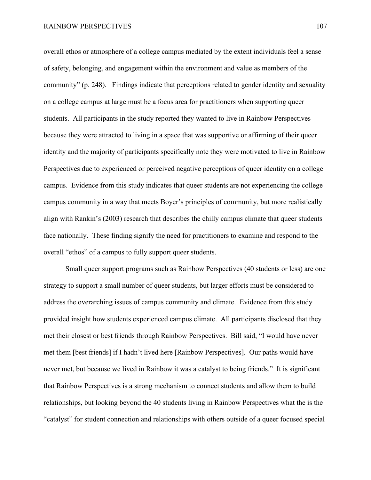overall ethos or atmosphere of a college campus mediated by the extent individuals feel a sense of safety, belonging, and engagement within the environment and value as members of the community" (p. 248). Findings indicate that perceptions related to gender identity and sexuality on a college campus at large must be a focus area for practitioners when supporting queer students. All participants in the study reported they wanted to live in Rainbow Perspectives because they were attracted to living in a space that was supportive or affirming of their queer identity and the majority of participants specifically note they were motivated to live in Rainbow Perspectives due to experienced or perceived negative perceptions of queer identity on a college campus. Evidence from this study indicates that queer students are not experiencing the college campus community in a way that meets Boyer's principles of community, but more realistically align with Rankin's (2003) research that describes the chilly campus climate that queer students face nationally. These finding signify the need for practitioners to examine and respond to the overall "ethos" of a campus to fully support queer students.

Small queer support programs such as Rainbow Perspectives (40 students or less) are one strategy to support a small number of queer students, but larger efforts must be considered to address the overarching issues of campus community and climate. Evidence from this study provided insight how students experienced campus climate. All participants disclosed that they met their closest or best friends through Rainbow Perspectives. Bill said, "I would have never met them [best friends] if I hadn't lived here [Rainbow Perspectives]. Our paths would have never met, but because we lived in Rainbow it was a catalyst to being friends." It is significant that Rainbow Perspectives is a strong mechanism to connect students and allow them to build relationships, but looking beyond the 40 students living in Rainbow Perspectives what the is the "catalyst" for student connection and relationships with others outside of a queer focused special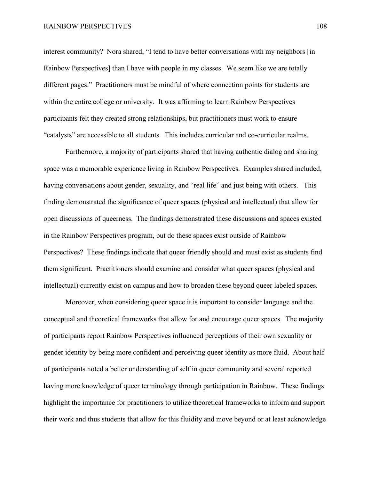interest community? Nora shared, "I tend to have better conversations with my neighbors [in Rainbow Perspectives] than I have with people in my classes. We seem like we are totally different pages." Practitioners must be mindful of where connection points for students are within the entire college or university. It was affirming to learn Rainbow Perspectives participants felt they created strong relationships, but practitioners must work to ensure "catalysts" are accessible to all students. This includes curricular and co-curricular realms.

Furthermore, a majority of participants shared that having authentic dialog and sharing space was a memorable experience living in Rainbow Perspectives. Examples shared included, having conversations about gender, sexuality, and "real life" and just being with others. This finding demonstrated the significance of queer spaces (physical and intellectual) that allow for open discussions of queerness. The findings demonstrated these discussions and spaces existed in the Rainbow Perspectives program, but do these spaces exist outside of Rainbow Perspectives? These findings indicate that queer friendly should and must exist as students find them significant. Practitioners should examine and consider what queer spaces (physical and intellectual) currently exist on campus and how to broaden these beyond queer labeled spaces.

Moreover, when considering queer space it is important to consider language and the conceptual and theoretical frameworks that allow for and encourage queer spaces. The majority of participants report Rainbow Perspectives influenced perceptions of their own sexuality or gender identity by being more confident and perceiving queer identity as more fluid. About half of participants noted a better understanding of self in queer community and several reported having more knowledge of queer terminology through participation in Rainbow. These findings highlight the importance for practitioners to utilize theoretical frameworks to inform and support their work and thus students that allow for this fluidity and move beyond or at least acknowledge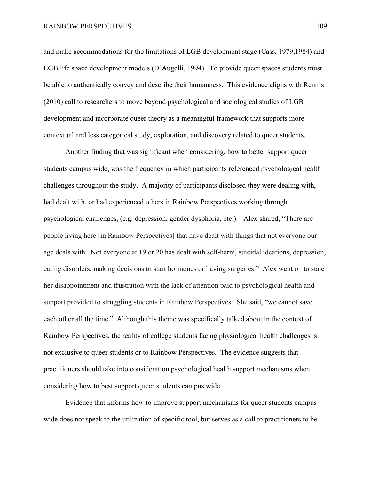and make accommodations for the limitations of LGB development stage (Cass, 1979,1984) and LGB life space development models (D'Augelli, 1994). To provide queer spaces students must be able to authentically convey and describe their humanness. This evidence aligns with Renn's (2010) call to researchers to move beyond psychological and sociological studies of LGB development and incorporate queer theory as a meaningful framework that supports more contextual and less categorical study, exploration, and discovery related to queer students.

Another finding that was significant when considering, how to better support queer students campus wide, was the frequency in which participants referenced psychological health challenges throughout the study. A majority of participants disclosed they were dealing with, had dealt with, or had experienced others in Rainbow Perspectives working through psychological challenges, (e.g. depression, gender dysphoria, etc.). Alex shared, "There are people living here [in Rainbow Perspectives] that have dealt with things that not everyone our age deals with. Not everyone at 19 or 20 has dealt with self-harm, suicidal ideations, depression, eating disorders, making decisions to start hormones or having surgeries." Alex went on to state her disappointment and frustration with the lack of attention paid to psychological health and support provided to struggling students in Rainbow Perspectives. She said, "we cannot save each other all the time." Although this theme was specifically talked about in the context of Rainbow Perspectives, the reality of college students facing physiological health challenges is not exclusive to queer students or to Rainbow Perspectives. The evidence suggests that practitioners should take into consideration psychological health support mechanisms when considering how to best support queer students campus wide.

Evidence that informs how to improve support mechanisms for queer students campus wide does not speak to the utilization of specific tool, but serves as a call to practitioners to be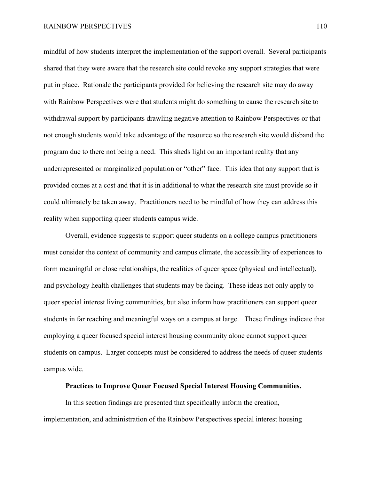mindful of how students interpret the implementation of the support overall. Several participants shared that they were aware that the research site could revoke any support strategies that were put in place. Rationale the participants provided for believing the research site may do away with Rainbow Perspectives were that students might do something to cause the research site to withdrawal support by participants drawling negative attention to Rainbow Perspectives or that not enough students would take advantage of the resource so the research site would disband the program due to there not being a need. This sheds light on an important reality that any underrepresented or marginalized population or "other" face. This idea that any support that is provided comes at a cost and that it is in additional to what the research site must provide so it could ultimately be taken away. Practitioners need to be mindful of how they can address this reality when supporting queer students campus wide.

Overall, evidence suggests to support queer students on a college campus practitioners must consider the context of community and campus climate, the accessibility of experiences to form meaningful or close relationships, the realities of queer space (physical and intellectual), and psychology health challenges that students may be facing. These ideas not only apply to queer special interest living communities, but also inform how practitioners can support queer students in far reaching and meaningful ways on a campus at large. These findings indicate that employing a queer focused special interest housing community alone cannot support queer students on campus. Larger concepts must be considered to address the needs of queer students campus wide.

## **Practices to Improve Queer Focused Special Interest Housing Communities.**

In this section findings are presented that specifically inform the creation, implementation, and administration of the Rainbow Perspectives special interest housing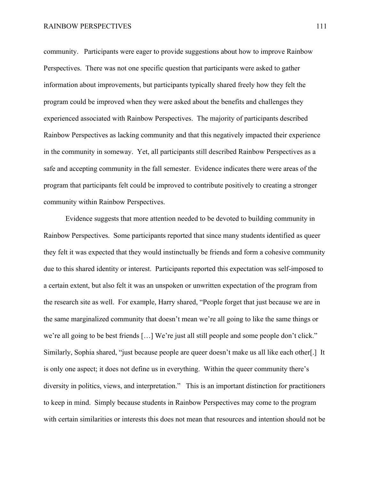#### RAINBOW PERSPECTIVES 111

community. Participants were eager to provide suggestions about how to improve Rainbow Perspectives. There was not one specific question that participants were asked to gather information about improvements, but participants typically shared freely how they felt the program could be improved when they were asked about the benefits and challenges they experienced associated with Rainbow Perspectives. The majority of participants described Rainbow Perspectives as lacking community and that this negatively impacted their experience in the community in someway. Yet, all participants still described Rainbow Perspectives as a safe and accepting community in the fall semester. Evidence indicates there were areas of the program that participants felt could be improved to contribute positively to creating a stronger community within Rainbow Perspectives.

Evidence suggests that more attention needed to be devoted to building community in Rainbow Perspectives. Some participants reported that since many students identified as queer they felt it was expected that they would instinctually be friends and form a cohesive community due to this shared identity or interest. Participants reported this expectation was self-imposed to a certain extent, but also felt it was an unspoken or unwritten expectation of the program from the research site as well. For example, Harry shared, "People forget that just because we are in the same marginalized community that doesn't mean we're all going to like the same things or we're all going to be best friends […] We're just all still people and some people don't click." Similarly, Sophia shared, "just because people are queer doesn't make us all like each other[.] It is only one aspect; it does not define us in everything. Within the queer community there's diversity in politics, views, and interpretation." This is an important distinction for practitioners to keep in mind. Simply because students in Rainbow Perspectives may come to the program with certain similarities or interests this does not mean that resources and intention should not be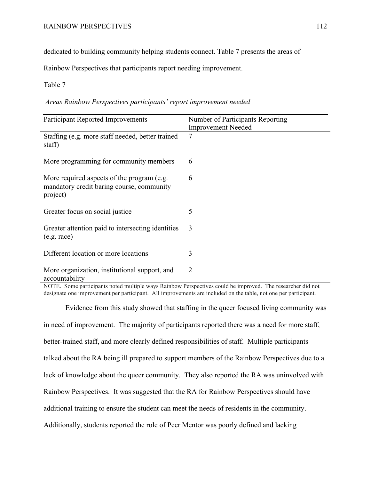dedicated to building community helping students connect. Table 7 presents the areas of

Rainbow Perspectives that participants report needing improvement.

Table 7

*Areas Rainbow Perspectives participants' report improvement needed*

| <b>Participant Reported Improvements</b>                                                            | Number of Participants Reporting<br><b>Improvement Needed</b> |
|-----------------------------------------------------------------------------------------------------|---------------------------------------------------------------|
| Staffing (e.g. more staff needed, better trained<br>staff)                                          | $\overline{7}$                                                |
| More programming for community members                                                              | 6                                                             |
| More required aspects of the program (e.g.<br>mandatory credit baring course, community<br>project) | 6                                                             |
| Greater focus on social justice                                                                     | 5                                                             |
| Greater attention paid to intersecting identities<br>(e.g. race)                                    | 3                                                             |
| Different location or more locations                                                                | 3                                                             |
| More organization, institutional support, and<br>accountability                                     | 2                                                             |

NOTE. Some participants noted multiple ways Rainbow Perspectives could be improved. The researcher did not designate one improvement per participant. All improvements are included on the table, not one per participant.

Evidence from this study showed that staffing in the queer focused living community was in need of improvement. The majority of participants reported there was a need for more staff, better-trained staff, and more clearly defined responsibilities of staff. Multiple participants talked about the RA being ill prepared to support members of the Rainbow Perspectives due to a lack of knowledge about the queer community. They also reported the RA was uninvolved with Rainbow Perspectives. It was suggested that the RA for Rainbow Perspectives should have additional training to ensure the student can meet the needs of residents in the community. Additionally, students reported the role of Peer Mentor was poorly defined and lacking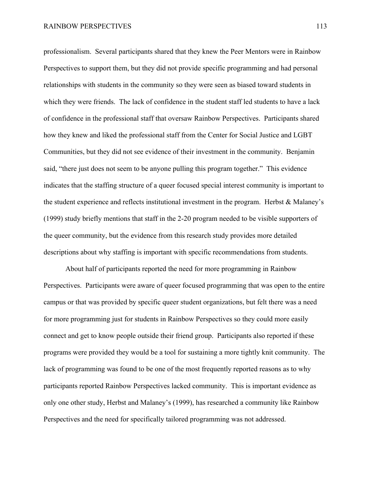professionalism. Several participants shared that they knew the Peer Mentors were in Rainbow Perspectives to support them, but they did not provide specific programming and had personal relationships with students in the community so they were seen as biased toward students in which they were friends. The lack of confidence in the student staff led students to have a lack of confidence in the professional staff that oversaw Rainbow Perspectives. Participants shared how they knew and liked the professional staff from the Center for Social Justice and LGBT Communities, but they did not see evidence of their investment in the community. Benjamin said, "there just does not seem to be anyone pulling this program together." This evidence indicates that the staffing structure of a queer focused special interest community is important to the student experience and reflects institutional investment in the program. Herbst  $\&$  Malaney's (1999) study briefly mentions that staff in the 2-20 program needed to be visible supporters of the queer community, but the evidence from this research study provides more detailed descriptions about why staffing is important with specific recommendations from students.

About half of participants reported the need for more programming in Rainbow Perspectives. Participants were aware of queer focused programming that was open to the entire campus or that was provided by specific queer student organizations, but felt there was a need for more programming just for students in Rainbow Perspectives so they could more easily connect and get to know people outside their friend group. Participants also reported if these programs were provided they would be a tool for sustaining a more tightly knit community. The lack of programming was found to be one of the most frequently reported reasons as to why participants reported Rainbow Perspectives lacked community. This is important evidence as only one other study, Herbst and Malaney's (1999), has researched a community like Rainbow Perspectives and the need for specifically tailored programming was not addressed.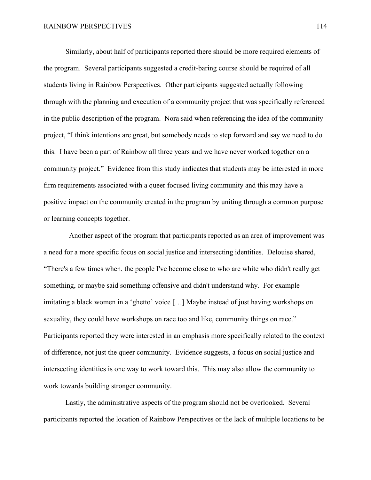Similarly, about half of participants reported there should be more required elements of the program. Several participants suggested a credit-baring course should be required of all students living in Rainbow Perspectives. Other participants suggested actually following through with the planning and execution of a community project that was specifically referenced in the public description of the program. Nora said when referencing the idea of the community project, "I think intentions are great, but somebody needs to step forward and say we need to do this. I have been a part of Rainbow all three years and we have never worked together on a community project." Evidence from this study indicates that students may be interested in more firm requirements associated with a queer focused living community and this may have a positive impact on the community created in the program by uniting through a common purpose or learning concepts together.

Another aspect of the program that participants reported as an area of improvement was a need for a more specific focus on social justice and intersecting identities. Delouise shared, "There's a few times when, the people I've become close to who are white who didn't really get something, or maybe said something offensive and didn't understand why. For example imitating a black women in a 'ghetto' voice […] Maybe instead of just having workshops on sexuality, they could have workshops on race too and like, community things on race." Participants reported they were interested in an emphasis more specifically related to the context of difference, not just the queer community. Evidence suggests, a focus on social justice and intersecting identities is one way to work toward this. This may also allow the community to work towards building stronger community.

Lastly, the administrative aspects of the program should not be overlooked. Several participants reported the location of Rainbow Perspectives or the lack of multiple locations to be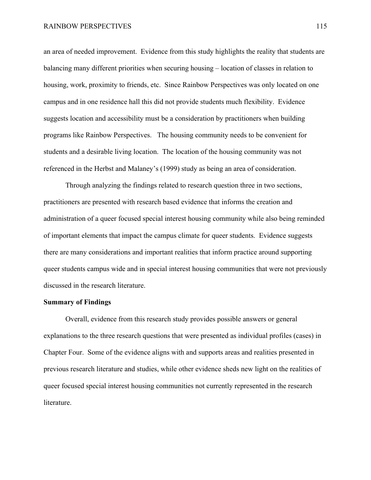an area of needed improvement. Evidence from this study highlights the reality that students are balancing many different priorities when securing housing – location of classes in relation to housing, work, proximity to friends, etc. Since Rainbow Perspectives was only located on one campus and in one residence hall this did not provide students much flexibility. Evidence suggests location and accessibility must be a consideration by practitioners when building programs like Rainbow Perspectives. The housing community needs to be convenient for students and a desirable living location. The location of the housing community was not referenced in the Herbst and Malaney's (1999) study as being an area of consideration.

Through analyzing the findings related to research question three in two sections, practitioners are presented with research based evidence that informs the creation and administration of a queer focused special interest housing community while also being reminded of important elements that impact the campus climate for queer students. Evidence suggests there are many considerations and important realities that inform practice around supporting queer students campus wide and in special interest housing communities that were not previously discussed in the research literature.

## **Summary of Findings**

Overall, evidence from this research study provides possible answers or general explanations to the three research questions that were presented as individual profiles (cases) in Chapter Four. Some of the evidence aligns with and supports areas and realities presented in previous research literature and studies, while other evidence sheds new light on the realities of queer focused special interest housing communities not currently represented in the research literature.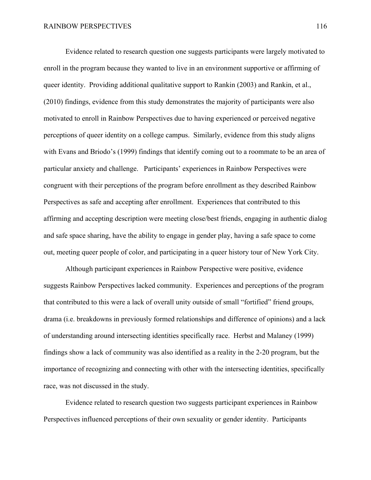Evidence related to research question one suggests participants were largely motivated to enroll in the program because they wanted to live in an environment supportive or affirming of queer identity. Providing additional qualitative support to Rankin (2003) and Rankin, et al., (2010) findings, evidence from this study demonstrates the majority of participants were also motivated to enroll in Rainbow Perspectives due to having experienced or perceived negative perceptions of queer identity on a college campus. Similarly, evidence from this study aligns with Evans and Briodo's (1999) findings that identify coming out to a roommate to be an area of particular anxiety and challenge. Participants' experiences in Rainbow Perspectives were congruent with their perceptions of the program before enrollment as they described Rainbow Perspectives as safe and accepting after enrollment. Experiences that contributed to this affirming and accepting description were meeting close/best friends, engaging in authentic dialog and safe space sharing, have the ability to engage in gender play, having a safe space to come out, meeting queer people of color, and participating in a queer history tour of New York City.

Although participant experiences in Rainbow Perspective were positive, evidence suggests Rainbow Perspectives lacked community. Experiences and perceptions of the program that contributed to this were a lack of overall unity outside of small "fortified" friend groups, drama (i.e. breakdowns in previously formed relationships and difference of opinions) and a lack of understanding around intersecting identities specifically race. Herbst and Malaney (1999) findings show a lack of community was also identified as a reality in the 2-20 program, but the importance of recognizing and connecting with other with the intersecting identities, specifically race, was not discussed in the study.

Evidence related to research question two suggests participant experiences in Rainbow Perspectives influenced perceptions of their own sexuality or gender identity. Participants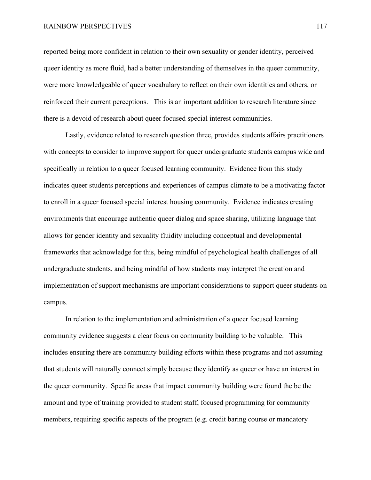reported being more confident in relation to their own sexuality or gender identity, perceived queer identity as more fluid, had a better understanding of themselves in the queer community, were more knowledgeable of queer vocabulary to reflect on their own identities and others, or reinforced their current perceptions. This is an important addition to research literature since there is a devoid of research about queer focused special interest communities.

Lastly, evidence related to research question three, provides students affairs practitioners with concepts to consider to improve support for queer undergraduate students campus wide and specifically in relation to a queer focused learning community. Evidence from this study indicates queer students perceptions and experiences of campus climate to be a motivating factor to enroll in a queer focused special interest housing community. Evidence indicates creating environments that encourage authentic queer dialog and space sharing, utilizing language that allows for gender identity and sexuality fluidity including conceptual and developmental frameworks that acknowledge for this, being mindful of psychological health challenges of all undergraduate students, and being mindful of how students may interpret the creation and implementation of support mechanisms are important considerations to support queer students on campus.

In relation to the implementation and administration of a queer focused learning community evidence suggests a clear focus on community building to be valuable. This includes ensuring there are community building efforts within these programs and not assuming that students will naturally connect simply because they identify as queer or have an interest in the queer community. Specific areas that impact community building were found the be the amount and type of training provided to student staff, focused programming for community members, requiring specific aspects of the program (e.g. credit baring course or mandatory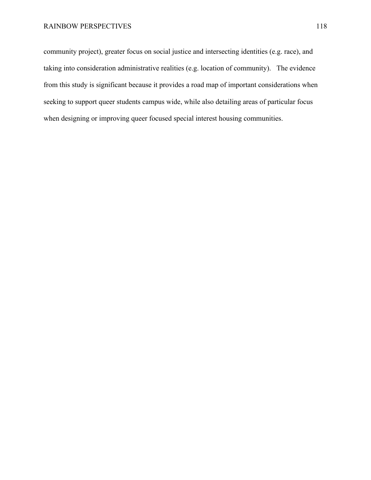community project), greater focus on social justice and intersecting identities (e.g. race), and taking into consideration administrative realities (e.g. location of community). The evidence from this study is significant because it provides a road map of important considerations when seeking to support queer students campus wide, while also detailing areas of particular focus when designing or improving queer focused special interest housing communities.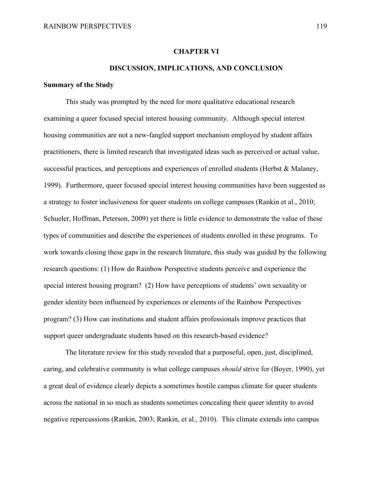# **CHAPTER VI**

## **DISCUSSION, IMPLICATIONS, AND CONCLUSION**

#### **Summary of the Study**

This study was prompted by the need for more qualitative educational research examining a queer focused special interest housing community. Although special interest housing communities are not a new-fangled support mechanism employed by student affairs practitioners, there is limited research that investigated ideas such as perceived or actual value, successful practices, and perceptions and experiences of enrolled students (Herbst  $\&$  Malaney, 1999). Furthermore, queer focused special interest housing communities have been suggested as a strategy to foster inclusiveness for queer students on college campuses (Rankin et al., 2010; Schueler, Hoffman, Peterson, 2009) yet there is little evidence to demonstrate the value of these types of communities and describe the experiences of students enrolled in these programs. To work towards closing these gaps in the research literature, this study was guided by the following research questions: (1) How do Rainbow Perspective students perceive and experience the special interest housing program? (2) How have perceptions of students' own sexuality or gender identity been influenced by experiences or elements of the Rainbow Perspectives program? (3) How can institutions and student affairs professionals improve practices that support queer undergraduate students based on this research-based evidence?

The literature review for this study revealed that a purposeful, open, just, disciplined, caring, and celebrative community is what college campuses *should* strive for (Boyer, 1990), yet a great deal of evidence clearly depicts a sometimes hostile campus climate for queer students across the national in so much as students sometimes concealing their queer identity to avoid negative repercussions (Rankin, 2003; Rankin, et al., 2010). This climate extends into campus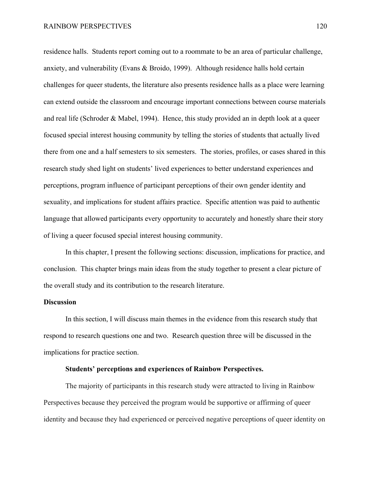residence halls. Students report coming out to a roommate to be an area of particular challenge, anxiety, and vulnerability (Evans & Broido, 1999). Although residence halls hold certain challenges for queer students, the literature also presents residence halls as a place were learning can extend outside the classroom and encourage important connections between course materials and real life (Schroder & Mabel, 1994). Hence, this study provided an in depth look at a queer focused special interest housing community by telling the stories of students that actually lived there from one and a half semesters to six semesters. The stories, profiles, or cases shared in this research study shed light on students' lived experiences to better understand experiences and perceptions, program influence of participant perceptions of their own gender identity and sexuality, and implications for student affairs practice. Specific attention was paid to authentic language that allowed participants every opportunity to accurately and honestly share their story of living a queer focused special interest housing community.

In this chapter, I present the following sections: discussion, implications for practice, and conclusion. This chapter brings main ideas from the study together to present a clear picture of the overall study and its contribution to the research literature.

# **Discussion**

In this section, I will discuss main themes in the evidence from this research study that respond to research questions one and two. Research question three will be discussed in the implications for practice section.

## **Students' perceptions and experiences of Rainbow Perspectives.**

The majority of participants in this research study were attracted to living in Rainbow Perspectives because they perceived the program would be supportive or affirming of queer identity and because they had experienced or perceived negative perceptions of queer identity on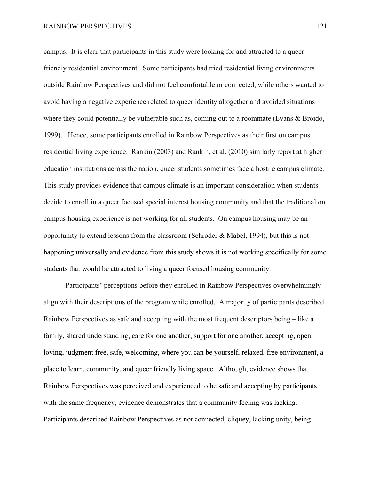campus. It is clear that participants in this study were looking for and attracted to a queer friendly residential environment. Some participants had tried residential living environments outside Rainbow Perspectives and did not feel comfortable or connected, while others wanted to avoid having a negative experience related to queer identity altogether and avoided situations where they could potentially be vulnerable such as, coming out to a roommate (Evans & Broido, 1999). Hence, some participants enrolled in Rainbow Perspectives as their first on campus residential living experience. Rankin (2003) and Rankin, et al. (2010) similarly report at higher education institutions across the nation, queer students sometimes face a hostile campus climate. This study provides evidence that campus climate is an important consideration when students decide to enroll in a queer focused special interest housing community and that the traditional on campus housing experience is not working for all students. On campus housing may be an opportunity to extend lessons from the classroom (Schroder & Mabel, 1994), but this is not happening universally and evidence from this study shows it is not working specifically for some students that would be attracted to living a queer focused housing community.

Participants' perceptions before they enrolled in Rainbow Perspectives overwhelmingly align with their descriptions of the program while enrolled. A majority of participants described Rainbow Perspectives as safe and accepting with the most frequent descriptors being – like a family, shared understanding, care for one another, support for one another, accepting, open, loving, judgment free, safe, welcoming, where you can be yourself, relaxed, free environment, a place to learn, community, and queer friendly living space. Although, evidence shows that Rainbow Perspectives was perceived and experienced to be safe and accepting by participants, with the same frequency, evidence demonstrates that a community feeling was lacking. Participants described Rainbow Perspectives as not connected, cliquey, lacking unity, being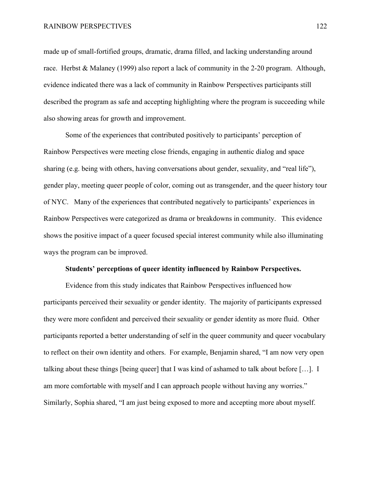made up of small-fortified groups, dramatic, drama filled, and lacking understanding around race. Herbst & Malaney (1999) also report a lack of community in the 2-20 program. Although, evidence indicated there was a lack of community in Rainbow Perspectives participants still described the program as safe and accepting highlighting where the program is succeeding while also showing areas for growth and improvement.

Some of the experiences that contributed positively to participants' perception of Rainbow Perspectives were meeting close friends, engaging in authentic dialog and space sharing (e.g. being with others, having conversations about gender, sexuality, and "real life"), gender play, meeting queer people of color, coming out as transgender, and the queer history tour of NYC. Many of the experiences that contributed negatively to participants' experiences in Rainbow Perspectives were categorized as drama or breakdowns in community. This evidence shows the positive impact of a queer focused special interest community while also illuminating ways the program can be improved.

#### **Students' perceptions of queer identity influenced by Rainbow Perspectives.**

Evidence from this study indicates that Rainbow Perspectives influenced how participants perceived their sexuality or gender identity. The majority of participants expressed they were more confident and perceived their sexuality or gender identity as more fluid. Other participants reported a better understanding of self in the queer community and queer vocabulary to reflect on their own identity and others. For example, Benjamin shared, "I am now very open talking about these things [being queer] that I was kind of ashamed to talk about before […]. I am more comfortable with myself and I can approach people without having any worries." Similarly, Sophia shared, "I am just being exposed to more and accepting more about myself.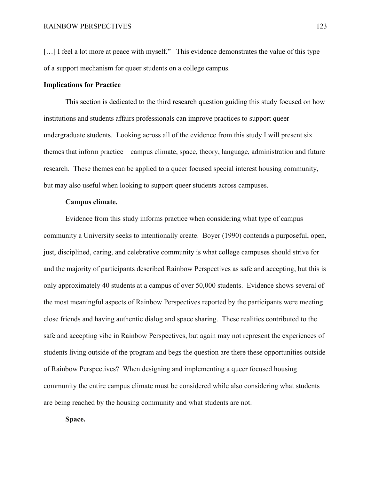[...] I feel a lot more at peace with myself." This evidence demonstrates the value of this type of a support mechanism for queer students on a college campus.

# **Implications for Practice**

This section is dedicated to the third research question guiding this study focused on how institutions and students affairs professionals can improve practices to support queer undergraduate students. Looking across all of the evidence from this study I will present six themes that inform practice – campus climate, space, theory, language, administration and future research. These themes can be applied to a queer focused special interest housing community, but may also useful when looking to support queer students across campuses.

# **Campus climate.**

Evidence from this study informs practice when considering what type of campus community a University seeks to intentionally create. Boyer (1990) contends a purposeful, open, just, disciplined, caring, and celebrative community is what college campuses should strive for and the majority of participants described Rainbow Perspectives as safe and accepting, but this is only approximately 40 students at a campus of over 50,000 students. Evidence shows several of the most meaningful aspects of Rainbow Perspectives reported by the participants were meeting close friends and having authentic dialog and space sharing. These realities contributed to the safe and accepting vibe in Rainbow Perspectives, but again may not represent the experiences of students living outside of the program and begs the question are there these opportunities outside of Rainbow Perspectives? When designing and implementing a queer focused housing community the entire campus climate must be considered while also considering what students are being reached by the housing community and what students are not.

**Space.**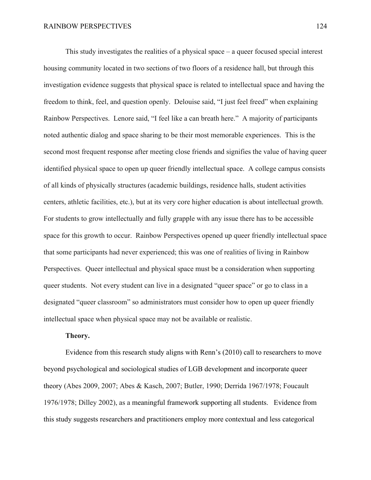This study investigates the realities of a physical space – a queer focused special interest housing community located in two sections of two floors of a residence hall, but through this investigation evidence suggests that physical space is related to intellectual space and having the freedom to think, feel, and question openly. Delouise said, "I just feel freed" when explaining Rainbow Perspectives. Lenore said, "I feel like a can breath here." A majority of participants noted authentic dialog and space sharing to be their most memorable experiences. This is the second most frequent response after meeting close friends and signifies the value of having queer identified physical space to open up queer friendly intellectual space. A college campus consists of all kinds of physically structures (academic buildings, residence halls, student activities centers, athletic facilities, etc.), but at its very core higher education is about intellectual growth. For students to grow intellectually and fully grapple with any issue there has to be accessible space for this growth to occur. Rainbow Perspectives opened up queer friendly intellectual space that some participants had never experienced; this was one of realities of living in Rainbow Perspectives. Queer intellectual and physical space must be a consideration when supporting queer students. Not every student can live in a designated "queer space" or go to class in a designated "queer classroom" so administrators must consider how to open up queer friendly intellectual space when physical space may not be available or realistic.

# **Theory.**

Evidence from this research study aligns with Renn's (2010) call to researchers to move beyond psychological and sociological studies of LGB development and incorporate queer theory (Abes 2009, 2007; Abes & Kasch, 2007; Butler, 1990; Derrida 1967/1978; Foucault 1976/1978; Dilley 2002), as a meaningful framework supporting all students. Evidence from this study suggests researchers and practitioners employ more contextual and less categorical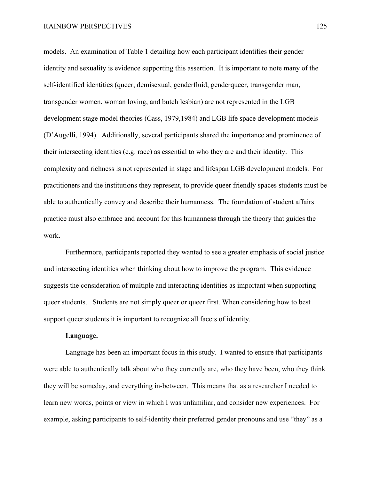models. An examination of Table 1 detailing how each participant identifies their gender identity and sexuality is evidence supporting this assertion. It is important to note many of the self-identified identities (queer, demisexual, genderfluid, genderqueer, transgender man, transgender women, woman loving, and butch lesbian) are not represented in the LGB development stage model theories (Cass, 1979,1984) and LGB life space development models (D'Augelli, 1994). Additionally, several participants shared the importance and prominence of their intersecting identities (e.g. race) as essential to who they are and their identity. This complexity and richness is not represented in stage and lifespan LGB development models. For practitioners and the institutions they represent, to provide queer friendly spaces students must be able to authentically convey and describe their humanness. The foundation of student affairs practice must also embrace and account for this humanness through the theory that guides the work.

Furthermore, participants reported they wanted to see a greater emphasis of social justice and intersecting identities when thinking about how to improve the program. This evidence suggests the consideration of multiple and interacting identities as important when supporting queer students. Students are not simply queer or queer first. When considering how to best support queer students it is important to recognize all facets of identity.

# **Language.**

Language has been an important focus in this study. I wanted to ensure that participants were able to authentically talk about who they currently are, who they have been, who they think they will be someday, and everything in-between. This means that as a researcher I needed to learn new words, points or view in which I was unfamiliar, and consider new experiences. For example, asking participants to self-identity their preferred gender pronouns and use "they" as a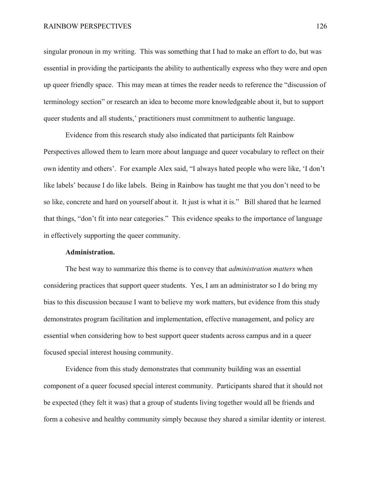singular pronoun in my writing. This was something that I had to make an effort to do, but was essential in providing the participants the ability to authentically express who they were and open up queer friendly space. This may mean at times the reader needs to reference the "discussion of terminology section" or research an idea to become more knowledgeable about it, but to support queer students and all students,' practitioners must commitment to authentic language.

Evidence from this research study also indicated that participants felt Rainbow Perspectives allowed them to learn more about language and queer vocabulary to reflect on their own identity and others'. For example Alex said, "I always hated people who were like, 'I don't like labels' because I do like labels. Being in Rainbow has taught me that you don't need to be so like, concrete and hard on yourself about it. It just is what it is." Bill shared that he learned that things, "don't fit into near categories." This evidence speaks to the importance of language in effectively supporting the queer community.

# **Administration.**

The best way to summarize this theme is to convey that *administration matters* when considering practices that support queer students. Yes, I am an administrator so I do bring my bias to this discussion because I want to believe my work matters, but evidence from this study demonstrates program facilitation and implementation, effective management, and policy are essential when considering how to best support queer students across campus and in a queer focused special interest housing community.

Evidence from this study demonstrates that community building was an essential component of a queer focused special interest community. Participants shared that it should not be expected (they felt it was) that a group of students living together would all be friends and form a cohesive and healthy community simply because they shared a similar identity or interest.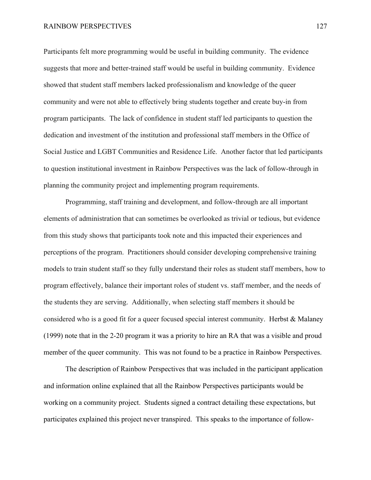Participants felt more programming would be useful in building community. The evidence suggests that more and better-trained staff would be useful in building community. Evidence showed that student staff members lacked professionalism and knowledge of the queer community and were not able to effectively bring students together and create buy-in from program participants. The lack of confidence in student staff led participants to question the dedication and investment of the institution and professional staff members in the Office of Social Justice and LGBT Communities and Residence Life. Another factor that led participants to question institutional investment in Rainbow Perspectives was the lack of follow-through in planning the community project and implementing program requirements.

Programming, staff training and development, and follow-through are all important elements of administration that can sometimes be overlooked as trivial or tedious, but evidence from this study shows that participants took note and this impacted their experiences and perceptions of the program. Practitioners should consider developing comprehensive training models to train student staff so they fully understand their roles as student staff members, how to program effectively, balance their important roles of student vs. staff member, and the needs of the students they are serving. Additionally, when selecting staff members it should be considered who is a good fit for a queer focused special interest community. Herbst & Malaney (1999) note that in the 2-20 program it was a priority to hire an RA that was a visible and proud member of the queer community. This was not found to be a practice in Rainbow Perspectives.

The description of Rainbow Perspectives that was included in the participant application and information online explained that all the Rainbow Perspectives participants would be working on a community project. Students signed a contract detailing these expectations, but participates explained this project never transpired. This speaks to the importance of follow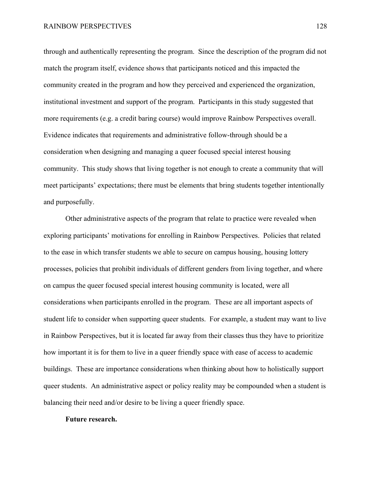through and authentically representing the program. Since the description of the program did not match the program itself, evidence shows that participants noticed and this impacted the community created in the program and how they perceived and experienced the organization, institutional investment and support of the program. Participants in this study suggested that more requirements (e.g. a credit baring course) would improve Rainbow Perspectives overall. Evidence indicates that requirements and administrative follow-through should be a consideration when designing and managing a queer focused special interest housing community. This study shows that living together is not enough to create a community that will meet participants' expectations; there must be elements that bring students together intentionally and purposefully.

Other administrative aspects of the program that relate to practice were revealed when exploring participants' motivations for enrolling in Rainbow Perspectives. Policies that related to the ease in which transfer students we able to secure on campus housing, housing lottery processes, policies that prohibit individuals of different genders from living together, and where on campus the queer focused special interest housing community is located, were all considerations when participants enrolled in the program. These are all important aspects of student life to consider when supporting queer students. For example, a student may want to live in Rainbow Perspectives, but it is located far away from their classes thus they have to prioritize how important it is for them to live in a queer friendly space with ease of access to academic buildings. These are importance considerations when thinking about how to holistically support queer students. An administrative aspect or policy reality may be compounded when a student is balancing their need and/or desire to be living a queer friendly space.

#### **Future research.**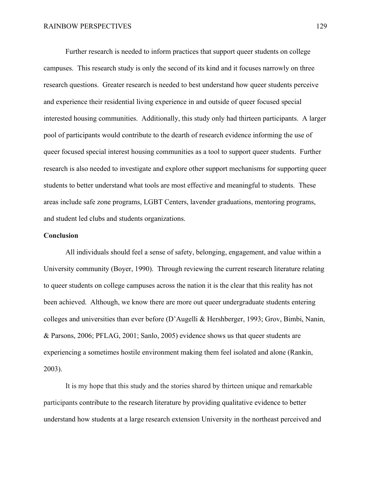Further research is needed to inform practices that support queer students on college campuses. This research study is only the second of its kind and it focuses narrowly on three research questions. Greater research is needed to best understand how queer students perceive and experience their residential living experience in and outside of queer focused special interested housing communities. Additionally, this study only had thirteen participants. A larger pool of participants would contribute to the dearth of research evidence informing the use of queer focused special interest housing communities as a tool to support queer students. Further research is also needed to investigate and explore other support mechanisms for supporting queer students to better understand what tools are most effective and meaningful to students. These areas include safe zone programs, LGBT Centers, lavender graduations, mentoring programs, and student led clubs and students organizations.

#### **Conclusion**

All individuals should feel a sense of safety, belonging, engagement, and value within a University community (Boyer, 1990). Through reviewing the current research literature relating to queer students on college campuses across the nation it is the clear that this reality has not been achieved. Although, we know there are more out queer undergraduate students entering colleges and universities than ever before (D'Augelli & Hershberger, 1993; Grov, Bimbi, Nanin, & Parsons, 2006; PFLAG, 2001; Sanlo, 2005) evidence shows us that queer students are experiencing a sometimes hostile environment making them feel isolated and alone (Rankin, 2003).

It is my hope that this study and the stories shared by thirteen unique and remarkable participants contribute to the research literature by providing qualitative evidence to better understand how students at a large research extension University in the northeast perceived and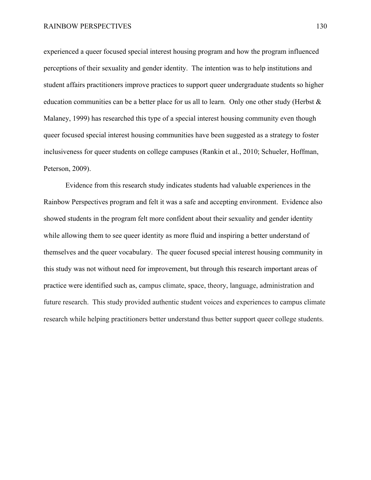experienced a queer focused special interest housing program and how the program influenced perceptions of their sexuality and gender identity. The intention was to help institutions and student affairs practitioners improve practices to support queer undergraduate students so higher education communities can be a better place for us all to learn. Only one other study (Herbst & Malaney, 1999) has researched this type of a special interest housing community even though queer focused special interest housing communities have been suggested as a strategy to foster inclusiveness for queer students on college campuses (Rankin et al., 2010; Schueler, Hoffman, Peterson, 2009).

Evidence from this research study indicates students had valuable experiences in the Rainbow Perspectives program and felt it was a safe and accepting environment. Evidence also showed students in the program felt more confident about their sexuality and gender identity while allowing them to see queer identity as more fluid and inspiring a better understand of themselves and the queer vocabulary. The queer focused special interest housing community in this study was not without need for improvement, but through this research important areas of practice were identified such as, campus climate, space, theory, language, administration and future research. This study provided authentic student voices and experiences to campus climate research while helping practitioners better understand thus better support queer college students.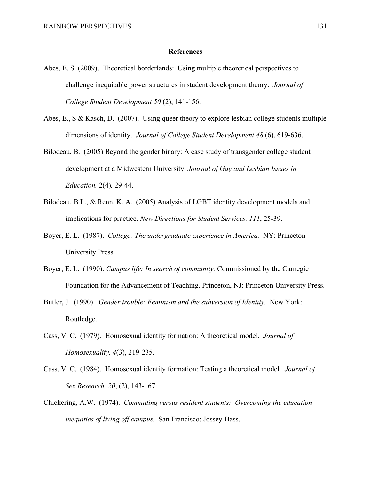#### **References**

- Abes, E. S. (2009). Theoretical borderlands: Using multiple theoretical perspectives to challenge inequitable power structures in student development theory. *Journal of College Student Development 50* (2), 141-156.
- Abes, E., S & Kasch, D. (2007). Using queer theory to explore lesbian college students multiple dimensions of identity. *Journal of College Student Development 48* (6), 619-636.
- Bilodeau, B. (2005) Beyond the gender binary: A case study of transgender college student development at a Midwestern University. *Journal of Gay and Lesbian Issues in Education,* 2(4)*,* 29-44.
- Bilodeau, B.L., & Renn, K. A. (2005) Analysis of LGBT identity development models and implications for practice. *New Directions for Student Services. 111*, 25-39.
- Boyer, E. L. (1987). *College: The undergraduate experience in America.* NY: Princeton University Press.
- Boyer, E. L. (1990). *Campus life: In search of community.* Commissioned by the Carnegie Foundation for the Advancement of Teaching. Princeton, NJ: Princeton University Press.
- Butler, J. (1990). *Gender trouble: Feminism and the subversion of Identity.* New York: Routledge.
- Cass, V. C. (1979). Homosexual identity formation: A theoretical model. *Journal of Homosexuality, 4*(3), 219-235.
- Cass, V. C. (1984). Homosexual identity formation: Testing a theoretical model. *Journal of Sex Research, 20*, (2), 143-167.
- Chickering, A.W. (1974). *Commuting versus resident students: Overcoming the education inequities of living off campus.* San Francisco: Jossey-Bass.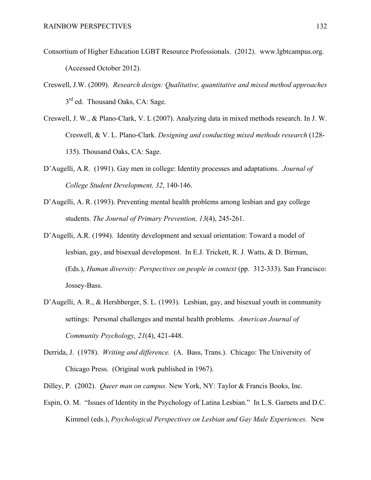- Consortium of Higher Education LGBT Resource Professionals. (2012). www.lgbtcampus.org. (Accessed October 2012).
- Creswell, J.W. (2009). *Research design: Qualitative, quantitative and mixed method approaches*   $3<sup>rd</sup>$  ed. Thousand Oaks, CA: Sage.
- Creswell, J. W., & Plano-Clark, V. L (2007). Analyzing data in mixed methods research. In J. W. Creswell, & V. L. Plano-Clark. *Designing and conducting mixed methods research* (128- 135). Thousand Oaks, CA: Sage.
- D'Augelli, A.R. (1991). Gay men in college: Identity processes and adaptations. *Journal of College Student Development, 32*, 140-146.
- D'Augelli, A. R. (1993). Preventing mental health problems among lesbian and gay college students. *The Journal of Primary Prevention, 13*(4), 245-261.
- D'Augelli, A.R. (1994). Identity development and sexual orientation: Toward a model of lesbian, gay, and bisexual development. In E.J. Trickett, R. J. Watts, & D. Birman, (Eds.), *Human diversity: Perspectives on people in context* (pp. 312-333). San Francisco: Jossey-Bass.
- D'Augelli, A. R., & Hershberger, S. L. (1993). Lesbian, gay, and bisexual youth in community settings: Personal challenges and mental health problems. *American Journal of Community Psychology, 21*(4), 421-448.
- Derrida, J. (1978). *Writing and difference.* (A. Bass, Trans.). Chicago: The University of Chicago Press. (Original work published in 1967).
- Dilley, P. (2002). *Queer man on campus.* New York, NY: Taylor & Francis Books, Inc.
- Espin, O. M. "Issues of Identity in the Psychology of Latina Lesbian." In L.S. Garnets and D.C. Kimmel (eds.), *Psychological Perspectives on Lesbian and Gay Male Experiences.* New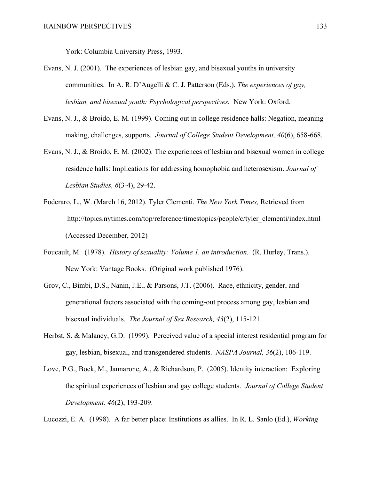York: Columbia University Press, 1993.

- Evans, N. J. (2001). The experiences of lesbian gay, and bisexual youths in university communities. In A. R. D'Augelli & C. J. Patterson (Eds.), *The experiences of gay, lesbian, and bisexual youth: Psychological perspectives.* New York: Oxford.
- Evans, N. J., & Broido, E. M. (1999). Coming out in college residence halls: Negation, meaning making, challenges, supports. *Journal of College Student Development, 40*(6), 658-668.
- Evans, N. J., & Broido, E. M. (2002). The experiences of lesbian and bisexual women in college residence halls: Implications for addressing homophobia and heterosexism. *Journal of Lesbian Studies, 6*(3-4), 29-42.
- Foderaro, L., W. (March 16, 2012). Tyler Clementi. *The New York Times,* Retrieved from http://topics.nytimes.com/top/reference/timestopics/people/c/tyler\_clementi/index.html (Accessed December, 2012)
- Foucault, M. (1978). *History of sexuality: Volume 1, an introduction.* (R. Hurley, Trans.). New York: Vantage Books. (Original work published 1976).
- Grov, C., Bimbi, D.S., Nanin, J.E., & Parsons, J.T. (2006). Race, ethnicity, gender, and generational factors associated with the coming-out process among gay, lesbian and bisexual individuals. *The Journal of Sex Research, 43*(2), 115-121.
- Herbst, S. & Malaney, G.D. (1999). Perceived value of a special interest residential program for gay, lesbian, bisexual, and transgendered students. *NASPA Journal, 36*(2), 106-119.
- Love, P.G., Bock, M., Jannarone, A., & Richardson, P. (2005). Identity interaction: Exploring the spiritual experiences of lesbian and gay college students. *Journal of College Student Development. 46*(2), 193-209.

Lucozzi, E. A. (1998). A far better place: Institutions as allies. In R. L. Sanlo (Ed.), *Working*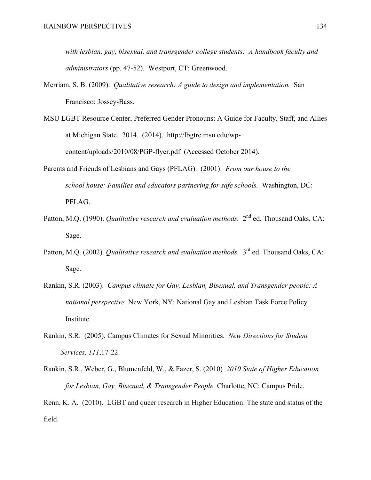*with lesbian, gay, bisexual, and transgender college students: A handbook faculty and administrators* (pp. 47-52). Westport, CT: Greenwood.

- Merriam, S. B. (2009). *Qualitative research: A guide to design and implementation.* San Francisco: Jossey-Bass.
- MSU LGBT Resource Center, Preferred Gender Pronouns: A Guide for Faculty, Staff, and Allies at Michigan State. 2014. (2014). http://lbgtrc.msu.edu/wpcontent/uploads/2010/08/PGP-flyer.pdf (Accessed October 2014).
- Parents and Friends of Lesbians and Gays (PFLAG). (2001). *From our house to the school house: Families and educators partnering for safe schools.* Washington, DC: PFLAG.
- Patton, M.O. (1990). *Qualitative research and evaluation methods.*  $2^{nd}$  ed. Thousand Oaks, CA: Sage.
- Patton, M.Q. (2002). *Qualitative research and evaluation methods.* 3<sup>rd</sup> ed. Thousand Oaks, CA: Sage.
- Rankin, S.R. (2003). *Campus climate for Gay, Lesbian, Bisexual, and Transgender people: A national perspective.* New York, NY: National Gay and Lesbian Task Force Policy Institute.
- Rankin, S.R. (2005). Campus Climates for Sexual Minorities. *New Directions for Student Services, 111*,17-22.
- Rankin, S.R., Weber, G., Blumenfeld, W., & Fazer, S. (2010) *2010 State of Higher Education for Lesbian, Gay, Bisexual, & Transgender People.* Charlotte, NC: Campus Pride.

Renn, K. A. (2010). LGBT and queer research in Higher Education: The state and status of the field.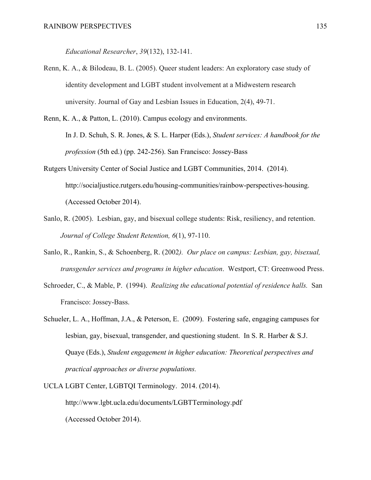*Educational Researcher*, *39*(132), 132-141.

- Renn, K. A., & Bilodeau, B. L. (2005). Queer student leaders: An exploratory case study of identity development and LGBT student involvement at a Midwestern research university. Journal of Gay and Lesbian Issues in Education, 2(4), 49-71.
- Renn, K. A., & Patton, L. (2010). Campus ecology and environments. In J. D. Schuh, S. R. Jones, & S. L. Harper (Eds.), *Student services: A handbook for the profession* (5th ed.) (pp. 242-256). San Francisco: Jossey-Bass
- Rutgers University Center of Social Justice and LGBT Communities, 2014. (2014). http://socialjustice.rutgers.edu/housing-communities/rainbow-perspectives-housing. (Accessed October 2014).
- Sanlo, R. (2005). Lesbian, gay, and bisexual college students: Risk, resiliency, and retention. *Journal of College Student Retention, 6*(1), 97-110.
- Sanlo, R., Rankin, S., & Schoenberg, R. (2002*). Our place on campus: Lesbian, gay, bisexual, transgender services and programs in higher education*. Westport, CT: Greenwood Press.
- Schroeder, C., & Mable, P. (1994). *Realizing the educational potential of residence halls.* San Francisco: Jossey-Bass.
- Schueler, L. A., Hoffman, J.A., & Peterson, E. (2009). Fostering safe, engaging campuses for lesbian, gay, bisexual, transgender, and questioning student. In S. R. Harber & S.J. Quaye (Eds.), *Student engagement in higher education: Theoretical perspectives and practical approaches or diverse populations.*
- UCLA LGBT Center, LGBTQI Terminology. 2014. (2014). http://www.lgbt.ucla.edu/documents/LGBTTerminology.pdf (Accessed October 2014).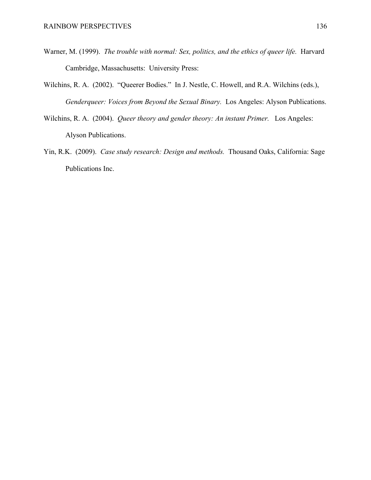- Warner, M. (1999). *The trouble with normal: Sex, politics, and the ethics of queer life.* Harvard Cambridge, Massachusetts: University Press:
- Wilchins, R. A. (2002). "Queerer Bodies." In J. Nestle, C. Howell, and R.A. Wilchins (eds.), *Genderqueer: Voices from Beyond the Sexual Binary.* Los Angeles: Alyson Publications.
- Wilchins, R. A. (2004). *Queer theory and gender theory: An instant Primer.* Los Angeles: Alyson Publications.
- Yin, R.K. (2009). *Case study research: Design and methods.* Thousand Oaks, California: Sage Publications Inc.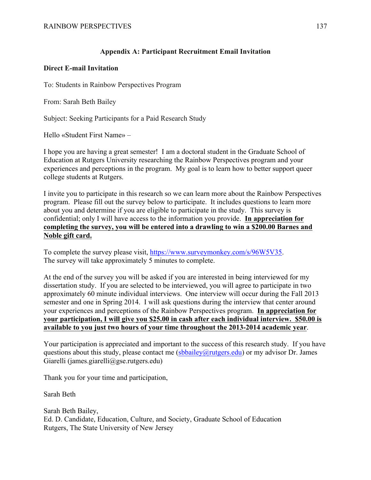## **Appendix A: Participant Recruitment Email Invitation**

### **Direct E-mail Invitation**

To: Students in Rainbow Perspectives Program

From: Sarah Beth Bailey

Subject: Seeking Participants for a Paid Research Study

Hello «Student First Name» –

I hope you are having a great semester! I am a doctoral student in the Graduate School of Education at Rutgers University researching the Rainbow Perspectives program and your experiences and perceptions in the program. My goal is to learn how to better support queer college students at Rutgers.

I invite you to participate in this research so we can learn more about the Rainbow Perspectives program. Please fill out the survey below to participate. It includes questions to learn more about you and determine if you are eligible to participate in the study. This survey is confidential; only I will have access to the information you provide. **In appreciation for completing the survey, you will be entered into a drawling to win a \$200.00 Barnes and Noble gift card.**

To complete the survey please visit, https://www.surveymonkey.com/s/96W5V35. The survey will take approximately 5 minutes to complete.

At the end of the survey you will be asked if you are interested in being interviewed for my dissertation study. If you are selected to be interviewed, you will agree to participate in two approximately 60 minute individual interviews. One interview will occur during the Fall 2013 semester and one in Spring 2014. I will ask questions during the interview that center around your experiences and perceptions of the Rainbow Perspectives program. **In appreciation for your participation, I will give you \$25.00 in cash after each individual interview. \$50.00 is available to you just two hours of your time throughout the 2013-2014 academic year**.

Your participation is appreciated and important to the success of this research study. If you have questions about this study, please contact me (sbbailey@rutgers.edu) or my advisor Dr. James Giarelli (james.giarelli@gse.rutgers.edu)

Thank you for your time and participation,

Sarah Beth

Sarah Beth Bailey, Ed. D. Candidate, Education, Culture, and Society, Graduate School of Education Rutgers, The State University of New Jersey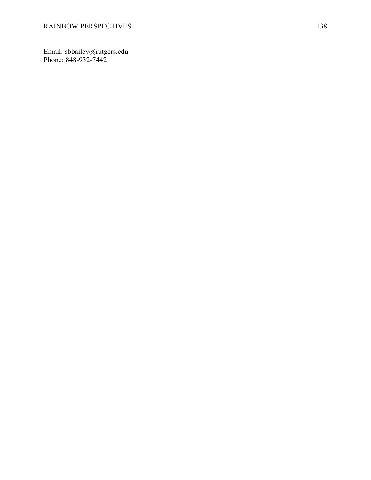Email: sbbailey@rutgers.edu Phone: 848 -932 -7442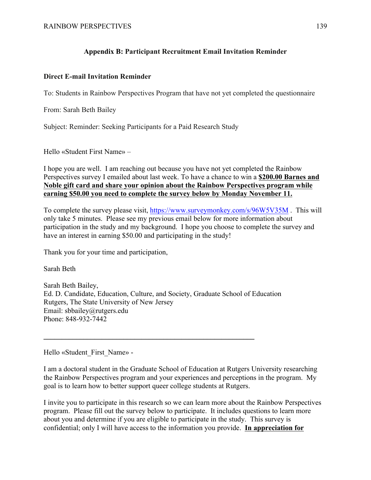## **Appendix B: Participant Recruitment Email Invitation Reminder**

### **Direct E-mail Invitation Reminder**

To: Students in Rainbow Perspectives Program that have not yet completed the questionnaire

From: Sarah Beth Bailey

Subject: Reminder: Seeking Participants for a Paid Research Study

Hello «Student First Name» –

I hope you are well. I am reaching out because you have not yet completed the Rainbow Perspectives survey I emailed about last week. To have a chance to win a **\$200.00 Barnes and Noble gift card and share your opinion about the Rainbow Perspectives program while earning \$50.00 you need to complete the survey below by Monday November 11.** 

To complete the survey please visit, https://www.surveymonkey.com/s/96W5V35M . This will only take 5 minutes. Please see my previous email below for more information about participation in the study and my background. I hope you choose to complete the survey and have an interest in earning \$50.00 and participating in the study!

Thank you for your time and participation,

Sarah Beth

Sarah Beth Bailey, Ed. D. Candidate, Education, Culture, and Society, Graduate School of Education Rutgers, The State University of New Jersey Email: sbbailey@rutgers.edu Phone: 848-932-7442

 $\mathcal{L} = \{ \mathcal{L} \mid \mathcal{L} \in \mathcal{L} \}$ 

Hello «Student\_First\_Name» -

I am a doctoral student in the Graduate School of Education at Rutgers University researching the Rainbow Perspectives program and your experiences and perceptions in the program. My goal is to learn how to better support queer college students at Rutgers.

I invite you to participate in this research so we can learn more about the Rainbow Perspectives program. Please fill out the survey below to participate. It includes questions to learn more about you and determine if you are eligible to participate in the study. This survey is confidential; only I will have access to the information you provide. **In appreciation for**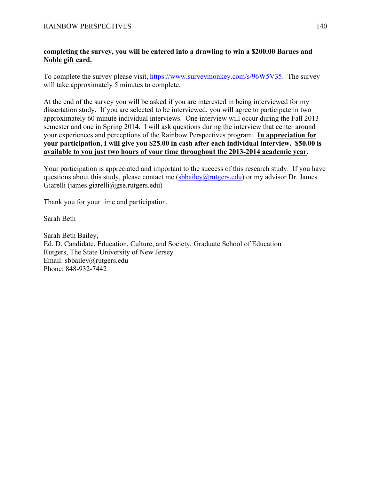## **completing the survey, you will be entered into a drawling to win a \$200.00 Barnes and Noble gift card.**

To complete the survey please visit, https://www.surveymonkey.com/s/96W5V35. The survey will take approximately 5 minutes to complete.

At the end of the survey you will be asked if you are interested in being interviewed for my dissertation study. If you are selected to be interviewed, you will agree to participate in two approximately 60 minute individual interviews. One interview will occur during the Fall 2013 semester and one in Spring 2014. I will ask questions during the interview that center around your experiences and perceptions of the Rainbow Perspectives program. **In appreciation for your participation, I will give you \$25.00 in cash after each individual interview. \$50.00 is available to you just two hours of your time throughout the 2013-2014 academic year**.

Your participation is appreciated and important to the success of this research study. If you have questions about this study, please contact me  $(sbbailev@rutgers.edu)$  or my advisor Dr. James Giarelli (james.giarelli@gse.rutgers.edu)

Thank you for your time and participation,

Sarah Beth

Sarah Beth Bailey, Ed. D. Candidate, Education, Culture, and Society, Graduate School of Education Rutgers, The State University of New Jersey Email: sbbailey@rutgers.edu Phone: 848-932-7442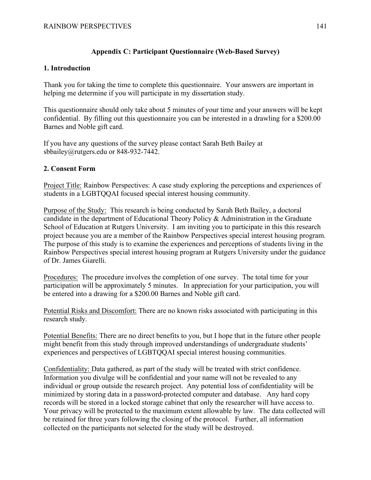# **Appendix C: Participant Questionnaire (Web-Based Survey)**

### **1. Introduction**

Thank you for taking the time to complete this questionnaire. Your answers are important in helping me determine if you will participate in my dissertation study.

This questionnaire should only take about 5 minutes of your time and your answers will be kept confidential. By filling out this questionnaire you can be interested in a drawling for a \$200.00 Barnes and Noble gift card.

If you have any questions of the survey please contact Sarah Beth Bailey at sbbailey@rutgers.edu or 848-932-7442.

## **2. Consent Form**

Project Title: Rainbow Perspectives: A case study exploring the perceptions and experiences of students in a LGBTQQAI focused special interest housing community.

Purpose of the Study: This research is being conducted by Sarah Beth Bailey, a doctoral candidate in the department of Educational Theory Policy & Administration in the Graduate School of Education at Rutgers University. I am inviting you to participate in this this research project because you are a member of the Rainbow Perspectives special interest housing program. The purpose of this study is to examine the experiences and perceptions of students living in the Rainbow Perspectives special interest housing program at Rutgers University under the guidance of Dr. James Giarelli.

Procedures: The procedure involves the completion of one survey. The total time for your participation will be approximately 5 minutes. In appreciation for your participation, you will be entered into a drawing for a \$200.00 Barnes and Noble gift card.

Potential Risks and Discomfort: There are no known risks associated with participating in this research study.

Potential Benefits: There are no direct benefits to you, but I hope that in the future other people might benefit from this study through improved understandings of undergraduate students' experiences and perspectives of LGBTQQAI special interest housing communities.

Confidentiality: Data gathered, as part of the study will be treated with strict confidence. Information you divulge will be confidential and your name will not be revealed to any individual or group outside the research project. Any potential loss of confidentiality will be minimized by storing data in a password-protected computer and database. Any hard copy records will be stored in a locked storage cabinet that only the researcher will have access to. Your privacy will be protected to the maximum extent allowable by law. The data collected will be retained for three years following the closing of the protocol. Further, all information collected on the participants not selected for the study will be destroyed.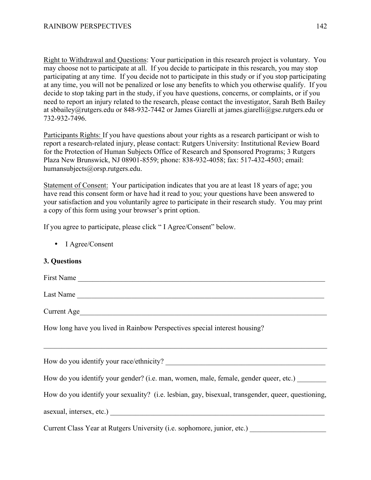Right to Withdrawal and Questions: Your participation in this research project is voluntary. You may choose not to participate at all. If you decide to participate in this research, you may stop participating at any time. If you decide not to participate in this study or if you stop participating at any time, you will not be penalized or lose any benefits to which you otherwise qualify. If you decide to stop taking part in the study, if you have questions, concerns, or complaints, or if you need to report an injury related to the research, please contact the investigator, Sarah Beth Bailey at sbbailey@rutgers.edu or 848-932-7442 or James Giarelli at james.giarelli@gse.rutgers.edu or 732-932-7496.

Participants Rights: If you have questions about your rights as a research participant or wish to report a research-related injury, please contact: Rutgers University: Institutional Review Board for the Protection of Human Subjects Office of Research and Sponsored Programs; 3 Rutgers Plaza New Brunswick, NJ 08901-8559; phone: 838-932-4058; fax: 517-432-4503; email: humansubjects@orsp.rutgers.edu.

Statement of Consent: Your participation indicates that you are at least 18 years of age; you have read this consent form or have had it read to you; your questions have been answered to your satisfaction and you voluntarily agree to participate in their research study. You may print a copy of this form using your browser's print option.

If you agree to participate, please click " I Agree/Consent" below.

• I Agree/Consent

#### **3. Questions**

First Name Last Name Current Age How long have you lived in Rainbow Perspectives special interest housing?  $\mathcal{L}_\mathcal{L} = \mathcal{L}_\mathcal{L} = \mathcal{L}_\mathcal{L} = \mathcal{L}_\mathcal{L} = \mathcal{L}_\mathcal{L} = \mathcal{L}_\mathcal{L} = \mathcal{L}_\mathcal{L} = \mathcal{L}_\mathcal{L} = \mathcal{L}_\mathcal{L} = \mathcal{L}_\mathcal{L} = \mathcal{L}_\mathcal{L} = \mathcal{L}_\mathcal{L} = \mathcal{L}_\mathcal{L} = \mathcal{L}_\mathcal{L} = \mathcal{L}_\mathcal{L} = \mathcal{L}_\mathcal{L} = \mathcal{L}_\mathcal{L}$ How do you identify your race/ethnicity? How do you identify your gender? (i.e. man, women, male, female, gender queer, etc.) How do you identify your sexuality? (i.e. lesbian, gay, bisexual, transgender, queer, questioning, asexual, intersex, etc.) Current Class Year at Rutgers University (i.e. sophomore, junior, etc.)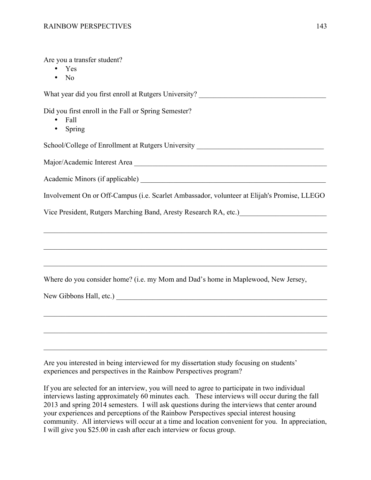Are you a transfer student?

- Yes
- No

What year did you first enroll at Rutgers University?

Did you first enroll in the Fall or Spring Semester?

- Fall
- Spring

School/College of Enrollment at Rutgers University \_\_\_\_\_\_\_\_\_\_\_\_\_\_\_\_\_\_\_\_\_\_\_\_\_\_\_\_\_

Major/Academic Interest Area \_\_\_\_\_\_\_\_\_\_\_\_\_\_\_\_\_\_\_\_\_\_\_\_\_\_\_\_\_\_\_\_\_\_\_\_\_\_\_\_\_\_\_\_\_\_\_\_\_\_\_\_\_

Academic Minors (if applicable) \_\_\_\_\_\_\_\_\_\_\_\_\_\_\_\_\_\_\_\_\_\_\_\_\_\_\_\_\_\_\_\_\_\_\_\_\_\_\_\_\_\_\_\_\_\_\_\_\_\_\_

Involvement On or Off-Campus (i.e. Scarlet Ambassador, volunteer at Elijah's Promise, LLEGO

 $\mathcal{L}_\mathcal{L} = \{ \mathcal{L}_\mathcal{L} = \{ \mathcal{L}_\mathcal{L} = \{ \mathcal{L}_\mathcal{L} = \{ \mathcal{L}_\mathcal{L} = \{ \mathcal{L}_\mathcal{L} = \{ \mathcal{L}_\mathcal{L} = \{ \mathcal{L}_\mathcal{L} = \{ \mathcal{L}_\mathcal{L} = \{ \mathcal{L}_\mathcal{L} = \{ \mathcal{L}_\mathcal{L} = \{ \mathcal{L}_\mathcal{L} = \{ \mathcal{L}_\mathcal{L} = \{ \mathcal{L}_\mathcal{L} = \{ \mathcal{L}_\mathcal{$ 

 $\mathcal{L}_\mathcal{L} = \{ \mathcal{L}_\mathcal{L} = \{ \mathcal{L}_\mathcal{L} = \{ \mathcal{L}_\mathcal{L} = \{ \mathcal{L}_\mathcal{L} = \{ \mathcal{L}_\mathcal{L} = \{ \mathcal{L}_\mathcal{L} = \{ \mathcal{L}_\mathcal{L} = \{ \mathcal{L}_\mathcal{L} = \{ \mathcal{L}_\mathcal{L} = \{ \mathcal{L}_\mathcal{L} = \{ \mathcal{L}_\mathcal{L} = \{ \mathcal{L}_\mathcal{L} = \{ \mathcal{L}_\mathcal{L} = \{ \mathcal{L}_\mathcal{$ 

 $\mathcal{L}_\mathcal{L} = \{ \mathcal{L}_\mathcal{L} = \{ \mathcal{L}_\mathcal{L} = \{ \mathcal{L}_\mathcal{L} = \{ \mathcal{L}_\mathcal{L} = \{ \mathcal{L}_\mathcal{L} = \{ \mathcal{L}_\mathcal{L} = \{ \mathcal{L}_\mathcal{L} = \{ \mathcal{L}_\mathcal{L} = \{ \mathcal{L}_\mathcal{L} = \{ \mathcal{L}_\mathcal{L} = \{ \mathcal{L}_\mathcal{L} = \{ \mathcal{L}_\mathcal{L} = \{ \mathcal{L}_\mathcal{L} = \{ \mathcal{L}_\mathcal{$ 

 $\mathcal{L}_\mathcal{L} = \mathcal{L}_\mathcal{L} = \mathcal{L}_\mathcal{L} = \mathcal{L}_\mathcal{L} = \mathcal{L}_\mathcal{L} = \mathcal{L}_\mathcal{L} = \mathcal{L}_\mathcal{L} = \mathcal{L}_\mathcal{L} = \mathcal{L}_\mathcal{L} = \mathcal{L}_\mathcal{L} = \mathcal{L}_\mathcal{L} = \mathcal{L}_\mathcal{L} = \mathcal{L}_\mathcal{L} = \mathcal{L}_\mathcal{L} = \mathcal{L}_\mathcal{L} = \mathcal{L}_\mathcal{L} = \mathcal{L}_\mathcal{L}$ 

 $\mathcal{L}_\mathcal{L} = \{ \mathcal{L}_\mathcal{L} = \{ \mathcal{L}_\mathcal{L} = \{ \mathcal{L}_\mathcal{L} = \{ \mathcal{L}_\mathcal{L} = \{ \mathcal{L}_\mathcal{L} = \{ \mathcal{L}_\mathcal{L} = \{ \mathcal{L}_\mathcal{L} = \{ \mathcal{L}_\mathcal{L} = \{ \mathcal{L}_\mathcal{L} = \{ \mathcal{L}_\mathcal{L} = \{ \mathcal{L}_\mathcal{L} = \{ \mathcal{L}_\mathcal{L} = \{ \mathcal{L}_\mathcal{L} = \{ \mathcal{L}_\mathcal{$ 

 $\mathcal{L}_\mathcal{L} = \{ \mathcal{L}_\mathcal{L} = \{ \mathcal{L}_\mathcal{L} = \{ \mathcal{L}_\mathcal{L} = \{ \mathcal{L}_\mathcal{L} = \{ \mathcal{L}_\mathcal{L} = \{ \mathcal{L}_\mathcal{L} = \{ \mathcal{L}_\mathcal{L} = \{ \mathcal{L}_\mathcal{L} = \{ \mathcal{L}_\mathcal{L} = \{ \mathcal{L}_\mathcal{L} = \{ \mathcal{L}_\mathcal{L} = \{ \mathcal{L}_\mathcal{L} = \{ \mathcal{L}_\mathcal{L} = \{ \mathcal{L}_\mathcal{$ 

Vice President, Rutgers Marching Band, Aresty Research RA, etc.)

Where do you consider home? (i.e. my Mom and Dad's home in Maplewood, New Jersey,

New Gibbons Hall, etc.) \_\_\_\_\_\_\_\_\_\_\_\_\_\_\_\_\_\_\_\_\_\_\_\_\_\_\_\_\_\_\_\_\_\_\_\_\_\_\_\_\_\_\_\_\_\_\_\_\_\_\_\_\_\_\_\_\_\_

Are you interested in being interviewed for my dissertation study focusing on students' experiences and perspectives in the Rainbow Perspectives program?

If you are selected for an interview, you will need to agree to participate in two individual interviews lasting approximately 60 minutes each. These interviews will occur during the fall 2013 and spring 2014 semesters. I will ask questions during the interviews that center around your experiences and perceptions of the Rainbow Perspectives special interest housing community. All interviews will occur at a time and location convenient for you. In appreciation, I will give you \$25.00 in cash after each interview or focus group.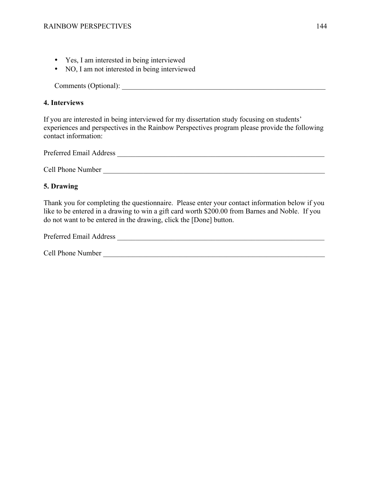- Yes, I am interested in being interviewed
- NO, I am not interested in being interviewed

Comments (Optional):

## **4. Interviews**

If you are interested in being interviewed for my dissertation study focusing on students' experiences and perspectives in the Rainbow Perspectives program please provide the following contact information:

Preferred Email Address \_\_\_\_\_\_\_\_\_\_\_\_\_\_\_\_\_\_\_\_\_\_\_\_\_\_\_\_\_\_\_\_\_\_\_\_\_\_\_\_\_\_\_\_\_\_\_\_\_\_\_\_\_\_\_\_\_

Cell Phone Number

# **5. Drawing**

Thank you for completing the questionnaire. Please enter your contact information below if you like to be entered in a drawing to win a gift card worth \$200.00 from Barnes and Noble. If you do not want to be entered in the drawing, click the [Done] button.

| Preferred Email Address |  |
|-------------------------|--|
|                         |  |

Cell Phone Number  $\Box$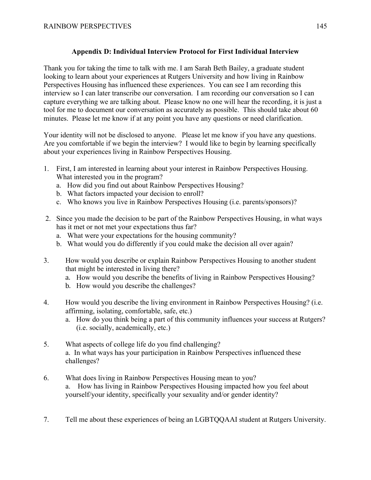# **Appendix D: Individual Interview Protocol for First Individual Interview**

Thank you for taking the time to talk with me. I am Sarah Beth Bailey, a graduate student looking to learn about your experiences at Rutgers University and how living in Rainbow Perspectives Housing has influenced these experiences. You can see I am recording this interview so I can later transcribe our conversation. I am recording our conversation so I can capture everything we are talking about. Please know no one will hear the recording, it is just a tool for me to document our conversation as accurately as possible. This should take about 60 minutes. Please let me know if at any point you have any questions or need clarification.

Your identity will not be disclosed to anyone. Please let me know if you have any questions. Are you comfortable if we begin the interview? I would like to begin by learning specifically about your experiences living in Rainbow Perspectives Housing.

- 1. First, I am interested in learning about your interest in Rainbow Perspectives Housing. What interested you in the program?
	- a. How did you find out about Rainbow Perspectives Housing?
	- b. What factors impacted your decision to enroll?
	- c. Who knows you live in Rainbow Perspectives Housing (i.e. parents/sponsors)?
- 2. Since you made the decision to be part of the Rainbow Perspectives Housing, in what ways has it met or not met your expectations thus far?
	- a. What were your expectations for the housing community?
	- b. What would you do differently if you could make the decision all over again?
- 3. How would you describe or explain Rainbow Perspectives Housing to another student that might be interested in living there?
	- a. How would you describe the benefits of living in Rainbow Perspectives Housing?
	- b. How would you describe the challenges?
- 4. How would you describe the living environment in Rainbow Perspectives Housing? (i.e. affirming, isolating, comfortable, safe, etc.)
	- a. How do you think being a part of this community influences your success at Rutgers? (i.e. socially, academically, etc.)
- 5. What aspects of college life do you find challenging? a. In what ways has your participation in Rainbow Perspectives influenced these challenges?
- 6. What does living in Rainbow Perspectives Housing mean to you? a. How has living in Rainbow Perspectives Housing impacted how you feel about yourself/your identity, specifically your sexuality and/or gender identity?
- 7. Tell me about these experiences of being an LGBTQQAAI student at Rutgers University.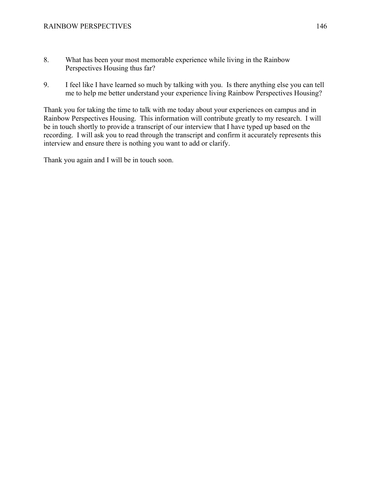- 8. What has been your most memorable experience while living in the Rainbow Perspectives Housing thus far?
- 9. I feel like I have learned so much by talking with you. Is there anything else you can tell me to help me better understand your experience living Rainbow Perspectives Housing?

Thank you for taking the time to talk with me today about your experiences on campus and in Rainbow Perspectives Housing. This information will contribute greatly to my research. I will be in touch shortly to provide a transcript of our interview that I have typed up based on the recording. I will ask you to read through the transcript and confirm it accurately represents this interview and ensure there is nothing you want to add or clarify.

Thank you again and I will be in touch soon.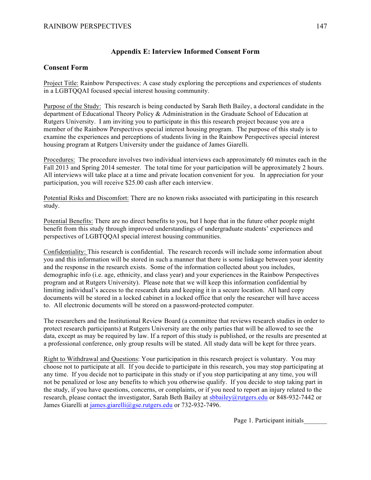### **Appendix E: Interview Informed Consent Form**

#### **Consent Form**

Project Title: Rainbow Perspectives: A case study exploring the perceptions and experiences of students in a LGBTQQAI focused special interest housing community.

Purpose of the Study: This research is being conducted by Sarah Beth Bailey, a doctoral candidate in the department of Educational Theory Policy & Administration in the Graduate School of Education at Rutgers University. I am inviting you to participate in this this research project because you are a member of the Rainbow Perspectives special interest housing program. The purpose of this study is to examine the experiences and perceptions of students living in the Rainbow Perspectives special interest housing program at Rutgers University under the guidance of James Giarelli.

Procedures: The procedure involves two individual interviews each approximately 60 minutes each in the Fall 2013 and Spring 2014 semester. The total time for your participation will be approximately 2 hours. All interviews will take place at a time and private location convenient for you. In appreciation for your participation, you will receive \$25.00 cash after each interview.

Potential Risks and Discomfort: There are no known risks associated with participating in this research study.

Potential Benefits: There are no direct benefits to you, but I hope that in the future other people might benefit from this study through improved understandings of undergraduate students' experiences and perspectives of LGBTQQAI special interest housing communities.

Confidentiality: This research is confidential. The research records will include some information about you and this information will be stored in such a manner that there is some linkage between your identity and the response in the research exists. Some of the information collected about you includes, demographic info (i.e. age, ethnicity, and class year) and your experiences in the Rainbow Perspectives program and at Rutgers University). Please note that we will keep this information confidential by limiting individual's access to the research data and keeping it in a secure location. All hard copy documents will be stored in a locked cabinet in a locked office that only the researcher will have access to. All electronic documents will be stored on a password-protected computer.

The researchers and the Institutional Review Board (a committee that reviews research studies in order to protect research participants) at Rutgers University are the only parties that will be allowed to see the data, except as may be required by law. If a report of this study is published, or the results are presented at a professional conference, only group results will be stated. All study data will be kept for three years.

Right to Withdrawal and Questions: Your participation in this research project is voluntary. You may choose not to participate at all. If you decide to participate in this research, you may stop participating at any time. If you decide not to participate in this study or if you stop participating at any time, you will not be penalized or lose any benefits to which you otherwise qualify. If you decide to stop taking part in the study, if you have questions, concerns, or complaints, or if you need to report an injury related to the research, please contact the investigator, Sarah Beth Bailey at sbbailey@rutgers.edu or 848-932-7442 or James Giarelli at james.giarelli@gse.rutgers.edu or 732-932-7496.

Page 1. Participant initials\_\_\_\_\_\_\_\_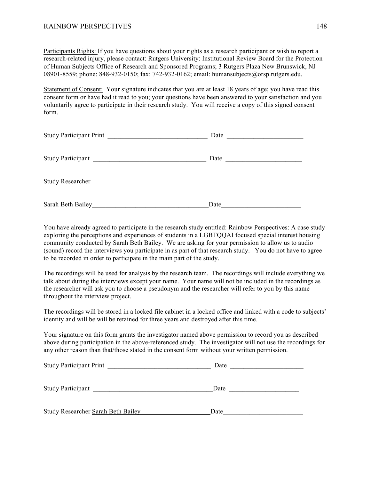Participants Rights: If you have questions about your rights as a research participant or wish to report a research-related injury, please contact: Rutgers University: Institutional Review Board for the Protection of Human Subjects Office of Research and Sponsored Programs; 3 Rutgers Plaza New Brunswick, NJ 08901-8559; phone: 848-932-0150; fax: 742-932-0162; email: humansubjects@orsp.rutgers.edu.

Statement of Consent: Your signature indicates that you are at least 18 years of age; you have read this consent form or have had it read to you; your questions have been answered to your satisfaction and you voluntarily agree to participate in their research study. You will receive a copy of this signed consent form.

| <b>Study Participant Print</b> | Date |
|--------------------------------|------|
| <b>Study Participant</b>       | Date |
| <b>Study Researcher</b>        |      |
| Sarah Beth Bailey              | Date |

You have already agreed to participate in the research study entitled: Rainbow Perspectives: A case study exploring the perceptions and experiences of students in a LGBTQQAI focused special interest housing community conducted by Sarah Beth Bailey. We are asking for your permission to allow us to audio (sound) record the interviews you participate in as part of that research study. You do not have to agree to be recorded in order to participate in the main part of the study.

The recordings will be used for analysis by the research team. The recordings will include everything we talk about during the interviews except your name. Your name will not be included in the recordings as the researcher will ask you to choose a pseudonym and the researcher will refer to you by this name throughout the interview project.

The recordings will be stored in a locked file cabinet in a locked office and linked with a code to subjects' identity and will be will be retained for three years and destroyed after this time.

Your signature on this form grants the investigator named above permission to record you as described above during participation in the above-referenced study. The investigator will not use the recordings for any other reason than that/those stated in the consent form without your written permission.

| <b>Study Participant Print</b>     | Date |
|------------------------------------|------|
|                                    |      |
| <b>Study Participant</b>           | Date |
| Study Researcher Sarah Beth Bailey | Date |
|                                    |      |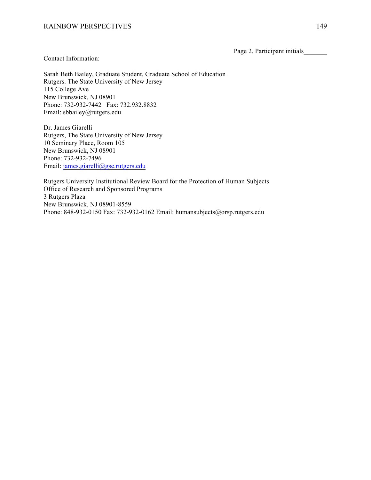Page 2. Participant initials

Contact Information:

Sarah Beth Bailey, Graduate Student, Graduate School of Education Rutgers. The State University of New Jersey 115 College Ave New Brunswick, NJ 08901 Phone: 732-932-7442 Fax: 732.932.8832 Email: sbbailey@rutgers.edu

Dr. James Giarelli Rutgers, The State University of New Jersey 10 Seminary Place, Room 105 New Brunswick, NJ 08901 Phone: 732-932-7496 Email: james.giarelli@gse.rutgers.edu

Rutgers University Institutional Review Board for the Protection of Human Subjects Office of Research and Sponsored Programs 3 Rutgers Plaza New Brunswick, NJ 08901-8559 Phone: 848-932-0150 Fax: 732-932-0162 Email: humansubjects@orsp.rutgers.edu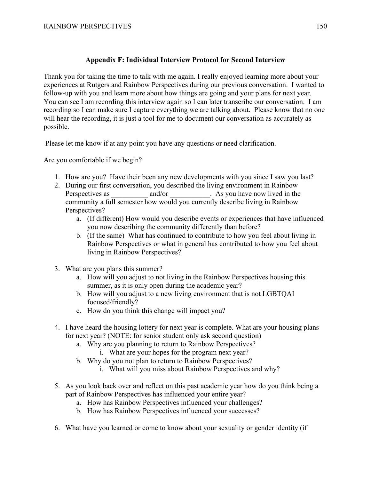# **Appendix F: Individual Interview Protocol for Second Interview**

Thank you for taking the time to talk with me again. I really enjoyed learning more about your experiences at Rutgers and Rainbow Perspectives during our previous conversation. I wanted to follow-up with you and learn more about how things are going and your plans for next year. You can see I am recording this interview again so I can later transcribe our conversation. I am recording so I can make sure I capture everything we are talking about. Please know that no one will hear the recording, it is just a tool for me to document our conversation as accurately as possible.

Please let me know if at any point you have any questions or need clarification.

Are you comfortable if we begin?

- 1. How are you? Have their been any new developments with you since I saw you last?
- 2. During our first conversation, you described the living environment in Rainbow Perspectives as  $\qquad \qquad \text{and/or} \qquad \qquad$ . As you have now lived in the community a full semester how would you currently describe living in Rainbow Perspectives?
	- a. (If different) How would you describe events or experiences that have influenced you now describing the community differently than before?
	- b. (If the same) What has continued to contribute to how you feel about living in Rainbow Perspectives or what in general has contributed to how you feel about living in Rainbow Perspectives?
- 3. What are you plans this summer?
	- a. How will you adjust to not living in the Rainbow Perspectives housing this summer, as it is only open during the academic year?
	- b. How will you adjust to a new living environment that is not LGBTQAI focused/friendly?
	- c. How do you think this change will impact you?
- 4. I have heard the housing lottery for next year is complete. What are your housing plans for next year? (NOTE: for senior student only ask second question)
	- a. Why are you planning to return to Rainbow Perspectives?
		- i. What are your hopes for the program next year?
	- b. Why do you not plan to return to Rainbow Perspectives?
		- i. What will you miss about Rainbow Perspectives and why?
- 5. As you look back over and reflect on this past academic year how do you think being a part of Rainbow Perspectives has influenced your entire year?
	- a. How has Rainbow Perspectives influenced your challenges?
	- b. How has Rainbow Perspectives influenced your successes?
- 6. What have you learned or come to know about your sexuality or gender identity (if